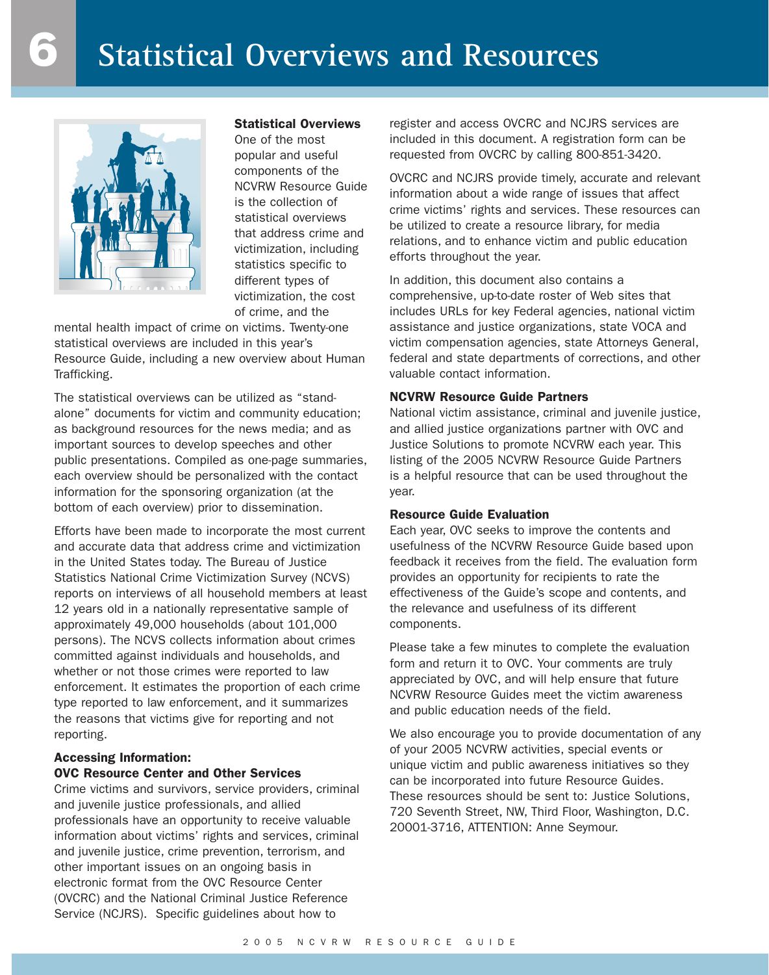## 6 **Statistical Overviews and Resources**



**Statistical Overviews**

One of the most popular and useful components of the NCVRW Resource Guide is the collection of statistical overviews that address crime and victimization, including statistics specific to different types of victimization, the cost of crime, and the

mental health impact of crime on victims. Twenty-one statistical overviews are included in this year's Resource Guide, including a new overview about Human Trafficking.

The statistical overviews can be utilized as "standalone" documents for victim and community education; as background resources for the news media; and as important sources to develop speeches and other public presentations. Compiled as one-page summaries, each overview should be personalized with the contact information for the sponsoring organization (at the bottom of each overview) prior to dissemination.

Efforts have been made to incorporate the most current and accurate data that address crime and victimization in the United States today. The Bureau of Justice Statistics National Crime Victimization Survey (NCVS) reports on interviews of all household members at least 12 years old in a nationally representative sample of approximately 49,000 households (about 101,000 persons). The NCVS collects information about crimes committed against individuals and households, and whether or not those crimes were reported to law enforcement. It estimates the proportion of each crime type reported to law enforcement, and it summarizes the reasons that victims give for reporting and not reporting.

#### **Accessing Information: OVC Resource Center and Other Services**

Crime victims and survivors, service providers, criminal and juvenile justice professionals, and allied professionals have an opportunity to receive valuable information about victims' rights and services, criminal and juvenile justice, crime prevention, terrorism, and other important issues on an ongoing basis in electronic format from the OVC Resource Center (OVCRC) and the National Criminal Justice Reference Service (NCJRS). Specific guidelines about how to

register and access OVCRC and NCJRS services are included in this document. A registration form can be requested from OVCRC by calling 800-851-3420.

OVCRC and NCJRS provide timely, accurate and relevant information about a wide range of issues that affect crime victims' rights and services. These resources can be utilized to create a resource library, for media relations, and to enhance victim and public education efforts throughout the year.

In addition, this document also contains a comprehensive, up-to-date roster of Web sites that includes URLs for key Federal agencies, national victim assistance and justice organizations, state VOCA and victim compensation agencies, state Attorneys General, federal and state departments of corrections, and other valuable contact information.

#### **NCVRW Resource Guide Partners**

National victim assistance, criminal and juvenile justice, and allied justice organizations partner with OVC and Justice Solutions to promote NCVRW each year. This listing of the 2005 NCVRW Resource Guide Partners is a helpful resource that can be used throughout the year.

#### **Resource Guide Evaluation**

Each year, OVC seeks to improve the contents and usefulness of the NCVRW Resource Guide based upon feedback it receives from the field. The evaluation form provides an opportunity for recipients to rate the effectiveness of the Guide's scope and contents, and the relevance and usefulness of its different components.

Please take a few minutes to complete the evaluation form and return it to OVC. Your comments are truly appreciated by OVC, and will help ensure that future NCVRW Resource Guides meet the victim awareness and public education needs of the field.

We also encourage you to provide documentation of any of your 2005 NCVRW activities, special events or unique victim and public awareness initiatives so they can be incorporated into future Resource Guides. These resources should be sent to: Justice Solutions, 720 Seventh Street, NW, Third Floor, Washington, D.C. 20001-3716, ATTENTION: Anne Seymour.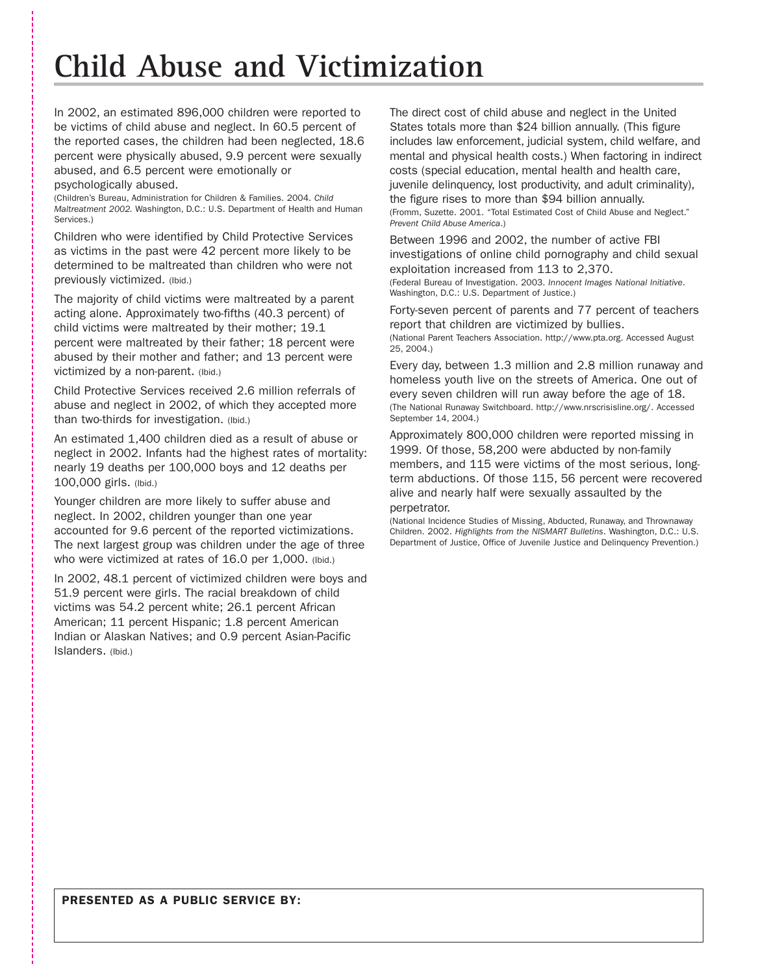# **Child Abuse and Victimization**

In 2002, an estimated 896,000 children were reported to be victims of child abuse and neglect. In 60.5 percent of the reported cases, the children had been neglected, 18.6 percent were physically abused, 9.9 percent were sexually abused, and 6.5 percent were emotionally or psychologically abused.

(Children's Bureau, Administration for Children & Families. 2004. *Child Maltreatment 2002.* Washington, D.C.: U.S. Department of Health and Human Services.)

Children who were identified by Child Protective Services as victims in the past were 42 percent more likely to be determined to be maltreated than children who were not previously victimized. (Ibid.)

The majority of child victims were maltreated by a parent acting alone. Approximately two-fifths (40.3 percent) of child victims were maltreated by their mother; 19.1 percent were maltreated by their father; 18 percent were abused by their mother and father; and 13 percent were victimized by a non-parent. (Ibid.)

Child Protective Services received 2.6 million referrals of abuse and neglect in 2002, of which they accepted more than two-thirds for investigation. (Ibid.)

An estimated 1,400 children died as a result of abuse or neglect in 2002. Infants had the highest rates of mortality: nearly 19 deaths per 100,000 boys and 12 deaths per 100,000 girls. (Ibid.)

Younger children are more likely to suffer abuse and neglect. In 2002, children younger than one year accounted for 9.6 percent of the reported victimizations. The next largest group was children under the age of three who were victimized at rates of 16.0 per 1,000. (Ibid.)

In 2002, 48.1 percent of victimized children were boys and 51.9 percent were girls. The racial breakdown of child victims was 54.2 percent white; 26.1 percent African American; 11 percent Hispanic; 1.8 percent American Indian or Alaskan Natives; and 0.9 percent Asian-Pacific Islanders. (Ibid.)

The direct cost of child abuse and neglect in the United States totals more than \$24 billion annually. (This figure includes law enforcement, judicial system, child welfare, and mental and physical health costs.) When factoring in indirect costs (special education, mental health and health care, juvenile delinquency, lost productivity, and adult criminality), the figure rises to more than \$94 billion annually. (Fromm, Suzette. 2001. "Total Estimated Cost of Child Abuse and Neglect." *Prevent Child Abuse America*.)

Between 1996 and 2002, the number of active FBI investigations of online child pornography and child sexual exploitation increased from 113 to 2,370. (Federal Bureau of Investigation. 2003. *Innocent Images National Initiative*. Washington, D.C.: U.S. Department of Justice.)

Forty-seven percent of parents and 77 percent of teachers report that children are victimized by bullies. (National Parent Teachers Association. http://www.pta.org. Accessed August 25, 2004.)

Every day, between 1.3 million and 2.8 million runaway and homeless youth live on the streets of America. One out of every seven children will run away before the age of 18. (The National Runaway Switchboard. http://www.nrscrisisline.org/. Accessed September 14, 2004.)

Approximately 800,000 children were reported missing in 1999. Of those, 58,200 were abducted by non-family members, and 115 were victims of the most serious, longterm abductions. Of those 115, 56 percent were recovered alive and nearly half were sexually assaulted by the perpetrator.

(National Incidence Studies of Missing, Abducted, Runaway, and Thrownaway Children. 2002. *Highlights from the NISMART Bulletins*. Washington, D.C.: U.S. Department of Justice, Office of Juvenile Justice and Delinquency Prevention.)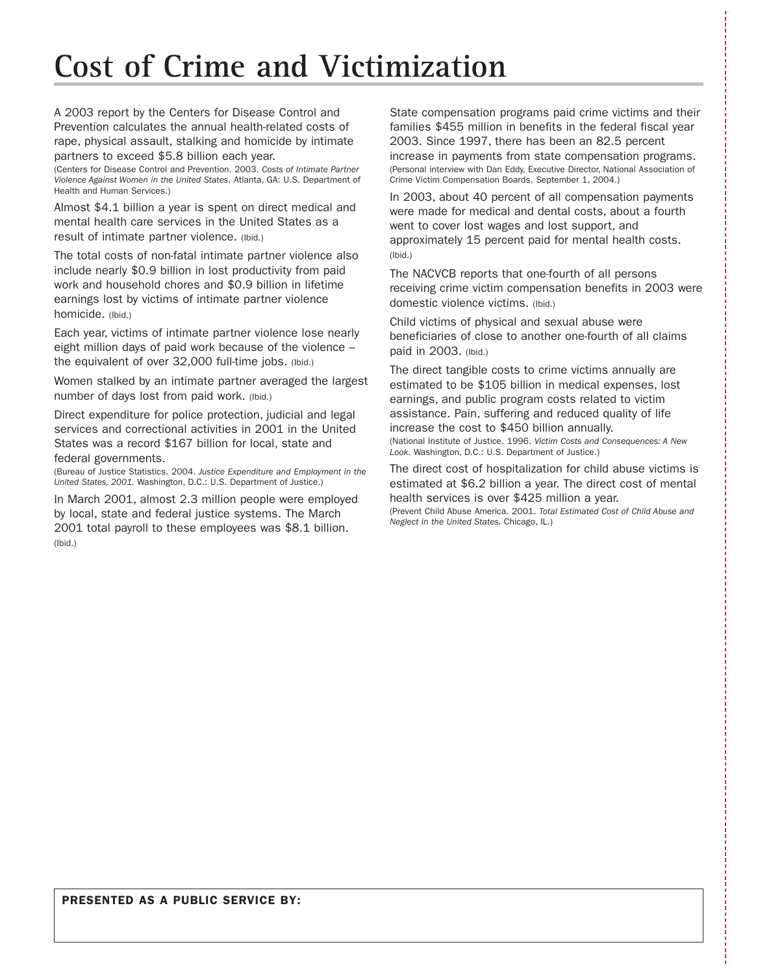# **Cost of Crime and Victimization**

A 2003 report by the Centers for Disease Control and Prevention calculates the annual health-related costs of rape, physical assault, stalking and homicide by intimate partners to exceed \$5.8 billion each year.

(Centers for Disease Control and Prevention. 2003. *Costs of Intimate Partner Violence Against Women in the United States*. Atlanta, GA: U.S. Department of Health and Human Services.)

Almost \$4.1 billion a year is spent on direct medical and mental health care services in the United States as a result of intimate partner violence. (Ibid.)

The total costs of non-fatal intimate partner violence also include nearly \$0.9 billion in lost productivity from paid work and household chores and \$0.9 billion in lifetime earnings lost by victims of intimate partner violence homicide. (Ibid.)

Each year, victims of intimate partner violence lose nearly eight million days of paid work because of the violence – the equivalent of over 32,000 full-time jobs. (Ibid.)

Women stalked by an intimate partner averaged the largest number of days lost from paid work. (Ibid.)

Direct expenditure for police protection, judicial and legal services and correctional activities in 2001 in the United States was a record \$167 billion for local, state and federal governments.

(Bureau of Justice Statistics. 2004. *Justice Expenditure and Employment in the United States, 2001.* Washington, D.C.: U.S. Department of Justice.)

In March 2001, almost 2.3 million people were employed by local, state and federal justice systems. The March 2001 total payroll to these employees was \$8.1 billion. (Ibid.)

State compensation programs paid crime victims and their families \$455 million in benefits in the federal fiscal year 2003. Since 1997, there has been an 82.5 percent increase in payments from state compensation programs. (Personal interview with Dan Eddy, Executive Director, National Association of Crime Victim Compensation Boards. September 1, 2004.)

In 2003, about 40 percent of all compensation payments were made for medical and dental costs, about a fourth went to cover lost wages and lost support, and approximately 15 percent paid for mental health costs. (Ibid.)

The NACVCB reports that one-fourth of all persons receiving crime victim compensation benefits in 2003 were domestic violence victims. (Ibid.)

Child victims of physical and sexual abuse were beneficiaries of close to another one-fourth of all claims paid in 2003. (Ibid.)

The direct tangible costs to crime victims annually are estimated to be \$105 billion in medical expenses, lost earnings, and public program costs related to victim assistance. Pain, suffering and reduced quality of life increase the cost to \$450 billion annually. (National Institute of Justice. 1996. *Victim Costs and Consequences: A New Look*. Washington, D.C.: U.S. Department of Justice.)

The direct cost of hospitalization for child abuse victims is estimated at \$6.2 billion a year. The direct cost of mental health services is over \$425 million a year.

(Prevent Child Abuse America. 2001. *Total Estimated Cost of Child Abuse and Neglect in the United States.* Chicago, IL.)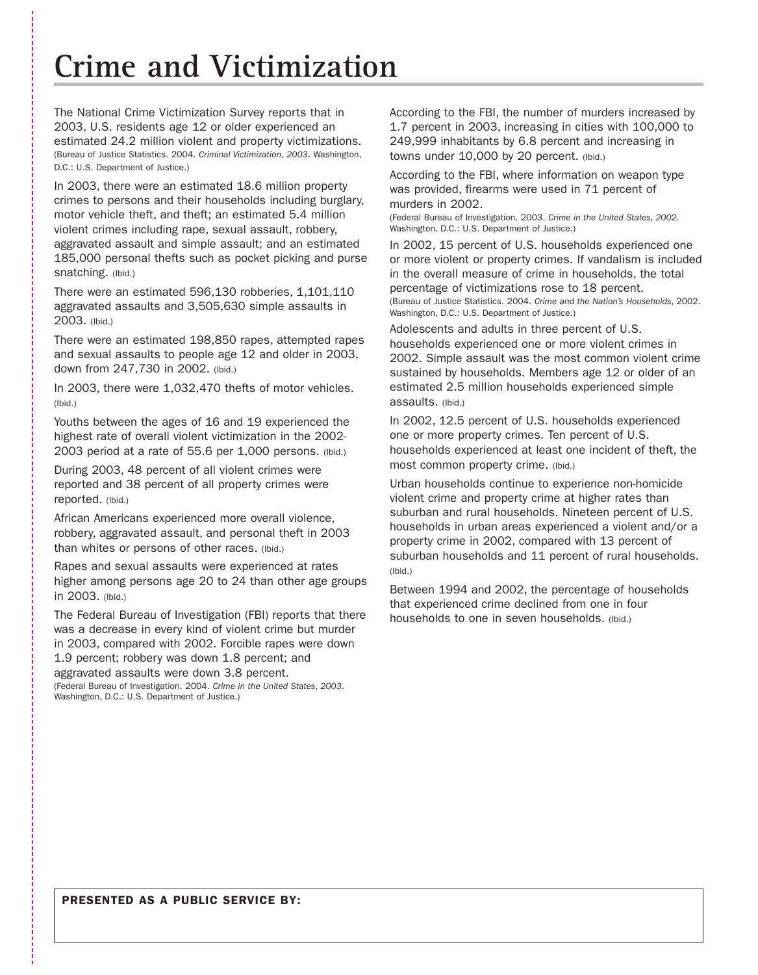# **Crime and Victimization**

The National Crime Victimization Survey reports that in 2003, U.S. residents age 12 or older experienced an estimated 24.2 million violent and property victimizations. (Bureau of Justice Statistics. 2004. *Criminal Victimization*, *2003*. Washington, D.C.: U.S. Department of Justice.)

In 2003, there were an estimated 18.6 million property crimes to persons and their households including burglary, motor vehicle theft, and theft; an estimated 5.4 million violent crimes including rape, sexual assault, robbery, aggravated assault and simple assault; and an estimated 185,000 personal thefts such as pocket picking and purse snatching. (Ibid.)

There were an estimated 596,130 robberies, 1,101,110 aggravated assaults and 3,505,630 simple assaults in 2003. (Ibid.)

There were an estimated 198,850 rapes, attempted rapes and sexual assaults to people age 12 and older in 2003, down from 247,730 in 2002. (Ibid.)

In 2003, there were 1,032,470 thefts of motor vehicles. (Ibid.)

Youths between the ages of 16 and 19 experienced the highest rate of overall violent victimization in the 2002- 2003 period at a rate of 55.6 per 1,000 persons. (Ibid.)

During 2003, 48 percent of all violent crimes were reported and 38 percent of all property crimes were reported. (Ibid.)

African Americans experienced more overall violence, robbery, aggravated assault, and personal theft in 2003 than whites or persons of other races. (Ibid.)

Rapes and sexual assaults were experienced at rates higher among persons age 20 to 24 than other age groups in 2003. (Ibid.)

The Federal Bureau of Investigation (FBI) reports that there was a decrease in every kind of violent crime but murder in 2003, compared with 2002. Forcible rapes were down 1.9 percent; robbery was down 1.8 percent; and aggravated assaults were down 3.8 percent. (Federal Bureau of Investigation. 2004. *Crime in the United States*, *2003*. Washington, D.C.: U.S. Department of Justice.)

According to the FBI, the number of murders increased by 1.7 percent in 2003, increasing in cities with 100,000 to 249,999 inhabitants by 6.8 percent and increasing in towns under 10,000 by 20 percent. (Ibid.)

According to the FBI, where information on weapon type was provided, firearms were used in 71 percent of murders in 2002.

(Federal Bureau of Investigation. 2003. *Crime in the United States, 2002.* Washington, D.C.: U.S. Department of Justice.)

In 2002, 15 percent of U.S. households experienced one or more violent or property crimes. If vandalism is included in the overall measure of crime in households, the total percentage of victimizations rose to 18 percent. (Bureau of Justice Statistics. 2004. *Crime and the Nation's Households*, 2002. Washington, D.C.: U.S. Department of Justice.)

Adolescents and adults in three percent of U.S. households experienced one or more violent crimes in 2002. Simple assault was the most common violent crime sustained by households. Members age 12 or older of an estimated 2.5 million households experienced simple assaults. (Ibid.)

In 2002, 12.5 percent of U.S. households experienced one or more property crimes. Ten percent of U.S. households experienced at least one incident of theft, the most common property crime. (Ibid.)

Urban households continue to experience non-homicide violent crime and property crime at higher rates than suburban and rural households. Nineteen percent of U.S. households in urban areas experienced a violent and/or a property crime in 2002, compared with 13 percent of suburban households and 11 percent of rural households. (Ibid.)

Between 1994 and 2002, the percentage of households that experienced crime declined from one in four households to one in seven households. (Ibid.)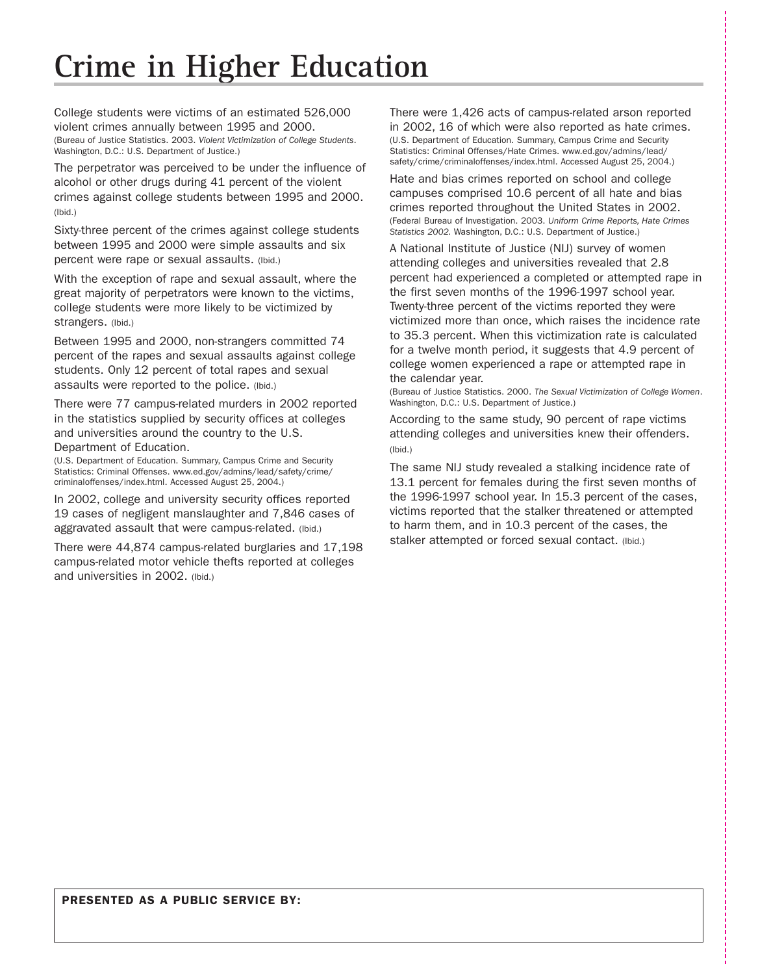# **Crime in Higher Education**

College students were victims of an estimated 526,000 violent crimes annually between 1995 and 2000. (Bureau of Justice Statistics. 2003. *Violent Victimization of College Students*. Washington, D.C.: U.S. Department of Justice.)

The perpetrator was perceived to be under the influence of alcohol or other drugs during 41 percent of the violent crimes against college students between 1995 and 2000. (Ibid.)

Sixty-three percent of the crimes against college students between 1995 and 2000 were simple assaults and six percent were rape or sexual assaults. (Ibid.)

With the exception of rape and sexual assault, where the great majority of perpetrators were known to the victims, college students were more likely to be victimized by strangers. (Ibid.)

Between 1995 and 2000, non-strangers committed 74 percent of the rapes and sexual assaults against college students. Only 12 percent of total rapes and sexual assaults were reported to the police. (Ibid.)

There were 77 campus-related murders in 2002 reported in the statistics supplied by security offices at colleges and universities around the country to the U.S. Department of Education.

(U.S. Department of Education. Summary, Campus Crime and Security Statistics: Criminal Offenses. www.ed.gov/admins/lead/safety/crime/ criminaloffenses/index.html. Accessed August 25, 2004.)

In 2002, college and university security offices reported 19 cases of negligent manslaughter and 7,846 cases of aggravated assault that were campus-related. (Ibid.)

There were 44,874 campus-related burglaries and 17,198 campus-related motor vehicle thefts reported at colleges and universities in 2002. (Ibid.)

There were 1,426 acts of campus-related arson reported in 2002, 16 of which were also reported as hate crimes. (U.S. Department of Education. Summary, Campus Crime and Security Statistics: Criminal Offenses/Hate Crimes. www.ed.gov/admins/lead/ safety/crime/criminaloffenses/index.html. Accessed August 25, 2004.)

Hate and bias crimes reported on school and college campuses comprised 10.6 percent of all hate and bias crimes reported throughout the United States in 2002. (Federal Bureau of Investigation. 2003. *Uniform Crime Reports, Hate Crimes Statistics 2002.* Washington, D.C.: U.S. Department of Justice.)

A National Institute of Justice (NIJ) survey of women attending colleges and universities revealed that 2.8 percent had experienced a completed or attempted rape in the first seven months of the 1996-1997 school year. Twenty-three percent of the victims reported they were victimized more than once, which raises the incidence rate to 35.3 percent. When this victimization rate is calculated for a twelve month period, it suggests that 4.9 percent of college women experienced a rape or attempted rape in the calendar year.

(Bureau of Justice Statistics. 2000. *The Sexual Victimization of College Women*. Washington, D.C.: U.S. Department of Justice.)

According to the same study, 90 percent of rape victims attending colleges and universities knew their offenders. (Ibid.)

The same NIJ study revealed a stalking incidence rate of 13.1 percent for females during the first seven months of the 1996-1997 school year. In 15.3 percent of the cases, victims reported that the stalker threatened or attempted to harm them, and in 10.3 percent of the cases, the stalker attempted or forced sexual contact. (Ibid.)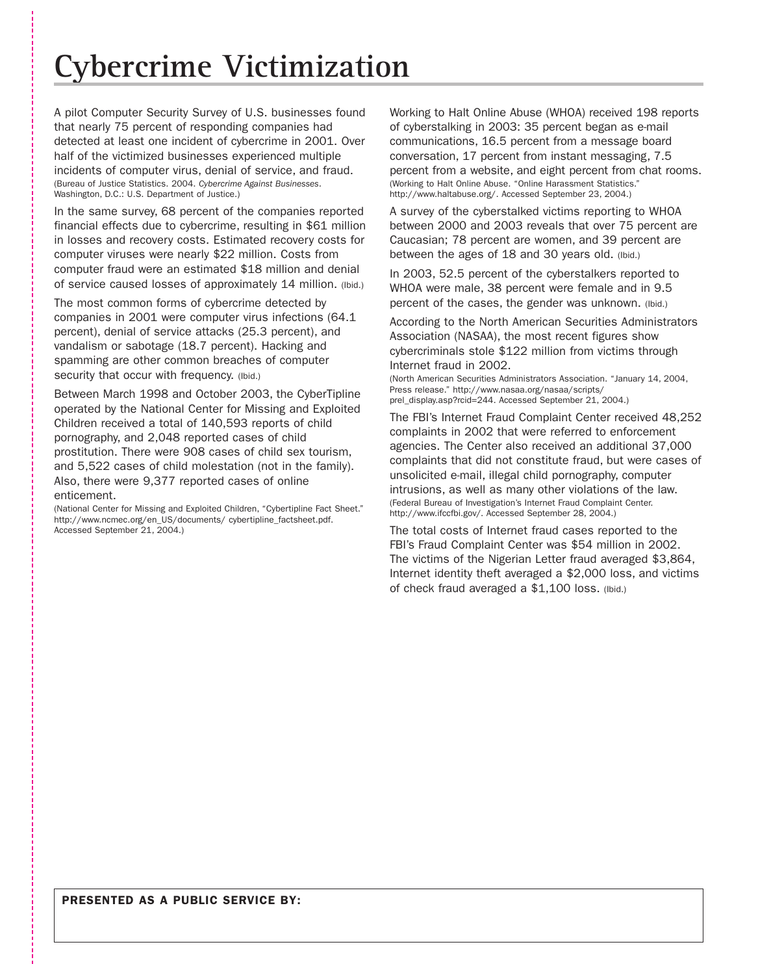# **Cybercrime Victimization**

A pilot Computer Security Survey of U.S. businesses found that nearly 75 percent of responding companies had detected at least one incident of cybercrime in 2001. Over half of the victimized businesses experienced multiple incidents of computer virus, denial of service, and fraud. (Bureau of Justice Statistics. 2004. *Cybercrime Against Businesses*. Washington, D.C.: U.S. Department of Justice.)

In the same survey, 68 percent of the companies reported financial effects due to cybercrime, resulting in \$61 million in losses and recovery costs. Estimated recovery costs for computer viruses were nearly \$22 million. Costs from computer fraud were an estimated \$18 million and denial of service caused losses of approximately 14 million. (Ibid.)

The most common forms of cybercrime detected by companies in 2001 were computer virus infections (64.1 percent), denial of service attacks (25.3 percent), and vandalism or sabotage (18.7 percent). Hacking and spamming are other common breaches of computer security that occur with frequency. (Ibid.)

Between March 1998 and October 2003, the CyberTipline operated by the National Center for Missing and Exploited Children received a total of 140,593 reports of child pornography, and 2,048 reported cases of child prostitution. There were 908 cases of child sex tourism, and 5,522 cases of child molestation (not in the family). Also, there were 9,377 reported cases of online enticement.

(National Center for Missing and Exploited Children, "Cybertipline Fact Sheet." http://www.ncmec.org/en\_US/documents/ cybertipline\_factsheet.pdf. Accessed September 21, 2004.)

Working to Halt Online Abuse (WHOA) received 198 reports of cyberstalking in 2003: 35 percent began as e-mail communications, 16.5 percent from a message board conversation, 17 percent from instant messaging, 7.5 percent from a website, and eight percent from chat rooms. (Working to Halt Online Abuse. "Online Harassment Statistics." http://www.haltabuse.org/. Accessed September 23, 2004.)

A survey of the cyberstalked victims reporting to WHOA between 2000 and 2003 reveals that over 75 percent are Caucasian; 78 percent are women, and 39 percent are between the ages of 18 and 30 years old. (Ibid.)

In 2003, 52.5 percent of the cyberstalkers reported to WHOA were male, 38 percent were female and in 9.5 percent of the cases, the gender was unknown. (Ibid.)

According to the North American Securities Administrators Association (NASAA), the most recent figures show cybercriminals stole \$122 million from victims through Internet fraud in 2002.

(North American Securities Administrators Association. "January 14, 2004, Press release." http://www.nasaa.org/nasaa/scripts/ prel\_display.asp?rcid=244. Accessed September 21, 2004.)

The FBI's Internet Fraud Complaint Center received 48,252 complaints in 2002 that were referred to enforcement agencies. The Center also received an additional 37,000 complaints that did not constitute fraud, but were cases of unsolicited e-mail, illegal child pornography, computer intrusions, as well as many other violations of the law. (Federal Bureau of Investigation's Internet Fraud Complaint Center. http://www.ifccfbi.gov/. Accessed September 28, 2004.)

The total costs of Internet fraud cases reported to the FBI's Fraud Complaint Center was \$54 million in 2002. The victims of the Nigerian Letter fraud averaged \$3,864, Internet identity theft averaged a \$2,000 loss, and victims of check fraud averaged a \$1,100 loss. (Ibid.)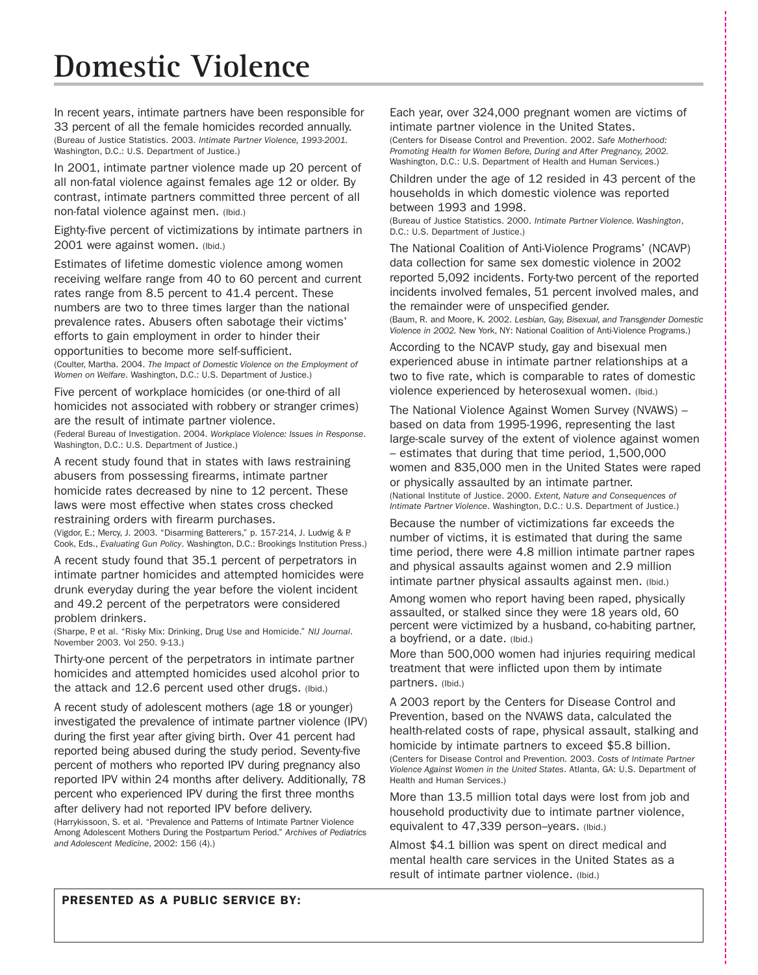# **Domestic Violence**

In recent years, intimate partners have been responsible for 33 percent of all the female homicides recorded annually. (Bureau of Justice Statistics. 2003. *Intimate Partner Violence, 1993-2001.* Washington, D.C.: U.S. Department of Justice.)

In 2001, intimate partner violence made up 20 percent of all non-fatal violence against females age 12 or older. By contrast, intimate partners committed three percent of all non-fatal violence against men. (Ibid.)

Eighty-five percent of victimizations by intimate partners in 2001 were against women. (Ibid.)

Estimates of lifetime domestic violence among women receiving welfare range from 40 to 60 percent and current rates range from 8.5 percent to 41.4 percent. These numbers are two to three times larger than the national prevalence rates. Abusers often sabotage their victims' efforts to gain employment in order to hinder their opportunities to become more self-sufficient.

(Coulter, Martha. 2004. *The Impact of Domestic Violence on the Employment of Women on Welfare*. Washington, D.C.: U.S. Department of Justice.)

Five percent of workplace homicides (or one-third of all homicides not associated with robbery or stranger crimes) are the result of intimate partner violence.

(Federal Bureau of Investigation. 2004. *Workplace Violence: Issues in Response*. Washington, D.C.: U.S. Department of Justice.)

A recent study found that in states with laws restraining abusers from possessing firearms, intimate partner homicide rates decreased by nine to 12 percent. These laws were most effective when states cross checked restraining orders with firearm purchases.

(Vigdor, E.; Mercy, J. 2003. "Disarming Batterers," p. 157-214, J. Ludwig & P. Cook, Eds., *Evaluating Gun Policy*. Washington, D.C.: Brookings Institution Press.)

A recent study found that 35.1 percent of perpetrators in intimate partner homicides and attempted homicides were drunk everyday during the year before the violent incident and 49.2 percent of the perpetrators were considered problem drinkers.

(Sharpe, P. et al. "Risky Mix: Drinking, Drug Use and Homicide." *NIJ Journal*. November 2003. Vol 250. 9-13.)

Thirty-one percent of the perpetrators in intimate partner homicides and attempted homicides used alcohol prior to the attack and 12.6 percent used other drugs. (Ibid.)

A recent study of adolescent mothers (age 18 or younger) investigated the prevalence of intimate partner violence (IPV) during the first year after giving birth. Over 41 percent had reported being abused during the study period. Seventy-five percent of mothers who reported IPV during pregnancy also reported IPV within 24 months after delivery. Additionally, 78 percent who experienced IPV during the first three months after delivery had not reported IPV before delivery. (Harrykissoon, S. et al. "Prevalence and Patterns of Intimate Partner Violence Among Adolescent Mothers During the Postpartum Period." *Archives of Pediatrics and Adolescent Medicine*, 2002: 156 (4).)

#### Each year, over 324,000 pregnant women are victims of intimate partner violence in the United States.

(Centers for Disease Control and Prevention. 2002. *Safe Motherhood: Promoting Health for Women Before, During and After Pregnancy, 2002.* Washington, D.C.: U.S. Department of Health and Human Services.)

Children under the age of 12 resided in 43 percent of the households in which domestic violence was reported between 1993 and 1998.

(Bureau of Justice Statistics. 2000. *Intimate Partner Violence. Washington*, D.C.: U.S. Department of Justice.)

The National Coalition of Anti-Violence Programs' (NCAVP) data collection for same sex domestic violence in 2002 reported 5,092 incidents. Forty-two percent of the reported incidents involved females, 51 percent involved males, and the remainder were of unspecified gender.

(Baum, R. and Moore, K. 2002. *Lesbian, Gay, Bisexual, and Transgender Domestic Violence in 2002.* New York, NY: National Coalition of Anti-Violence Programs.)

According to the NCAVP study, gay and bisexual men experienced abuse in intimate partner relationships at a two to five rate, which is comparable to rates of domestic violence experienced by heterosexual women. (Ibid.)

The National Violence Against Women Survey (NVAWS) – based on data from 1995-1996, representing the last large-scale survey of the extent of violence against women – estimates that during that time period, 1,500,000 women and 835,000 men in the United States were raped or physically assaulted by an intimate partner. (National Institute of Justice. 2000. *Extent, Nature and Consequences of Intimate Partner Violence*. Washington, D.C.: U.S. Department of Justice.)

Because the number of victimizations far exceeds the number of victims, it is estimated that during the same time period, there were 4.8 million intimate partner rapes and physical assaults against women and 2.9 million intimate partner physical assaults against men. (Ibid.)

Among women who report having been raped, physically assaulted, or stalked since they were 18 years old, 60 percent were victimized by a husband, co-habiting partner, a boyfriend, or a date. (Ibid.)

More than 500,000 women had injuries requiring medical treatment that were inflicted upon them by intimate partners. (Ibid.)

A 2003 report by the Centers for Disease Control and Prevention, based on the NVAWS data, calculated the health-related costs of rape, physical assault, stalking and homicide by intimate partners to exceed \$5.8 billion. (Centers for Disease Control and Prevention. 2003. *Costs of Intimate Partner Violence Against Women in the United States*. Atlanta, GA: U.S. Department of Health and Human Services.)

More than 13.5 million total days were lost from job and household productivity due to intimate partner violence, equivalent to 47,339 person–years. (Ibid.)

Almost \$4.1 billion was spent on direct medical and mental health care services in the United States as a result of intimate partner violence. (Ibid.)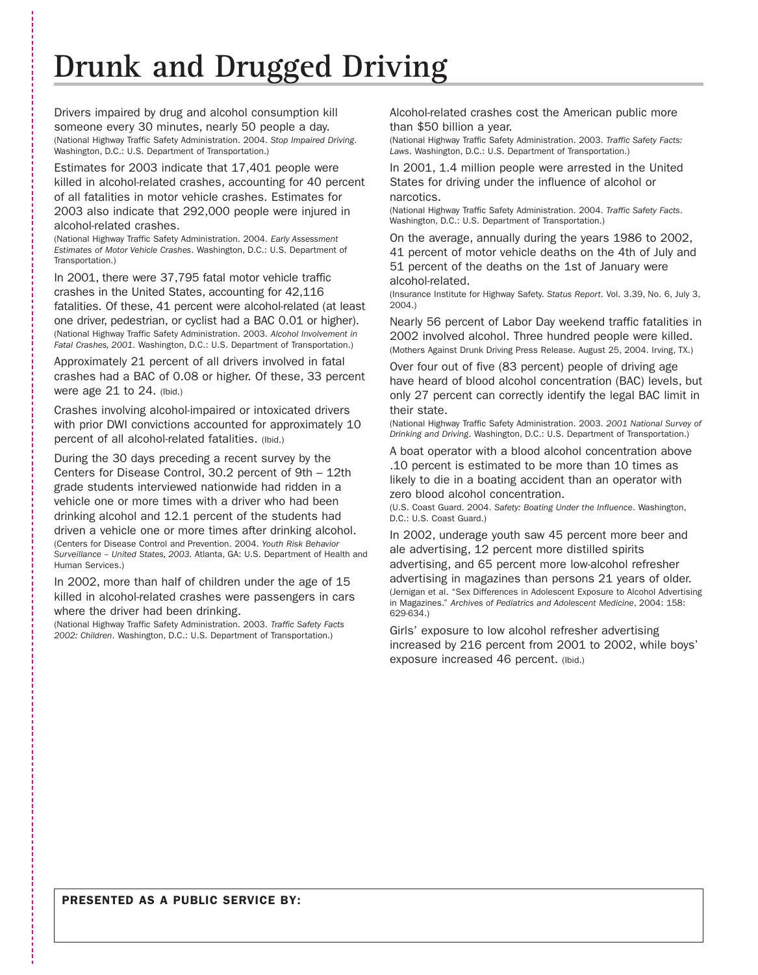# **Drunk and Drugged Driving**

Drivers impaired by drug and alcohol consumption kill someone every 30 minutes, nearly 50 people a day. (National Highway Traffic Safety Administration. 2004. *Stop Impaired Driving*. Washington, D.C.: U.S. Department of Transportation.)

Estimates for 2003 indicate that 17,401 people were killed in alcohol-related crashes, accounting for 40 percent of all fatalities in motor vehicle crashes. Estimates for 2003 also indicate that 292,000 people were injured in alcohol-related crashes.

(National Highway Traffic Safety Administration. 2004. *Early Assessment Estimates of Motor Vehicle Crashes*. Washington, D.C.: U.S. Department of Transportation.)

In 2001, there were 37,795 fatal motor vehicle traffic crashes in the United States, accounting for 42,116 fatalities. Of these, 41 percent were alcohol-related (at least one driver, pedestrian, or cyclist had a BAC 0.01 or higher). (National Highway Traffic Safety Administration. 2003. *Alcohol Involvement in Fatal Crashes, 2001*. Washington, D.C.: U.S. Department of Transportation.)

Approximately 21 percent of all drivers involved in fatal crashes had a BAC of 0.08 or higher. Of these, 33 percent were age 21 to 24. (Ibid.)

Crashes involving alcohol-impaired or intoxicated drivers with prior DWI convictions accounted for approximately 10 percent of all alcohol-related fatalities. (Ibid.)

During the 30 days preceding a recent survey by the Centers for Disease Control, 30.2 percent of 9th – 12th grade students interviewed nationwide had ridden in a vehicle one or more times with a driver who had been drinking alcohol and 12.1 percent of the students had driven a vehicle one or more times after drinking alcohol. (Centers for Disease Control and Prevention. 2004. *Youth Risk Behavior Surveillance – United States, 2003.* Atlanta, GA: U.S. Department of Health and Human Services.)

In 2002, more than half of children under the age of 15 killed in alcohol-related crashes were passengers in cars where the driver had been drinking.

(National Highway Traffic Safety Administration. 2003. *Traffic Safety Facts 2002: Children*. Washington, D.C.: U.S. Department of Transportation.)

Alcohol-related crashes cost the American public more than \$50 billion a year.

(National Highway Traffic Safety Administration. 2003. *Traffic Safety Facts: Laws*. Washington, D.C.: U.S. Department of Transportation.)

In 2001, 1.4 million people were arrested in the United States for driving under the influence of alcohol or narcotics.

(National Highway Traffic Safety Administration. 2004. *Traffic Safety Facts*. Washington, D.C.: U.S. Department of Transportation.)

On the average, annually during the years 1986 to 2002, 41 percent of motor vehicle deaths on the 4th of July and 51 percent of the deaths on the 1st of January were alcohol-related.

(Insurance Institute for Highway Safety. *Status Report*. Vol. 3.39, No. 6, July 3, 2004.)

Nearly 56 percent of Labor Day weekend traffic fatalities in 2002 involved alcohol. Three hundred people were killed. (Mothers Against Drunk Driving Press Release. August 25, 2004. Irving, TX.)

Over four out of five (83 percent) people of driving age have heard of blood alcohol concentration (BAC) levels, but only 27 percent can correctly identify the legal BAC limit in their state.

(National Highway Traffic Safety Administration. 2003. *2001 National Survey of Drinking and Driving*. Washington, D.C.: U.S. Department of Transportation.)

A boat operator with a blood alcohol concentration above .10 percent is estimated to be more than 10 times as likely to die in a boating accident than an operator with zero blood alcohol concentration.

(U.S. Coast Guard. 2004. *Safety: Boating Under the Influence*. Washington, D.C.: U.S. Coast Guard.)

In 2002, underage youth saw 45 percent more beer and ale advertising, 12 percent more distilled spirits advertising, and 65 percent more low-alcohol refresher advertising in magazines than persons 21 years of older. (Jernigan et al. "Sex Differences in Adolescent Exposure to Alcohol Advertising in Magazines." *Archives of Pediatrics and Adolescent Medicine*, 2004: 158: 629-634.)

Girls' exposure to low alcohol refresher advertising increased by 216 percent from 2001 to 2002, while boys' exposure increased 46 percent. (Ibid.)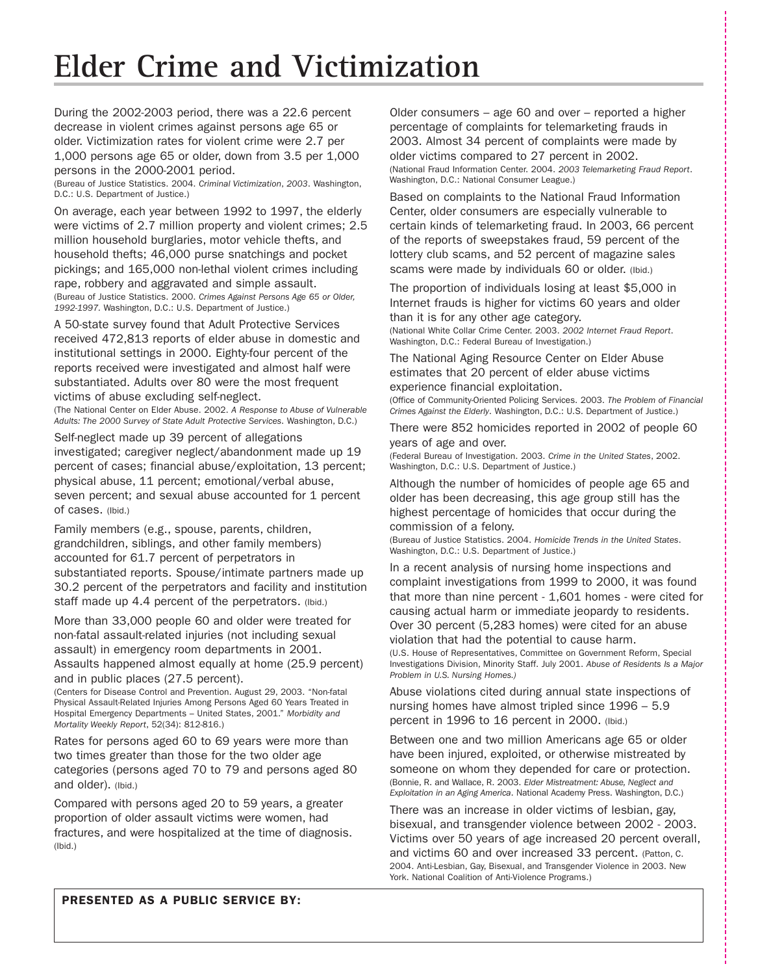# **Elder Crime and Victimization**

During the 2002-2003 period, there was a 22.6 percent decrease in violent crimes against persons age 65 or older. Victimization rates for violent crime were 2.7 per 1,000 persons age 65 or older, down from 3.5 per 1,000 persons in the 2000-2001 period.

(Bureau of Justice Statistics. 2004. *Criminal Victimization*, *2003*. Washington, D.C.: U.S. Department of Justice.)

On average, each year between 1992 to 1997, the elderly were victims of 2.7 million property and violent crimes; 2.5 million household burglaries, motor vehicle thefts, and household thefts; 46,000 purse snatchings and pocket pickings; and 165,000 non-lethal violent crimes including rape, robbery and aggravated and simple assault. (Bureau of Justice Statistics. 2000. *Crimes Against Persons Age 65 or Older, 1992-1997.* Washington, D.C.: U.S. Department of Justice.)

A 50-state survey found that Adult Protective Services received 472,813 reports of elder abuse in domestic and institutional settings in 2000. Eighty-four percent of the reports received were investigated and almost half were substantiated. Adults over 80 were the most frequent victims of abuse excluding self-neglect.

(The National Center on Elder Abuse. 2002. *A Response to Abuse of Vulnerable Adults: The 2000 Survey of State Adult Protective Services*. Washington, D.C.)

Self-neglect made up 39 percent of allegations investigated; caregiver neglect/abandonment made up 19 percent of cases; financial abuse/exploitation, 13 percent; physical abuse, 11 percent; emotional/verbal abuse, seven percent; and sexual abuse accounted for 1 percent of cases. (Ibid.)

Family members (e.g., spouse, parents, children, grandchildren, siblings, and other family members) accounted for 61.7 percent of perpetrators in substantiated reports. Spouse/intimate partners made up 30.2 percent of the perpetrators and facility and institution staff made up 4.4 percent of the perpetrators. (Ibid.)

More than 33,000 people 60 and older were treated for non-fatal assault-related injuries (not including sexual assault) in emergency room departments in 2001. Assaults happened almost equally at home (25.9 percent) and in public places (27.5 percent).

(Centers for Disease Control and Prevention. August 29, 2003. "Non-fatal Physical Assault-Related Injuries Among Persons Aged 60 Years Treated in Hospital Emergency Departments – United States, 2001." *Morbidity and Mortality Weekly Report*, 52(34): 812-816.)

Rates for persons aged 60 to 69 years were more than two times greater than those for the two older age categories (persons aged 70 to 79 and persons aged 80 and older). (Ibid.)

Compared with persons aged 20 to 59 years, a greater proportion of older assault victims were women, had fractures, and were hospitalized at the time of diagnosis. (Ibid.)

Older consumers – age 60 and over – reported a higher percentage of complaints for telemarketing frauds in 2003. Almost 34 percent of complaints were made by older victims compared to 27 percent in 2002. (National Fraud Information Center. 2004. *2003 Telemarketing Fraud Report*. Washington, D.C.: National Consumer League.)

Based on complaints to the National Fraud Information Center, older consumers are especially vulnerable to certain kinds of telemarketing fraud. In 2003, 66 percent of the reports of sweepstakes fraud, 59 percent of the lottery club scams, and 52 percent of magazine sales scams were made by individuals 60 or older. (Ibid.)

The proportion of individuals losing at least \$5,000 in Internet frauds is higher for victims 60 years and older than it is for any other age category.

(National White Collar Crime Center. 2003. *2002 Internet Fraud Report*. Washington, D.C.: Federal Bureau of Investigation.)

The National Aging Resource Center on Elder Abuse estimates that 20 percent of elder abuse victims experience financial exploitation.

(Office of Community-Oriented Policing Services. 2003. *The Problem of Financial Crimes Against the Elderly*. Washington, D.C.: U.S. Department of Justice.)

There were 852 homicides reported in 2002 of people 60 years of age and over.

(Federal Bureau of Investigation. 2003. *Crime in the United States*, 2002. Washington, D.C.: U.S. Department of Justice.)

Although the number of homicides of people age 65 and older has been decreasing, this age group still has the highest percentage of homicides that occur during the commission of a felony.

(Bureau of Justice Statistics. 2004. *Homicide Trends in the United States*. Washington, D.C.: U.S. Department of Justice.)

In a recent analysis of nursing home inspections and complaint investigations from 1999 to 2000, it was found that more than nine percent - 1,601 homes - were cited for causing actual harm or immediate jeopardy to residents. Over 30 percent (5,283 homes) were cited for an abuse violation that had the potential to cause harm.

(U.S. House of Representatives, Committee on Government Reform, Special Investigations Division, Minority Staff. July 2001. *Abuse of Residents Is a Major Problem in U.S. Nursing Homes.)*

Abuse violations cited during annual state inspections of nursing homes have almost tripled since 1996 – 5.9 percent in 1996 to 16 percent in 2000. (Ibid.)

Between one and two million Americans age 65 or older have been injured, exploited, or otherwise mistreated by someone on whom they depended for care or protection. (Bonnie, R. and Wallace, R. 2003. *Elder Mistreatment: Abuse, Neglect and Exploitation in an Aging America*. National Academy Press. Washington, D.C.)

There was an increase in older victims of lesbian, gay, bisexual, and transgender violence between 2002 - 2003. Victims over 50 years of age increased 20 percent overall, and victims 60 and over increased 33 percent. (Patton, C. 2004. Anti-Lesbian, Gay, Bisexual, and Transgender Violence in 2003. New York. National Coalition of Anti-Violence Programs.)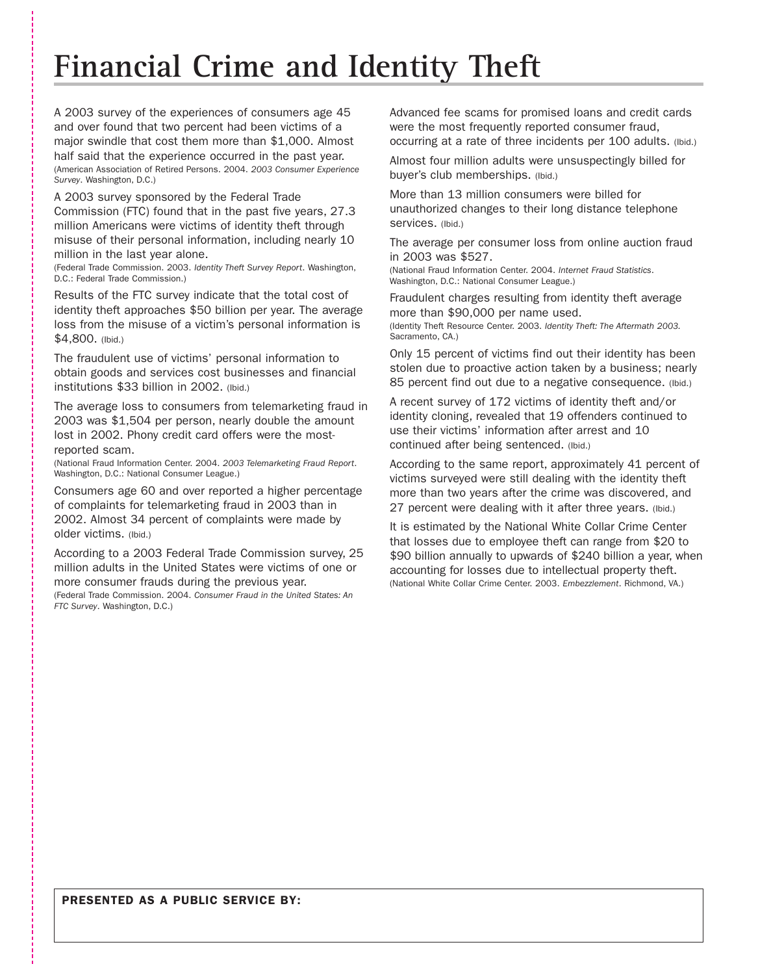# **Financial Crime and Identity Theft**

A 2003 survey of the experiences of consumers age 45 and over found that two percent had been victims of a major swindle that cost them more than \$1,000. Almost half said that the experience occurred in the past year. (American Association of Retired Persons. 2004. *2003 Consumer Experience Survey*. Washington, D.C.)

A 2003 survey sponsored by the Federal Trade Commission (FTC) found that in the past five years, 27.3 million Americans were victims of identity theft through misuse of their personal information, including nearly 10 million in the last year alone.

(Federal Trade Commission. 2003. *Identity Theft Survey Report*. Washington, D.C.: Federal Trade Commission.)

Results of the FTC survey indicate that the total cost of identity theft approaches \$50 billion per year. The average loss from the misuse of a victim's personal information is \$4,800. (Ibid.)

The fraudulent use of victims' personal information to obtain goods and services cost businesses and financial institutions \$33 billion in 2002. (Ibid.)

The average loss to consumers from telemarketing fraud in 2003 was \$1,504 per person, nearly double the amount lost in 2002. Phony credit card offers were the mostreported scam.

(National Fraud Information Center. 2004. *2003 Telemarketing Fraud Report*. Washington, D.C.: National Consumer League.)

Consumers age 60 and over reported a higher percentage of complaints for telemarketing fraud in 2003 than in 2002. Almost 34 percent of complaints were made by older victims. (Ibid.)

According to a 2003 Federal Trade Commission survey, 25 million adults in the United States were victims of one or more consumer frauds during the previous year.

(Federal Trade Commission. 2004. *Consumer Fraud in the United States: An FTC Survey*. Washington, D.C.)

Advanced fee scams for promised loans and credit cards were the most frequently reported consumer fraud, occurring at a rate of three incidents per 100 adults. (Ibid.)

Almost four million adults were unsuspectingly billed for buyer's club memberships. (Ibid.)

More than 13 million consumers were billed for unauthorized changes to their long distance telephone services. (Ibid.)

The average per consumer loss from online auction fraud in 2003 was \$527.

(National Fraud Information Center. 2004. *Internet Fraud Statistics*. Washington, D.C.: National Consumer League.)

Fraudulent charges resulting from identity theft average more than \$90,000 per name used. (Identity Theft Resource Center. 2003. *Identity Theft: The Aftermath 2003.* Sacramento, CA.)

Only 15 percent of victims find out their identity has been stolen due to proactive action taken by a business; nearly 85 percent find out due to a negative consequence. (Ibid.)

A recent survey of 172 victims of identity theft and/or identity cloning, revealed that 19 offenders continued to use their victims' information after arrest and 10 continued after being sentenced. (Ibid.)

According to the same report, approximately 41 percent of victims surveyed were still dealing with the identity theft more than two years after the crime was discovered, and 27 percent were dealing with it after three years. (Ibid.)

It is estimated by the National White Collar Crime Center that losses due to employee theft can range from \$20 to \$90 billion annually to upwards of \$240 billion a year, when accounting for losses due to intellectual property theft. (National White Collar Crime Center. 2003. *Embezzlement*. Richmond, VA.)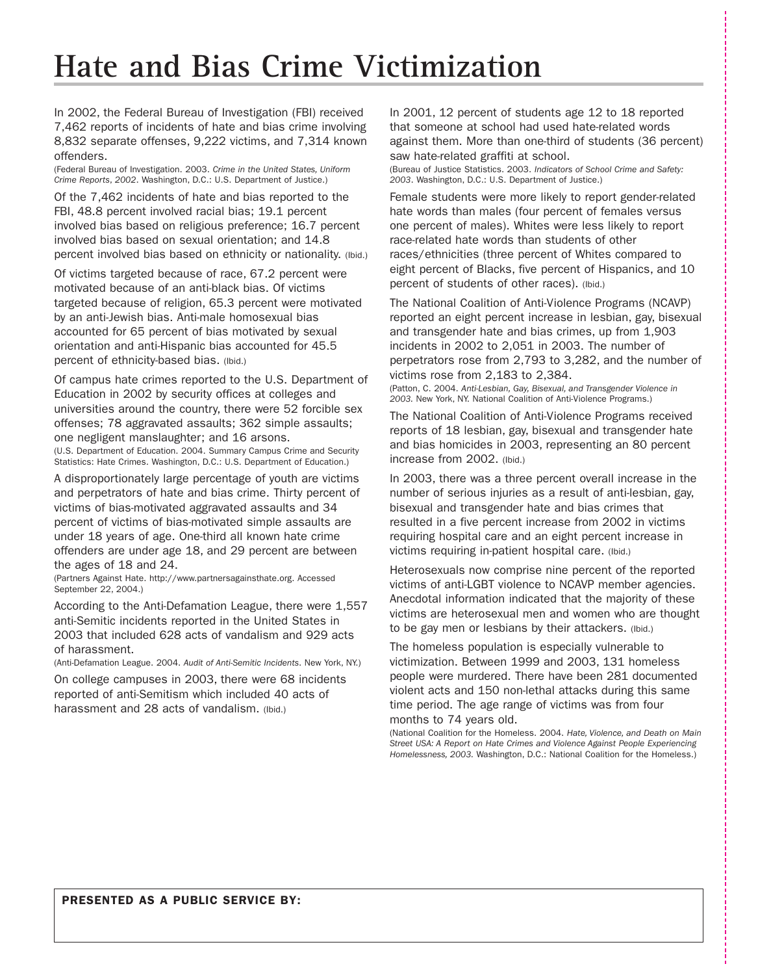# **Hate and Bias Crime Victimization**

In 2002, the Federal Bureau of Investigation (FBI) received 7,462 reports of incidents of hate and bias crime involving 8,832 separate offenses, 9,222 victims, and 7,314 known offenders.

(Federal Bureau of Investigation. 2003. *Crime in the United States, Uniform Crime Reports*, *2002*. Washington, D.C.: U.S. Department of Justice.)

Of the 7,462 incidents of hate and bias reported to the FBI, 48.8 percent involved racial bias; 19.1 percent involved bias based on religious preference; 16.7 percent involved bias based on sexual orientation; and 14.8 percent involved bias based on ethnicity or nationality. (Ibid.)

Of victims targeted because of race, 67.2 percent were motivated because of an anti-black bias. Of victims targeted because of religion, 65.3 percent were motivated by an anti-Jewish bias. Anti-male homosexual bias accounted for 65 percent of bias motivated by sexual orientation and anti-Hispanic bias accounted for 45.5 percent of ethnicity-based bias. (Ibid.)

Of campus hate crimes reported to the U.S. Department of Education in 2002 by security offices at colleges and universities around the country, there were 52 forcible sex offenses; 78 aggravated assaults; 362 simple assaults; one negligent manslaughter; and 16 arsons. (U.S. Department of Education. 2004. Summary Campus Crime and Security Statistics: Hate Crimes. Washington, D.C.: U.S. Department of Education.)

A disproportionately large percentage of youth are victims and perpetrators of hate and bias crime. Thirty percent of victims of bias-motivated aggravated assaults and 34 percent of victims of bias-motivated simple assaults are under 18 years of age. One-third all known hate crime offenders are under age 18, and 29 percent are between the ages of 18 and 24.

(Partners Against Hate. http://www.partnersagainsthate.org. Accessed September 22, 2004.)

According to the Anti-Defamation League, there were 1,557 anti-Semitic incidents reported in the United States in 2003 that included 628 acts of vandalism and 929 acts of harassment.

(Anti-Defamation League. 2004. *Audit of Anti-Semitic Incidents*. New York, NY.)

On college campuses in 2003, there were 68 incidents reported of anti-Semitism which included 40 acts of harassment and 28 acts of vandalism. (Ibid.)

In 2001, 12 percent of students age 12 to 18 reported that someone at school had used hate-related words against them. More than one-third of students (36 percent) saw hate-related graffiti at school.

(Bureau of Justice Statistics. 2003. *Indicators of School Crime and Safety: 2003*. Washington, D.C.: U.S. Department of Justice.)

Female students were more likely to report gender-related hate words than males (four percent of females versus one percent of males). Whites were less likely to report race-related hate words than students of other races/ethnicities (three percent of Whites compared to eight percent of Blacks, five percent of Hispanics, and 10 percent of students of other races). (Ibid.)

The National Coalition of Anti-Violence Programs (NCAVP) reported an eight percent increase in lesbian, gay, bisexual and transgender hate and bias crimes, up from 1,903 incidents in 2002 to 2,051 in 2003. The number of perpetrators rose from 2,793 to 3,282, and the number of victims rose from 2,183 to 2,384.

(Patton, C. 2004. *Anti-Lesbian, Gay, Bisexual, and Transgender Violence in 2003.* New York, NY. National Coalition of Anti-Violence Programs.)

The National Coalition of Anti-Violence Programs received reports of 18 lesbian, gay, bisexual and transgender hate and bias homicides in 2003, representing an 80 percent increase from 2002. (Ibid.)

In 2003, there was a three percent overall increase in the number of serious injuries as a result of anti-lesbian, gay, bisexual and transgender hate and bias crimes that resulted in a five percent increase from 2002 in victims requiring hospital care and an eight percent increase in victims requiring in-patient hospital care. (Ibid.)

Heterosexuals now comprise nine percent of the reported victims of anti-LGBT violence to NCAVP member agencies. Anecdotal information indicated that the majority of these victims are heterosexual men and women who are thought to be gay men or lesbians by their attackers. (Ibid.)

The homeless population is especially vulnerable to victimization. Between 1999 and 2003, 131 homeless people were murdered. There have been 281 documented violent acts and 150 non-lethal attacks during this same time period. The age range of victims was from four months to 74 years old.

(National Coalition for the Homeless. 2004. *Hate, Violence, and Death on Main Street USA: A Report on Hate Crimes and Violence Against People Experiencing Homelessness, 2003.* Washington, D.C.: National Coalition for the Homeless.)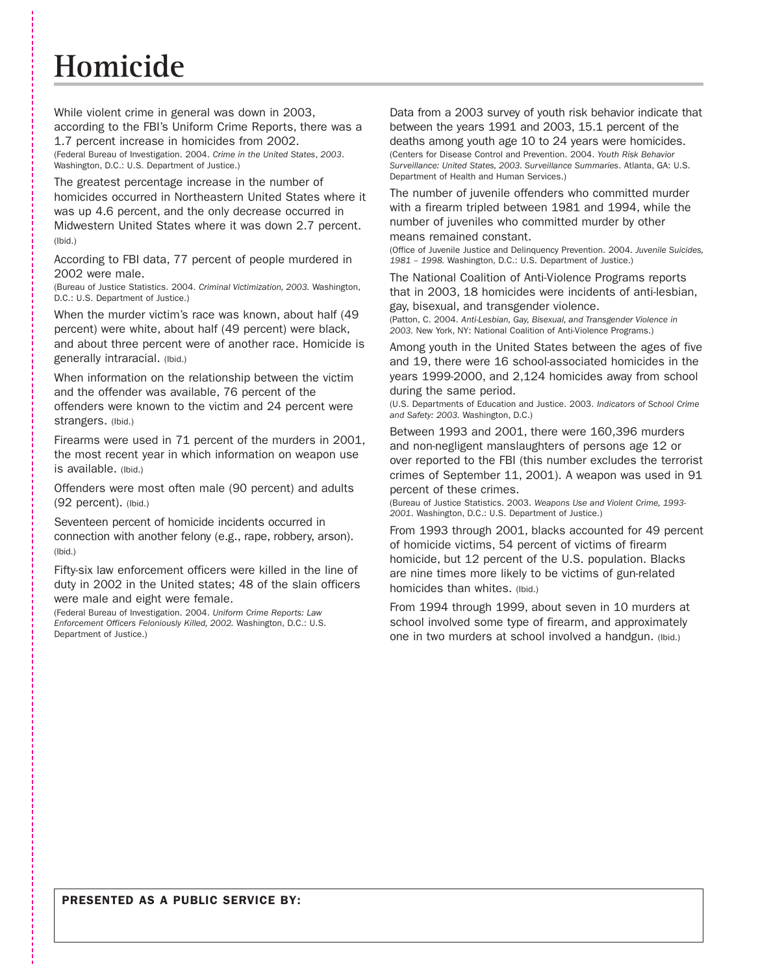# **Homicide**

While violent crime in general was down in 2003, according to the FBI's Uniform Crime Reports, there was a 1.7 percent increase in homicides from 2002. (Federal Bureau of Investigation. 2004. *Crime in the United States*, *2003*. Washington, D.C.: U.S. Department of Justice.)

The greatest percentage increase in the number of homicides occurred in Northeastern United States where it was up 4.6 percent, and the only decrease occurred in Midwestern United States where it was down 2.7 percent. (Ibid.)

According to FBI data, 77 percent of people murdered in 2002 were male.

(Bureau of Justice Statistics. 2004. *Criminal Victimization, 2003.* Washington, D.C.: U.S. Department of Justice.)

When the murder victim's race was known, about half (49 percent) were white, about half (49 percent) were black, and about three percent were of another race. Homicide is generally intraracial. (Ibid.)

When information on the relationship between the victim and the offender was available, 76 percent of the offenders were known to the victim and 24 percent were strangers. (Ibid.)

Firearms were used in 71 percent of the murders in 2001, the most recent year in which information on weapon use is available. (Ibid.)

Offenders were most often male (90 percent) and adults (92 percent). (Ibid.)

Seventeen percent of homicide incidents occurred in connection with another felony (e.g., rape, robbery, arson). (Ibid.)

Fifty-six law enforcement officers were killed in the line of duty in 2002 in the United states; 48 of the slain officers were male and eight were female.

(Federal Bureau of Investigation. 2004. *Uniform Crime Reports: Law Enforcement Officers Feloniously Killed, 2002.* Washington, D.C.: U.S. Department of Justice.)

Data from a 2003 survey of youth risk behavior indicate that between the years 1991 and 2003, 15.1 percent of the deaths among youth age 10 to 24 years were homicides. (Centers for Disease Control and Prevention. 2004. *Youth Risk Behavior Surveillance: United States, 2003. Surveillance Summaries*. Atlanta, GA: U.S. Department of Health and Human Services.)

The number of juvenile offenders who committed murder with a firearm tripled between 1981 and 1994, while the number of juveniles who committed murder by other means remained constant.

(Office of Juvenile Justice and Delinquency Prevention. 2004. *Juvenile Suicides, 1981 – 1998.* Washington, D.C.: U.S. Department of Justice.)

The National Coalition of Anti-Violence Programs reports that in 2003, 18 homicides were incidents of anti-lesbian, gay, bisexual, and transgender violence.

(Patton, C. 2004. *Anti-Lesbian, Gay, Bisexual, and Transgender Violence in 2003.* New York, NY: National Coalition of Anti-Violence Programs.)

Among youth in the United States between the ages of five and 19, there were 16 school-associated homicides in the years 1999-2000, and 2,124 homicides away from school during the same period.

(U.S. Departments of Education and Justice. 2003. *Indicators of School Crime and Safety: 2003.* Washington, D.C.)

Between 1993 and 2001, there were 160,396 murders and non-negligent manslaughters of persons age 12 or over reported to the FBI (this number excludes the terrorist crimes of September 11, 2001). A weapon was used in 91 percent of these crimes.

(Bureau of Justice Statistics. 2003. *Weapons Use and Violent Crime, 1993- 2001*. Washington, D.C.: U.S. Department of Justice.)

From 1993 through 2001, blacks accounted for 49 percent of homicide victims, 54 percent of victims of firearm homicide, but 12 percent of the U.S. population. Blacks are nine times more likely to be victims of gun-related homicides than whites. (Ibid.)

From 1994 through 1999, about seven in 10 murders at school involved some type of firearm, and approximately one in two murders at school involved a handgun. (Ibid.)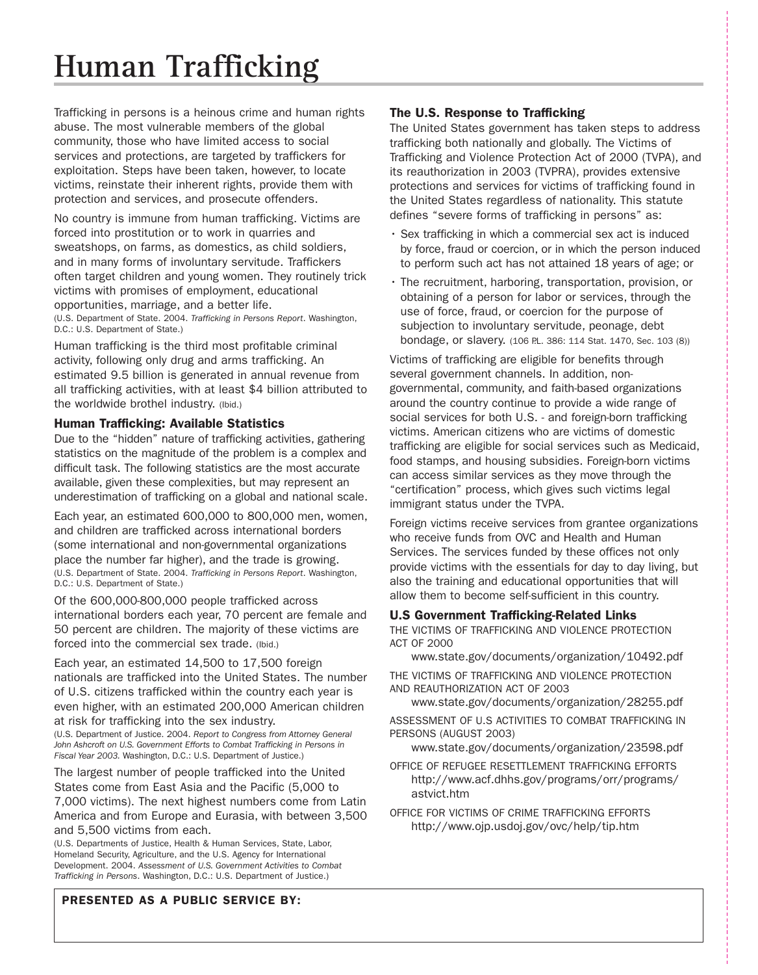Trafficking in persons is a heinous crime and human rights abuse. The most vulnerable members of the global community, those who have limited access to social services and protections, are targeted by traffickers for exploitation. Steps have been taken, however, to locate victims, reinstate their inherent rights, provide them with protection and services, and prosecute offenders.

No country is immune from human trafficking. Victims are forced into prostitution or to work in quarries and sweatshops, on farms, as domestics, as child soldiers, and in many forms of involuntary servitude. Traffickers often target children and young women. They routinely trick victims with promises of employment, educational opportunities, marriage, and a better life. (U.S. Department of State. 2004. *Trafficking in Persons Report*. Washington, D.C.: U.S. Department of State.)

Human trafficking is the third most profitable criminal activity, following only drug and arms trafficking. An estimated 9.5 billion is generated in annual revenue from all trafficking activities, with at least \$4 billion attributed to the worldwide brothel industry. (Ibid.)

### **Human Trafficking: Available Statistics**

Due to the "hidden" nature of trafficking activities, gathering statistics on the magnitude of the problem is a complex and difficult task. The following statistics are the most accurate available, given these complexities, but may represent an underestimation of trafficking on a global and national scale.

Each year, an estimated 600,000 to 800,000 men, women, and children are trafficked across international borders (some international and non-governmental organizations place the number far higher), and the trade is growing. (U.S. Department of State. 2004. *Trafficking in Persons Report*. Washington, D.C.: U.S. Department of State.)

Of the 600,000-800,000 people trafficked across international borders each year, 70 percent are female and 50 percent are children. The majority of these victims are forced into the commercial sex trade. (Ibid.)

Each year, an estimated 14,500 to 17,500 foreign nationals are trafficked into the United States. The number of U.S. citizens trafficked within the country each year is even higher, with an estimated 200,000 American children at risk for trafficking into the sex industry.

(U.S. Department of Justice. 2004. *Report to Congress from Attorney General John Ashcroft on U.S. Government Efforts to Combat Trafficking in Persons in Fiscal Year 2003.* Washington, D.C.: U.S. Department of Justice.)

The largest number of people trafficked into the United States come from East Asia and the Pacific (5,000 to 7,000 victims). The next highest numbers come from Latin America and from Europe and Eurasia, with between 3,500 and 5,500 victims from each.

(U.S. Departments of Justice, Health & Human Services, State, Labor, Homeland Security, Agriculture, and the U.S. Agency for International Development. 2004. *Assessment of U.S. Government Activities to Combat Trafficking in Persons*. Washington, D.C.: U.S. Department of Justice.)

### **The U.S. Response to Trafficking**

The United States government has taken steps to address trafficking both nationally and globally. The Victims of Trafficking and Violence Protection Act of 2000 (TVPA), and its reauthorization in 2003 (TVPRA), provides extensive protections and services for victims of trafficking found in the United States regardless of nationality. This statute defines "severe forms of trafficking in persons" as:

- Sex trafficking in which a commercial sex act is induced by force, fraud or coercion, or in which the person induced to perform such act has not attained 18 years of age; or
- The recruitment, harboring, transportation, provision, or obtaining of a person for labor or services, through the use of force, fraud, or coercion for the purpose of subjection to involuntary servitude, peonage, debt bondage, or slavery. (106 P.L. 386: 114 Stat. 1470, Sec. 103 (8))

Victims of trafficking are eligible for benefits through several government channels. In addition, nongovernmental, community, and faith-based organizations around the country continue to provide a wide range of social services for both U.S. - and foreign-born trafficking victims. American citizens who are victims of domestic trafficking are eligible for social services such as Medicaid, food stamps, and housing subsidies. Foreign-born victims can access similar services as they move through the "certification" process, which gives such victims legal immigrant status under the TVPA.

Foreign victims receive services from grantee organizations who receive funds from OVC and Health and Human Services. The services funded by these offices not only provide victims with the essentials for day to day living, but also the training and educational opportunities that will allow them to become self-sufficient in this country.

### **U.S Government Trafficking-Related Links**

THE VICTIMS OF TRAFFICKING AND VIOLENCE PROTECTION ACT OF 2000

www.state.gov/documents/organization/10492.pdf

THE VICTIMS OF TRAFFICKING AND VIOLENCE PROTECTION AND REAUTHORIZATION ACT OF 2003

www.state.gov/documents/organization/28255.pdf

ASSESSMENT OF U.S ACTIVITIES TO COMBAT TRAFFICKING IN PERSONS (AUGUST 2003)

www.state.gov/documents/organization/23598.pdf

OFFICE OF REFUGEE RESETTLEMENT TRAFFICKING EFFORTS http://www.acf.dhhs.gov/programs/orr/programs/ astvict.htm

OFFICE FOR VICTIMS OF CRIME TRAFFICKING EFFORTS http://www.ojp.usdoj.gov/ovc/help/tip.htm

### **PRESENTED AS A PUBLIC SERVICE BY:**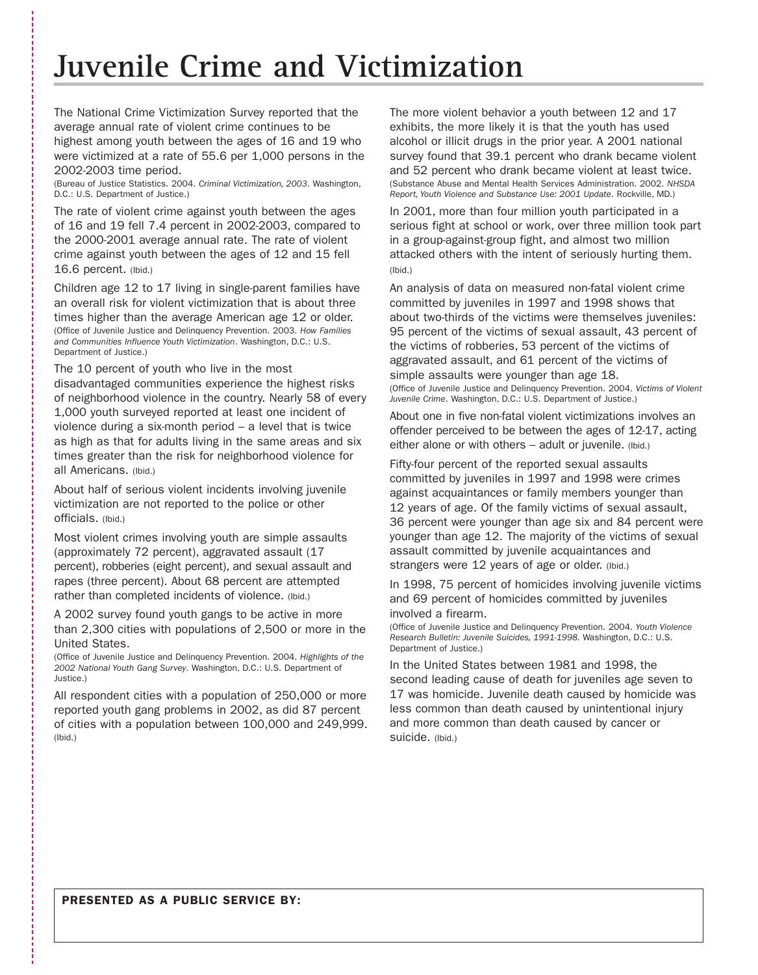# **Juvenile Crime and Victimization**

The National Crime Victimization Survey reported that the average annual rate of violent crime continues to be highest among youth between the ages of 16 and 19 who were victimized at a rate of 55.6 per 1,000 persons in the 2002-2003 time period.

(Bureau of Justice Statistics. 2004. *Criminal Victimization, 2003*. Washington, D.C.: U.S. Department of Justice.)

The rate of violent crime against youth between the ages of 16 and 19 fell 7.4 percent in 2002-2003, compared to the 2000-2001 average annual rate. The rate of violent crime against youth between the ages of 12 and 15 fell 16.6 percent. (Ibid.)

Children age 12 to 17 living in single-parent families have an overall risk for violent victimization that is about three times higher than the average American age 12 or older. (Office of Juvenile Justice and Delinquency Prevention. 2003. *How Families and Communities Influence Youth Victimization*. Washington, D.C.: U.S. Department of Justice.)

The 10 percent of youth who live in the most disadvantaged communities experience the highest risks of neighborhood violence in the country. Nearly 58 of every 1,000 youth surveyed reported at least one incident of violence during a six-month period – a level that is twice as high as that for adults living in the same areas and six times greater than the risk for neighborhood violence for all Americans. (Ibid.)

About half of serious violent incidents involving juvenile victimization are not reported to the police or other officials. (Ibid.)

Most violent crimes involving youth are simple assaults (approximately 72 percent), aggravated assault (17 percent), robberies (eight percent), and sexual assault and rapes (three percent). About 68 percent are attempted rather than completed incidents of violence. (Ibid.)

A 2002 survey found youth gangs to be active in more than 2,300 cities with populations of 2,500 or more in the United States.

(Office of Juvenile Justice and Delinquency Prevention. 2004. *Highlights of the 2002 National Youth Gang Survey*. Washington, D.C.: U.S. Department of Justice.)

All respondent cities with a population of 250,000 or more reported youth gang problems in 2002, as did 87 percent of cities with a population between 100,000 and 249,999. (Ibid.)

The more violent behavior a youth between 12 and 17 exhibits, the more likely it is that the youth has used alcohol or illicit drugs in the prior year. A 2001 national survey found that 39.1 percent who drank became violent and 52 percent who drank became violent at least twice. (Substance Abuse and Mental Health Services Administration. 2002. *NHSDA Report, Youth Violence and Substance Use: 2001 Update*. Rockville, MD.)

In 2001, more than four million youth participated in a serious fight at school or work, over three million took part in a group-against-group fight, and almost two million attacked others with the intent of seriously hurting them. (Ibid.)

An analysis of data on measured non-fatal violent crime committed by juveniles in 1997 and 1998 shows that about two-thirds of the victims were themselves juveniles: 95 percent of the victims of sexual assault, 43 percent of the victims of robberies, 53 percent of the victims of aggravated assault, and 61 percent of the victims of simple assaults were younger than age 18.

(Office of Juvenile Justice and Delinquency Prevention. 2004. *Victims of Violent Juvenile Crime*. Washington, D.C.: U.S. Department of Justice.)

About one in five non-fatal violent victimizations involves an offender perceived to be between the ages of 12-17, acting either alone or with others – adult or juvenile. (Ibid.)

Fifty-four percent of the reported sexual assaults committed by juveniles in 1997 and 1998 were crimes against acquaintances or family members younger than 12 years of age. Of the family victims of sexual assault, 36 percent were younger than age six and 84 percent were younger than age 12. The majority of the victims of sexual assault committed by juvenile acquaintances and strangers were 12 years of age or older. (Ibid.)

In 1998, 75 percent of homicides involving juvenile victims and 69 percent of homicides committed by juveniles involved a firearm.

(Office of Juvenile Justice and Delinquency Prevention. 2004. *Youth Violence Research Bulletin: Juvenile Suicides, 1991-1998.* Washington, D.C.: U.S. Department of Justice.)

In the United States between 1981 and 1998, the second leading cause of death for juveniles age seven to 17 was homicide. Juvenile death caused by homicide was less common than death caused by unintentional injury and more common than death caused by cancer or suicide. (Ibid.)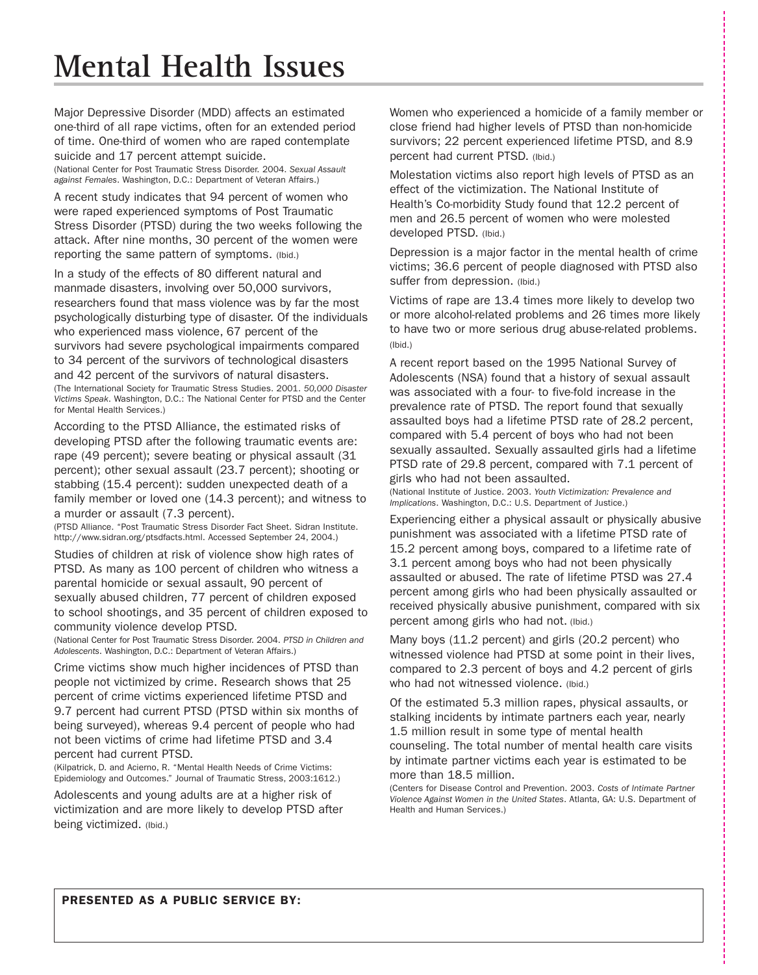# **Mental Health Issues**

Major Depressive Disorder (MDD) affects an estimated one-third of all rape victims, often for an extended period of time. One-third of women who are raped contemplate suicide and 17 percent attempt suicide.

(National Center for Post Traumatic Stress Disorder. 2004. *Sexual Assault against Females*. Washington, D.C.: Department of Veteran Affairs.)

A recent study indicates that 94 percent of women who were raped experienced symptoms of Post Traumatic Stress Disorder (PTSD) during the two weeks following the attack. After nine months, 30 percent of the women were reporting the same pattern of symptoms. (Ibid.)

In a study of the effects of 80 different natural and manmade disasters, involving over 50,000 survivors, researchers found that mass violence was by far the most psychologically disturbing type of disaster. Of the individuals who experienced mass violence, 67 percent of the survivors had severe psychological impairments compared to 34 percent of the survivors of technological disasters and 42 percent of the survivors of natural disasters. (The International Society for Traumatic Stress Studies. 2001. *50,000 Disaster Victims Speak*. Washington, D.C.: The National Center for PTSD and the Center for Mental Health Services.)

According to the PTSD Alliance, the estimated risks of developing PTSD after the following traumatic events are: rape (49 percent); severe beating or physical assault (31 percent); other sexual assault (23.7 percent); shooting or stabbing (15.4 percent): sudden unexpected death of a family member or loved one (14.3 percent); and witness to a murder or assault (7.3 percent).

(PTSD Alliance. "Post Traumatic Stress Disorder Fact Sheet. Sidran Institute. http://www.sidran.org/ptsdfacts.html. Accessed September 24, 2004.)

Studies of children at risk of violence show high rates of PTSD. As many as 100 percent of children who witness a parental homicide or sexual assault, 90 percent of sexually abused children, 77 percent of children exposed to school shootings, and 35 percent of children exposed to community violence develop PTSD.

(National Center for Post Traumatic Stress Disorder. 2004. *PTSD in Children and Adolescents*. Washington, D.C.: Department of Veteran Affairs.)

Crime victims show much higher incidences of PTSD than people not victimized by crime. Research shows that 25 percent of crime victims experienced lifetime PTSD and 9.7 percent had current PTSD (PTSD within six months of being surveyed), whereas 9.4 percent of people who had not been victims of crime had lifetime PTSD and 3.4 percent had current PTSD.

(Kilpatrick, D. and Acierno, R. "Mental Health Needs of Crime Victims: Epidemiology and Outcomes." Journal of Traumatic Stress, 2003:1612.)

Adolescents and young adults are at a higher risk of victimization and are more likely to develop PTSD after being victimized. (Ibid.)

Women who experienced a homicide of a family member or close friend had higher levels of PTSD than non-homicide survivors; 22 percent experienced lifetime PTSD, and 8.9 percent had current PTSD. (Ibid.)

Molestation victims also report high levels of PTSD as an effect of the victimization. The National Institute of Health's Co-morbidity Study found that 12.2 percent of men and 26.5 percent of women who were molested developed PTSD. (Ibid.)

Depression is a major factor in the mental health of crime victims; 36.6 percent of people diagnosed with PTSD also suffer from depression. (Ibid.)

Victims of rape are 13.4 times more likely to develop two or more alcohol-related problems and 26 times more likely to have two or more serious drug abuse-related problems. (Ibid.)

A recent report based on the 1995 National Survey of Adolescents (NSA) found that a history of sexual assault was associated with a four- to five-fold increase in the prevalence rate of PTSD. The report found that sexually assaulted boys had a lifetime PTSD rate of 28.2 percent, compared with 5.4 percent of boys who had not been sexually assaulted. Sexually assaulted girls had a lifetime PTSD rate of 29.8 percent, compared with 7.1 percent of girls who had not been assaulted.

(National Institute of Justice. 2003. *Youth Victimization: Prevalence and Implications*. Washington, D.C.: U.S. Department of Justice.)

Experiencing either a physical assault or physically abusive punishment was associated with a lifetime PTSD rate of 15.2 percent among boys, compared to a lifetime rate of 3.1 percent among boys who had not been physically assaulted or abused. The rate of lifetime PTSD was 27.4 percent among girls who had been physically assaulted or received physically abusive punishment, compared with six percent among girls who had not. (Ibid.)

Many boys (11.2 percent) and girls (20.2 percent) who witnessed violence had PTSD at some point in their lives, compared to 2.3 percent of boys and 4.2 percent of girls who had not witnessed violence. (Ibid.)

Of the estimated 5.3 million rapes, physical assaults, or stalking incidents by intimate partners each year, nearly 1.5 million result in some type of mental health counseling. The total number of mental health care visits by intimate partner victims each year is estimated to be more than 18.5 million.

(Centers for Disease Control and Prevention. 2003. *Costs of Intimate Partner Violence Against Women in the United States*. Atlanta, GA: U.S. Department of Health and Human Services.)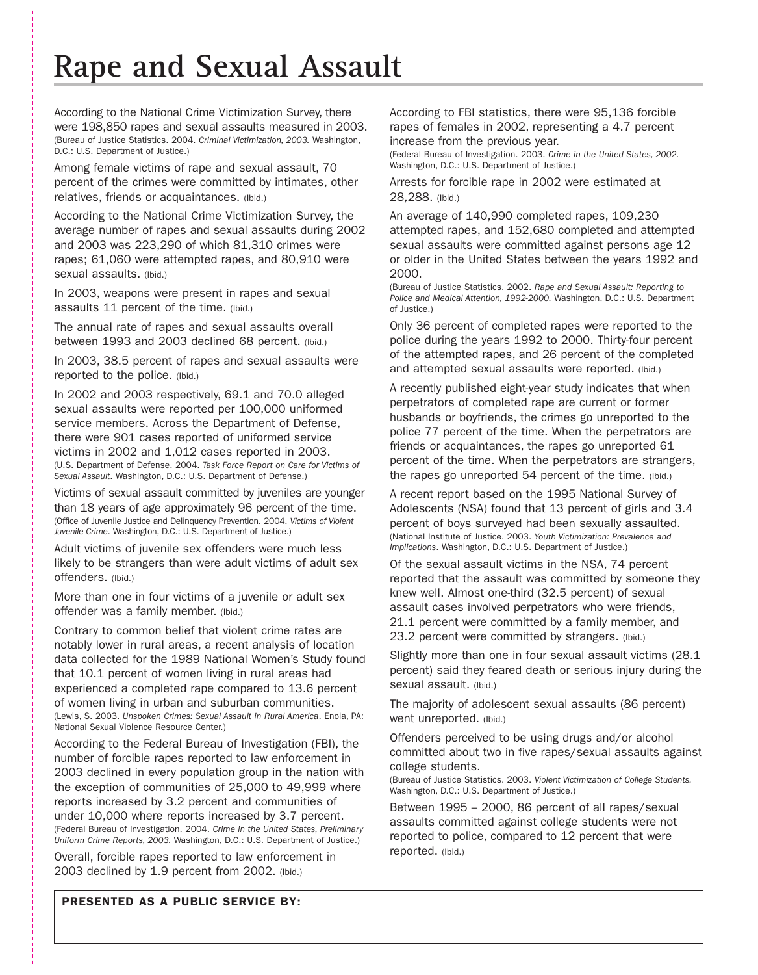# **Rape and Sexual Assault**

According to the National Crime Victimization Survey, there were 198,850 rapes and sexual assaults measured in 2003. (Bureau of Justice Statistics. 2004. *Criminal Victimization, 2003.* Washington, D.C.: U.S. Department of Justice.)

Among female victims of rape and sexual assault, 70 percent of the crimes were committed by intimates, other relatives, friends or acquaintances. (Ibid.)

According to the National Crime Victimization Survey, the average number of rapes and sexual assaults during 2002 and 2003 was 223,290 of which 81,310 crimes were rapes; 61,060 were attempted rapes, and 80,910 were sexual assaults. (Ibid.)

In 2003, weapons were present in rapes and sexual assaults 11 percent of the time. (Ibid.)

The annual rate of rapes and sexual assaults overall between 1993 and 2003 declined 68 percent. (Ibid.)

In 2003, 38.5 percent of rapes and sexual assaults were reported to the police. (Ibid.)

In 2002 and 2003 respectively, 69.1 and 70.0 alleged sexual assaults were reported per 100,000 uniformed service members. Across the Department of Defense, there were 901 cases reported of uniformed service victims in 2002 and 1,012 cases reported in 2003. (U.S. Department of Defense. 2004. *Task Force Report on Care for Victims of Sexual Assault*. Washington, D.C.: U.S. Department of Defense.)

Victims of sexual assault committed by juveniles are younger than 18 years of age approximately 96 percent of the time. (Office of Juvenile Justice and Delinquency Prevention. 2004. *Victims of Violent Juvenile Crime*. Washington, D.C.: U.S. Department of Justice.)

Adult victims of juvenile sex offenders were much less likely to be strangers than were adult victims of adult sex offenders. (Ibid.)

More than one in four victims of a juvenile or adult sex offender was a family member. (Ibid.)

Contrary to common belief that violent crime rates are notably lower in rural areas, a recent analysis of location data collected for the 1989 National Women's Study found that 10.1 percent of women living in rural areas had experienced a completed rape compared to 13.6 percent of women living in urban and suburban communities. (Lewis, S. 2003. *Unspoken Crimes: Sexual Assault in Rural America*. Enola, PA: National Sexual Violence Resource Center.)

According to the Federal Bureau of Investigation (FBI), the number of forcible rapes reported to law enforcement in 2003 declined in every population group in the nation with the exception of communities of 25,000 to 49,999 where reports increased by 3.2 percent and communities of under 10,000 where reports increased by 3.7 percent. (Federal Bureau of Investigation. 2004. *Crime in the United States, Preliminary Uniform Crime Reports, 2003.* Washington, D.C.: U.S. Department of Justice.)

Overall, forcible rapes reported to law enforcement in 2003 declined by 1.9 percent from 2002. (Ibid.)

According to FBI statistics, there were 95,136 forcible rapes of females in 2002, representing a 4.7 percent increase from the previous year.

(Federal Bureau of Investigation. 2003. *Crime in the United States, 2002.* Washington, D.C.: U.S. Department of Justice.)

Arrests for forcible rape in 2002 were estimated at 28,288. (Ibid.)

An average of 140,990 completed rapes, 109,230 attempted rapes, and 152,680 completed and attempted sexual assaults were committed against persons age 12 or older in the United States between the years 1992 and 2000.

(Bureau of Justice Statistics. 2002. *Rape and Sexual Assault: Reporting to Police and Medical Attention, 1992-2000.* Washington, D.C.: U.S. Department of Justice.)

Only 36 percent of completed rapes were reported to the police during the years 1992 to 2000. Thirty-four percent of the attempted rapes, and 26 percent of the completed and attempted sexual assaults were reported. (Ibid.)

A recently published eight-year study indicates that when perpetrators of completed rape are current or former husbands or boyfriends, the crimes go unreported to the police 77 percent of the time. When the perpetrators are friends or acquaintances, the rapes go unreported 61 percent of the time. When the perpetrators are strangers, the rapes go unreported 54 percent of the time. (Ibid.)

A recent report based on the 1995 National Survey of Adolescents (NSA) found that 13 percent of girls and 3.4 percent of boys surveyed had been sexually assaulted. (National Institute of Justice. 2003. *Youth Victimization: Prevalence and Implications*. Washington, D.C.: U.S. Department of Justice.)

Of the sexual assault victims in the NSA, 74 percent reported that the assault was committed by someone they knew well. Almost one-third (32.5 percent) of sexual assault cases involved perpetrators who were friends, 21.1 percent were committed by a family member, and 23.2 percent were committed by strangers. (Ibid.)

Slightly more than one in four sexual assault victims (28.1 percent) said they feared death or serious injury during the sexual assault. (Ibid.)

The majority of adolescent sexual assaults (86 percent) went unreported. (Ibid.)

Offenders perceived to be using drugs and/or alcohol committed about two in five rapes/sexual assaults against college students.

(Bureau of Justice Statistics. 2003. *Violent Victimization of College Students.* Washington, D.C.: U.S. Department of Justice.)

Between 1995 – 2000, 86 percent of all rapes/sexual assaults committed against college students were not reported to police, compared to 12 percent that were reported. (Ibid.)

### **PRESENTED AS A PUBLIC SERVICE BY:**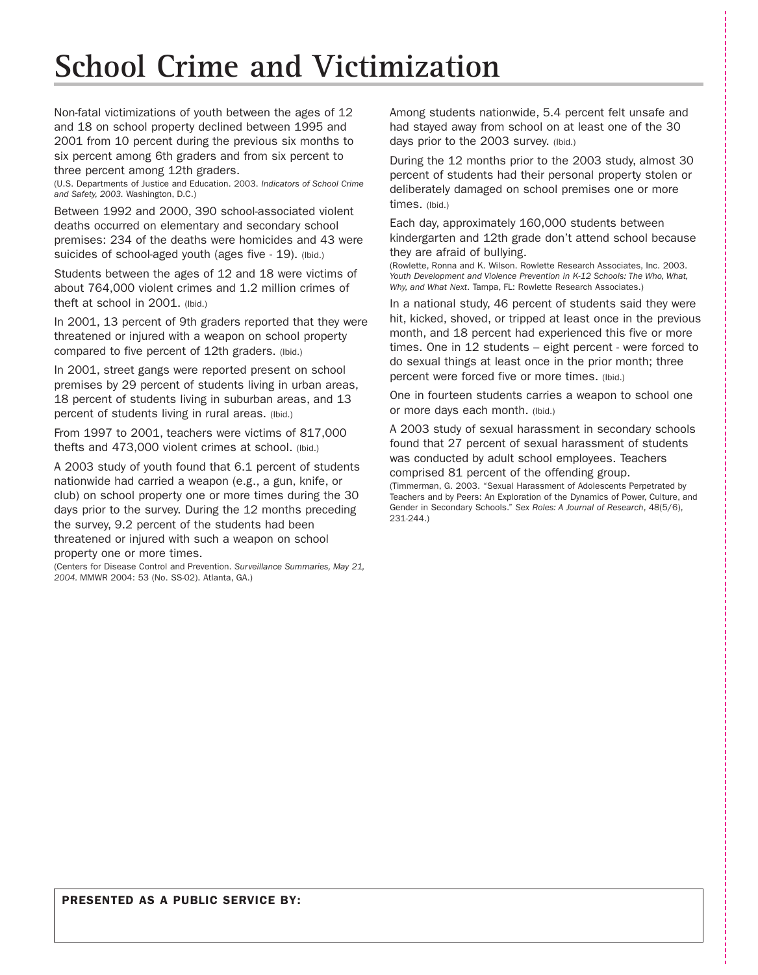# **School Crime and Victimization**

Non-fatal victimizations of youth between the ages of 12 and 18 on school property declined between 1995 and 2001 from 10 percent during the previous six months to six percent among 6th graders and from six percent to three percent among 12th graders.

(U.S. Departments of Justice and Education. 2003. *Indicators of School Crime and Safety, 2003.* Washington, D.C.)

Between 1992 and 2000, 390 school-associated violent deaths occurred on elementary and secondary school premises: 234 of the deaths were homicides and 43 were suicides of school-aged youth (ages five - 19). (Ibid.)

Students between the ages of 12 and 18 were victims of about 764,000 violent crimes and 1.2 million crimes of theft at school in 2001. (Ibid.)

In 2001, 13 percent of 9th graders reported that they were threatened or injured with a weapon on school property compared to five percent of 12th graders. (Ibid.)

In 2001, street gangs were reported present on school premises by 29 percent of students living in urban areas, 18 percent of students living in suburban areas, and 13 percent of students living in rural areas. (Ibid.)

From 1997 to 2001, teachers were victims of 817,000 thefts and 473,000 violent crimes at school. (Ibid.)

A 2003 study of youth found that 6.1 percent of students nationwide had carried a weapon (e.g., a gun, knife, or club) on school property one or more times during the 30 days prior to the survey. During the 12 months preceding the survey, 9.2 percent of the students had been threatened or injured with such a weapon on school property one or more times.

(Centers for Disease Control and Prevention. *Surveillance Summaries, May 21, 2004.* MMWR 2004: 53 (No. SS-02). Atlanta, GA.)

Among students nationwide, 5.4 percent felt unsafe and had stayed away from school on at least one of the 30 days prior to the 2003 survey. (Ibid.)

During the 12 months prior to the 2003 study, almost 30 percent of students had their personal property stolen or deliberately damaged on school premises one or more times. (Ibid.)

Each day, approximately 160,000 students between kindergarten and 12th grade don't attend school because they are afraid of bullying.

(Rowlette, Ronna and K. Wilson. Rowlette Research Associates, Inc. 2003. *Youth Development and Violence Prevention in K-12 Schools: The Who, What, Why, and What Next*. Tampa, FL: Rowlette Research Associates.)

In a national study, 46 percent of students said they were hit, kicked, shoved, or tripped at least once in the previous month, and 18 percent had experienced this five or more times. One in 12 students – eight percent - were forced to do sexual things at least once in the prior month; three percent were forced five or more times. (Ibid.)

One in fourteen students carries a weapon to school one or more days each month. (Ibid.)

A 2003 study of sexual harassment in secondary schools found that 27 percent of sexual harassment of students was conducted by adult school employees. Teachers comprised 81 percent of the offending group.

(Timmerman, G. 2003. "Sexual Harassment of Adolescents Perpetrated by Teachers and by Peers: An Exploration of the Dynamics of Power, Culture, and Gender in Secondary Schools." *Sex Roles: A Journal of Research*, 48(5/6), 231-244.)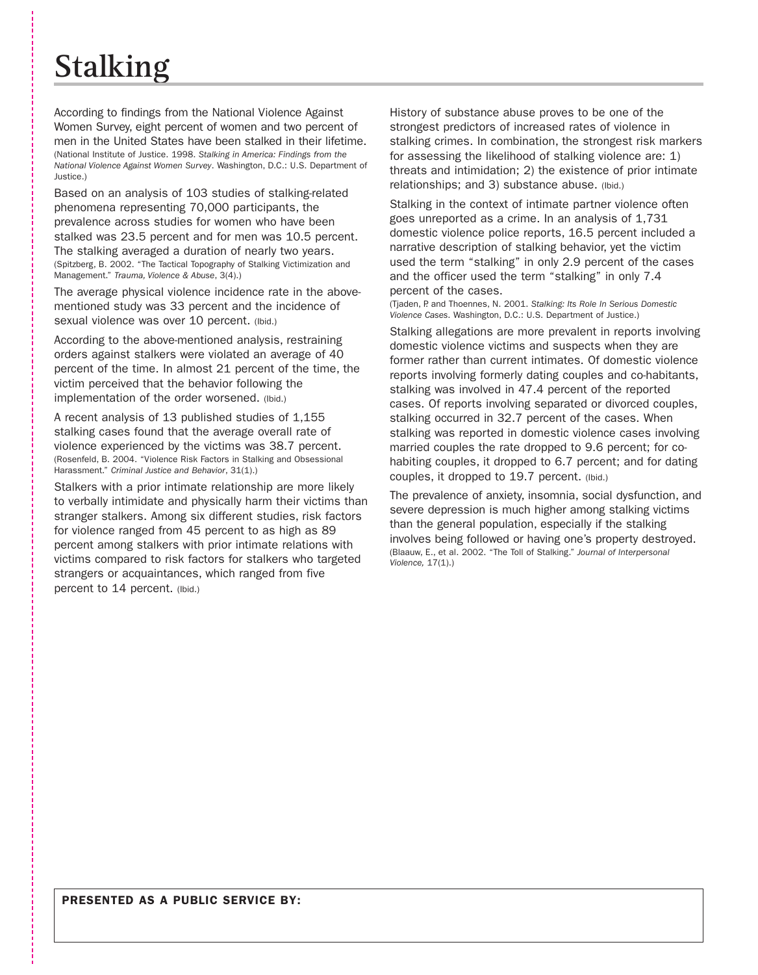# **Stalking**

According to findings from the National Violence Against Women Survey, eight percent of women and two percent of men in the United States have been stalked in their lifetime. (National Institute of Justice. 1998. *Stalking in America: Findings from the National Violence Against Women Survey*. Washington, D.C.: U.S. Department of Justice.)

Based on an analysis of 103 studies of stalking-related phenomena representing 70,000 participants, the prevalence across studies for women who have been stalked was 23.5 percent and for men was 10.5 percent. The stalking averaged a duration of nearly two years. (Spitzberg, B. 2002. "The Tactical Topography of Stalking Victimization and Management." *Trauma, Violence & Abuse*, 3(4).)

The average physical violence incidence rate in the abovementioned study was 33 percent and the incidence of sexual violence was over 10 percent. (Ibid.)

According to the above-mentioned analysis, restraining orders against stalkers were violated an average of 40 percent of the time. In almost 21 percent of the time, the victim perceived that the behavior following the implementation of the order worsened. (Ibid.)

A recent analysis of 13 published studies of 1,155 stalking cases found that the average overall rate of violence experienced by the victims was 38.7 percent. (Rosenfeld, B. 2004. "Violence Risk Factors in Stalking and Obsessional Harassment." *Criminal Justice and Behavior*, 31(1).)

Stalkers with a prior intimate relationship are more likely to verbally intimidate and physically harm their victims than stranger stalkers. Among six different studies, risk factors for violence ranged from 45 percent to as high as 89 percent among stalkers with prior intimate relations with victims compared to risk factors for stalkers who targeted strangers or acquaintances, which ranged from five percent to 14 percent. (Ibid.)

History of substance abuse proves to be one of the strongest predictors of increased rates of violence in stalking crimes. In combination, the strongest risk markers for assessing the likelihood of stalking violence are: 1) threats and intimidation; 2) the existence of prior intimate relationships; and 3) substance abuse. (Ibid.)

Stalking in the context of intimate partner violence often goes unreported as a crime. In an analysis of 1,731 domestic violence police reports, 16.5 percent included a narrative description of stalking behavior, yet the victim used the term "stalking" in only 2.9 percent of the cases and the officer used the term "stalking" in only 7.4 percent of the cases.

(Tjaden, P. and Thoennes, N. 2001. *Stalking: Its Role In Serious Domestic Violence Cases*. Washington, D.C.: U.S. Department of Justice.)

Stalking allegations are more prevalent in reports involving domestic violence victims and suspects when they are former rather than current intimates. Of domestic violence reports involving formerly dating couples and co-habitants, stalking was involved in 47.4 percent of the reported cases. Of reports involving separated or divorced couples, stalking occurred in 32.7 percent of the cases. When stalking was reported in domestic violence cases involving married couples the rate dropped to 9.6 percent; for cohabiting couples, it dropped to 6.7 percent; and for dating couples, it dropped to 19.7 percent. (Ibid.)

The prevalence of anxiety, insomnia, social dysfunction, and severe depression is much higher among stalking victims than the general population, especially if the stalking involves being followed or having one's property destroyed. (Blaauw, E., et al. 2002. "The Toll of Stalking." *Journal of Interpersonal Violence,* 17(1).)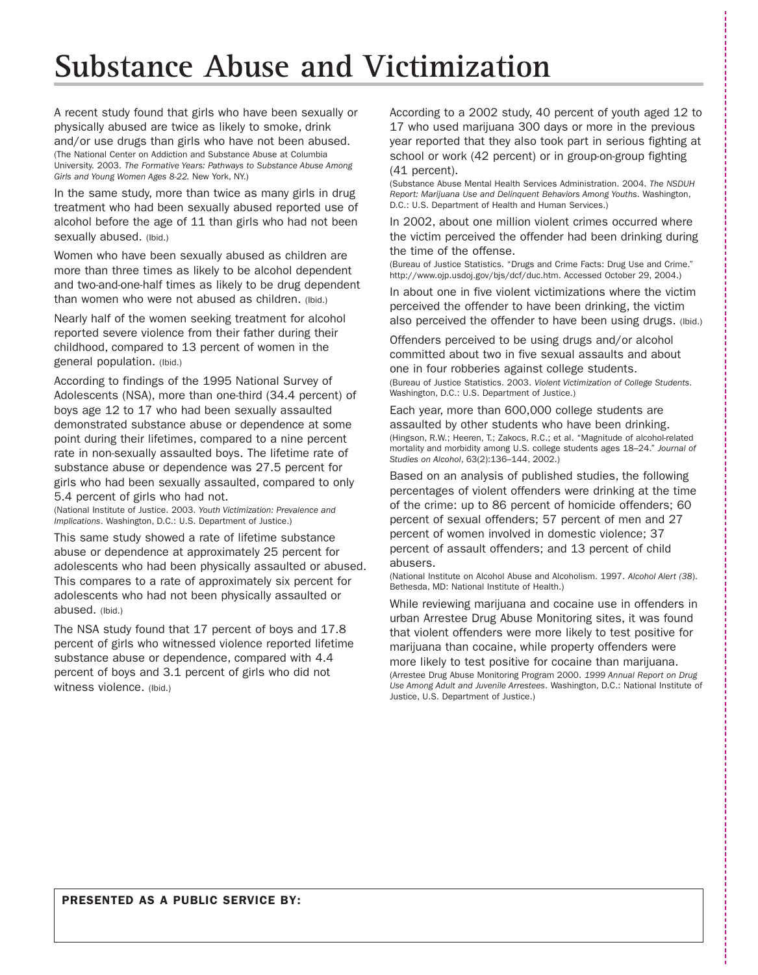# **Substance Abuse and Victimization**

A recent study found that girls who have been sexually or physically abused are twice as likely to smoke, drink and/or use drugs than girls who have not been abused. (The National Center on Addiction and Substance Abuse at Columbia University. 2003. *The Formative Years: Pathways to Substance Abuse Among Girls and Young Women Ages 8-22.* New York, NY.)

In the same study, more than twice as many girls in drug treatment who had been sexually abused reported use of alcohol before the age of 11 than girls who had not been sexually abused. (Ibid.)

Women who have been sexually abused as children are more than three times as likely to be alcohol dependent and two-and-one-half times as likely to be drug dependent than women who were not abused as children. (Ibid.)

Nearly half of the women seeking treatment for alcohol reported severe violence from their father during their childhood, compared to 13 percent of women in the general population. (Ibid.)

According to findings of the 1995 National Survey of Adolescents (NSA), more than one-third (34.4 percent) of boys age 12 to 17 who had been sexually assaulted demonstrated substance abuse or dependence at some point during their lifetimes, compared to a nine percent rate in non-sexually assaulted boys. The lifetime rate of substance abuse or dependence was 27.5 percent for girls who had been sexually assaulted, compared to only 5.4 percent of girls who had not.

(National Institute of Justice. 2003. *Youth Victimization: Prevalence and Implications*. Washington, D.C.: U.S. Department of Justice.)

This same study showed a rate of lifetime substance abuse or dependence at approximately 25 percent for adolescents who had been physically assaulted or abused. This compares to a rate of approximately six percent for adolescents who had not been physically assaulted or abused. (Ibid.)

The NSA study found that 17 percent of boys and 17.8 percent of girls who witnessed violence reported lifetime substance abuse or dependence, compared with 4.4 percent of boys and 3.1 percent of girls who did not witness violence. (Ibid.)

According to a 2002 study, 40 percent of youth aged 12 to 17 who used marijuana 300 days or more in the previous year reported that they also took part in serious fighting at school or work (42 percent) or in group-on-group fighting (41 percent).

(Substance Abuse Mental Health Services Administration. 2004. *The NSDUH Report: Marijuana Use and Delinquent Behaviors Among Youths*. Washington, D.C.: U.S. Department of Health and Human Services.)

In 2002, about one million violent crimes occurred where the victim perceived the offender had been drinking during the time of the offense.

(Bureau of Justice Statistics. "Drugs and Crime Facts: Drug Use and Crime." http://www.ojp.usdoj.gov/bjs/dcf/duc.htm. Accessed October 29, 2004.)

In about one in five violent victimizations where the victim perceived the offender to have been drinking, the victim also perceived the offender to have been using drugs. (Ibid.)

Offenders perceived to be using drugs and/or alcohol committed about two in five sexual assaults and about one in four robberies against college students. (Bureau of Justice Statistics. 2003. *Violent Victimization of College Students*. Washington, D.C.: U.S. Department of Justice.)

Each year, more than 600,000 college students are assaulted by other students who have been drinking. (Hingson, R.W.; Heeren, T.; Zakocs, R.C.; et al. "Magnitude of alcohol-related mortality and morbidity among U.S. college students ages 18–24." *Journal of Studies on Alcohol*, 63(2):136–144, 2002.)

Based on an analysis of published studies, the following percentages of violent offenders were drinking at the time of the crime: up to 86 percent of homicide offenders; 60 percent of sexual offenders; 57 percent of men and 27 percent of women involved in domestic violence; 37 percent of assault offenders; and 13 percent of child abusers.

(National Institute on Alcohol Abuse and Alcoholism. 1997. *Alcohol Alert (38*). Bethesda, MD: National Institute of Health.)

While reviewing marijuana and cocaine use in offenders in urban Arrestee Drug Abuse Monitoring sites, it was found that violent offenders were more likely to test positive for marijuana than cocaine, while property offenders were more likely to test positive for cocaine than marijuana. (Arrestee Drug Abuse Monitoring Program 2000. *1999 Annual Report on Drug Use Among Adult and Juvenile Arrestees*. Washington, D.C.: National Institute of Justice, U.S. Department of Justice.)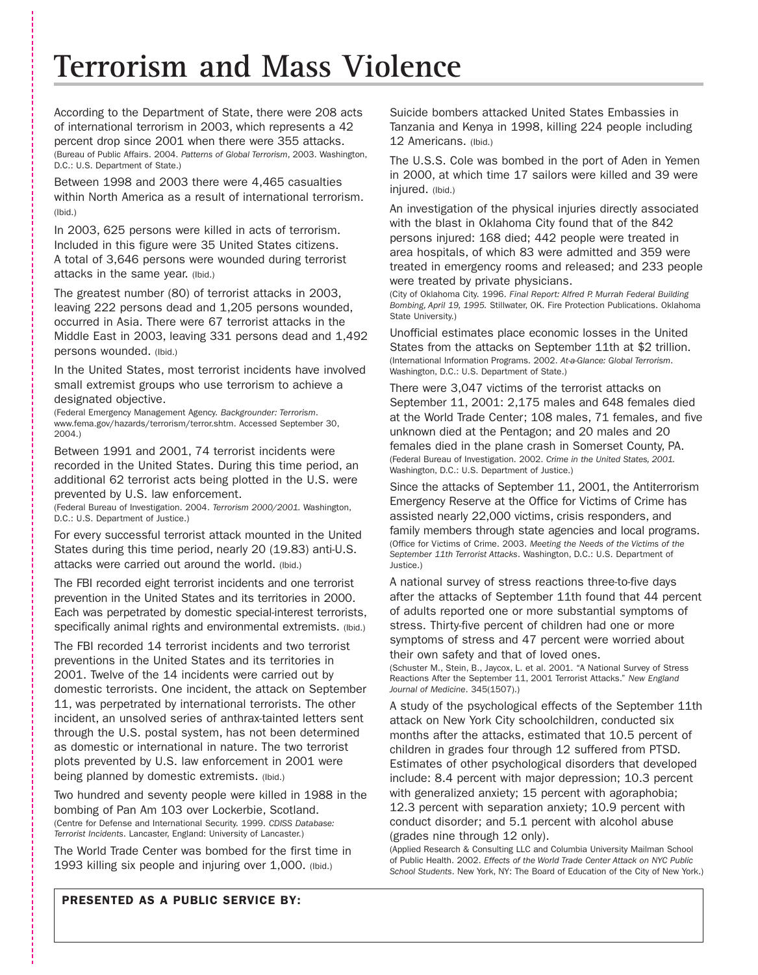## **Terrorism and Mass Violence**

According to the Department of State, there were 208 acts of international terrorism in 2003, which represents a 42 percent drop since 2001 when there were 355 attacks. (Bureau of Public Affairs. 2004. *Patterns of Global Terrorism*, 2003. Washington, D.C.: U.S. Department of State.)

Between 1998 and 2003 there were 4,465 casualties within North America as a result of international terrorism. (Ibid.)

In 2003, 625 persons were killed in acts of terrorism. Included in this figure were 35 United States citizens. A total of 3,646 persons were wounded during terrorist attacks in the same year. (Ibid.)

The greatest number (80) of terrorist attacks in 2003, leaving 222 persons dead and 1,205 persons wounded, occurred in Asia. There were 67 terrorist attacks in the Middle East in 2003, leaving 331 persons dead and 1,492 persons wounded. (Ibid.)

In the United States, most terrorist incidents have involved small extremist groups who use terrorism to achieve a designated objective.

(Federal Emergency Management Agency. *Backgrounder: Terrorism*. www.fema.gov/hazards/terrorism/terror.shtm. Accessed September 30, 2004.)

Between 1991 and 2001, 74 terrorist incidents were recorded in the United States. During this time period, an additional 62 terrorist acts being plotted in the U.S. were prevented by U.S. law enforcement.

(Federal Bureau of Investigation. 2004. *Terrorism 2000/2001.* Washington, D.C.: U.S. Department of Justice.)

For every successful terrorist attack mounted in the United States during this time period, nearly 20 (19.83) anti-U.S. attacks were carried out around the world. (Ibid.)

The FBI recorded eight terrorist incidents and one terrorist prevention in the United States and its territories in 2000. Each was perpetrated by domestic special-interest terrorists, specifically animal rights and environmental extremists. (Ibid.)

The FBI recorded 14 terrorist incidents and two terrorist preventions in the United States and its territories in 2001. Twelve of the 14 incidents were carried out by domestic terrorists. One incident, the attack on September 11, was perpetrated by international terrorists. The other incident, an unsolved series of anthrax-tainted letters sent through the U.S. postal system, has not been determined as domestic or international in nature. The two terrorist plots prevented by U.S. law enforcement in 2001 were being planned by domestic extremists. (Ibid.)

Two hundred and seventy people were killed in 1988 in the bombing of Pan Am 103 over Lockerbie, Scotland. (Centre for Defense and International Security. 1999. *CDISS Database: Terrorist Incidents*. Lancaster, England: University of Lancaster.)

The World Trade Center was bombed for the first time in 1993 killing six people and injuring over 1,000. (Ibid.)

Suicide bombers attacked United States Embassies in Tanzania and Kenya in 1998, killing 224 people including 12 Americans. (Ibid.)

The U.S.S. Cole was bombed in the port of Aden in Yemen in 2000, at which time 17 sailors were killed and 39 were injured. (Ibid.)

An investigation of the physical injuries directly associated with the blast in Oklahoma City found that of the 842 persons injured: 168 died; 442 people were treated in area hospitals, of which 83 were admitted and 359 were treated in emergency rooms and released; and 233 people were treated by private physicians.

(City of Oklahoma City. 1996. *Final Report: Alfred P. Murrah Federal Building Bombing, April 19, 1995.* Stillwater, OK. Fire Protection Publications. Oklahoma State University.)

Unofficial estimates place economic losses in the United States from the attacks on September 11th at \$2 trillion. (International Information Programs. 2002. *At-a-Glance: Global Terrorism*. Washington, D.C.: U.S. Department of State.)

There were 3,047 victims of the terrorist attacks on September 11, 2001: 2,175 males and 648 females died at the World Trade Center; 108 males, 71 females, and five unknown died at the Pentagon; and 20 males and 20 females died in the plane crash in Somerset County, PA. (Federal Bureau of Investigation. 2002. *Crime in the United States, 2001.* Washington, D.C.: U.S. Department of Justice.)

Since the attacks of September 11, 2001, the Antiterrorism Emergency Reserve at the Office for Victims of Crime has assisted nearly 22,000 victims, crisis responders, and family members through state agencies and local programs. (Office for Victims of Crime. 2003. *Meeting the Needs of the Victims of the September 11th Terrorist Attacks*. Washington, D.C.: U.S. Department of Justice.)

A national survey of stress reactions three-to-five days after the attacks of September 11th found that 44 percent of adults reported one or more substantial symptoms of stress. Thirty-five percent of children had one or more symptoms of stress and 47 percent were worried about their own safety and that of loved ones.

(Schuster M., Stein, B., Jaycox, L. et al. 2001. "A National Survey of Stress Reactions After the September 11, 2001 Terrorist Attacks." *New England Journal of Medicine*. 345(1507).)

A study of the psychological effects of the September 11th attack on New York City schoolchildren, conducted six months after the attacks, estimated that 10.5 percent of children in grades four through 12 suffered from PTSD. Estimates of other psychological disorders that developed include: 8.4 percent with major depression; 10.3 percent with generalized anxiety; 15 percent with agoraphobia; 12.3 percent with separation anxiety; 10.9 percent with conduct disorder; and 5.1 percent with alcohol abuse (grades nine through 12 only).

(Applied Research & Consulting LLC and Columbia University Mailman School of Public Health. 2002. *Effects of the World Trade Center Attack on NYC Public School Students*. New York, NY: The Board of Education of the City of New York.)

### **PRESENTED AS A PUBLIC SERVICE BY:**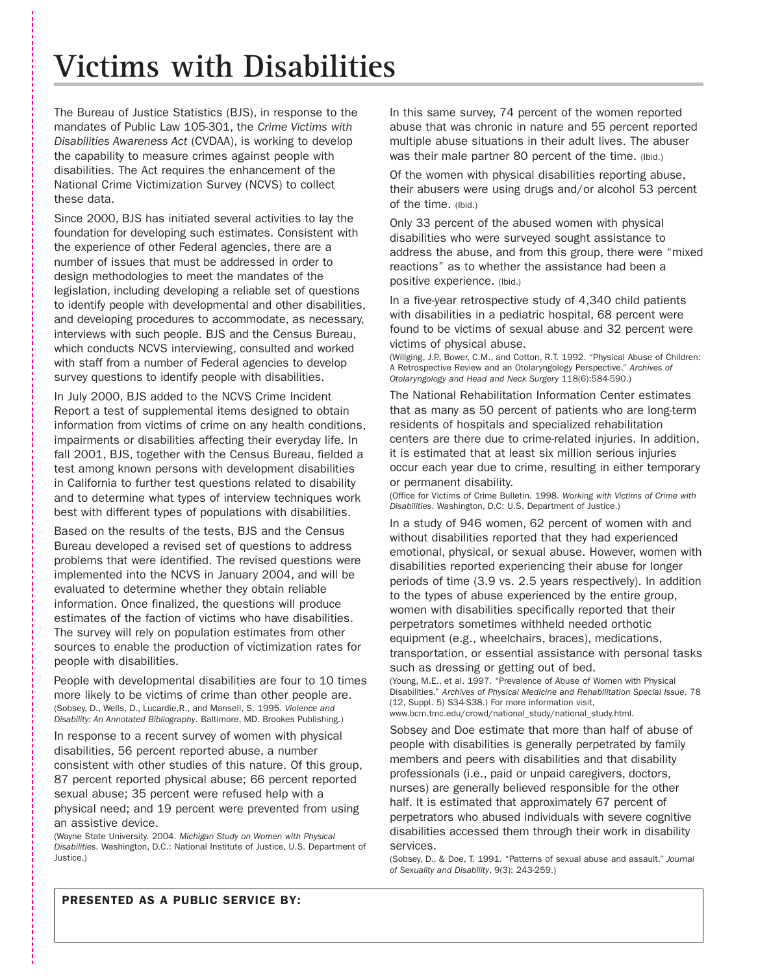# **Victims with Disabilities**

The Bureau of Justice Statistics (BJS), in response to the mandates of Public Law 105-301, the *Crime Victims with Disabilities Awareness Act* (CVDAA), is working to develop the capability to measure crimes against people with disabilities. The Act requires the enhancement of the National Crime Victimization Survey (NCVS) to collect these data.

Since 2000, BJS has initiated several activities to lay the foundation for developing such estimates. Consistent with the experience of other Federal agencies, there are a number of issues that must be addressed in order to design methodologies to meet the mandates of the legislation, including developing a reliable set of questions to identify people with developmental and other disabilities, and developing procedures to accommodate, as necessary, interviews with such people. BJS and the Census Bureau, which conducts NCVS interviewing, consulted and worked with staff from a number of Federal agencies to develop survey questions to identify people with disabilities.

In July 2000, BJS added to the NCVS Crime Incident Report a test of supplemental items designed to obtain information from victims of crime on any health conditions, impairments or disabilities affecting their everyday life. In fall 2001, BJS, together with the Census Bureau, fielded a test among known persons with development disabilities in California to further test questions related to disability and to determine what types of interview techniques work best with different types of populations with disabilities.

Based on the results of the tests, BJS and the Census Bureau developed a revised set of questions to address problems that were identified. The revised questions were implemented into the NCVS in January 2004, and will be evaluated to determine whether they obtain reliable information. Once finalized, the questions will produce estimates of the faction of victims who have disabilities. The survey will rely on population estimates from other sources to enable the production of victimization rates for people with disabilities.

People with developmental disabilities are four to 10 times more likely to be victims of crime than other people are. (Sobsey, D., Wells, D., Lucardie,R., and Mansell, S. 1995. *Violence and Disability: An Annotated Bibliography*. Baltimore, MD. Brookes Publishing.)

In response to a recent survey of women with physical disabilities, 56 percent reported abuse, a number consistent with other studies of this nature. Of this group, 87 percent reported physical abuse; 66 percent reported sexual abuse; 35 percent were refused help with a physical need; and 19 percent were prevented from using an assistive device.

(Wayne State University. 2004. *Michigan Study on Women with Physical Disabilities*. Washington, D.C.: National Institute of Justice, U.S. Department of Justice.)

In this same survey, 74 percent of the women reported abuse that was chronic in nature and 55 percent reported multiple abuse situations in their adult lives. The abuser was their male partner 80 percent of the time. (Ibid.)

Of the women with physical disabilities reporting abuse, their abusers were using drugs and/or alcohol 53 percent of the time. (Ibid.)

Only 33 percent of the abused women with physical disabilities who were surveyed sought assistance to address the abuse, and from this group, there were "mixed reactions" as to whether the assistance had been a positive experience. (Ibid.)

In a five-year retrospective study of 4,340 child patients with disabilities in a pediatric hospital, 68 percent were found to be victims of sexual abuse and 32 percent were victims of physical abuse.

(Willging, J.P., Bower, C.M., and Cotton, R.T. 1992. "Physical Abuse of Children: A Retrospective Review and an Otolaryngology Perspective." *Archives of Otolaryngology and Head and Neck Surgery* 118(6):584-590.)

The National Rehabilitation Information Center estimates that as many as 50 percent of patients who are long-term residents of hospitals and specialized rehabilitation centers are there due to crime-related injuries. In addition, it is estimated that at least six million serious injuries occur each year due to crime, resulting in either temporary or permanent disability.

(Office for Victims of Crime Bulletin. 1998. *Working with Victims of Crime with Disabilities*. Washington, D.C: U.S. Department of Justice.)

In a study of 946 women, 62 percent of women with and without disabilities reported that they had experienced emotional, physical, or sexual abuse. However, women with disabilities reported experiencing their abuse for longer periods of time (3.9 vs. 2.5 years respectively). In addition to the types of abuse experienced by the entire group, women with disabilities specifically reported that their perpetrators sometimes withheld needed orthotic equipment (e.g., wheelchairs, braces), medications, transportation, or essential assistance with personal tasks such as dressing or getting out of bed.

(Young, M.E., et al. 1997. "Prevalence of Abuse of Women with Physical Disabilities." *Archives of Physical Medicine and Rehabilitation Special Issue*. 78 (12, Suppl. 5) S34-S38.) For more information visit, www.bcm.tmc.edu/crowd/national\_study/national\_study.html.

Sobsey and Doe estimate that more than half of abuse of people with disabilities is generally perpetrated by family members and peers with disabilities and that disability professionals (i.e., paid or unpaid caregivers, doctors, nurses) are generally believed responsible for the other half. It is estimated that approximately 67 percent of perpetrators who abused individuals with severe cognitive disabilities accessed them through their work in disability services.

(Sobsey, D., & Doe, T. 1991. "Patterns of sexual abuse and assault." *Journal of Sexuality and Disability*, 9(3): 243-259.)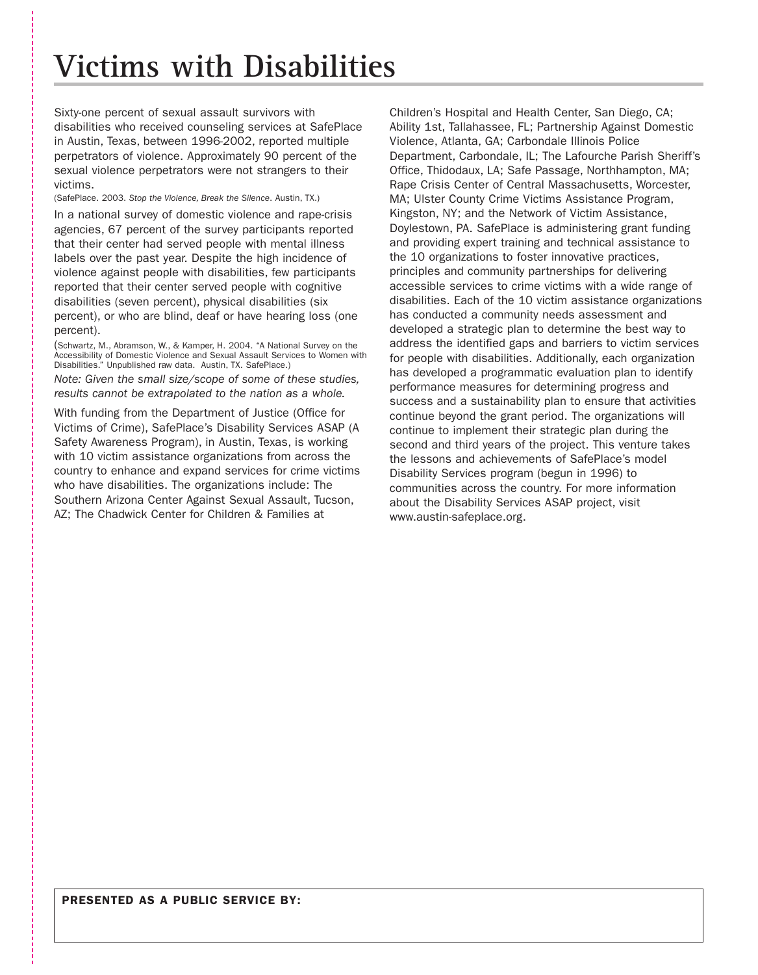# **Victims with Disabilities**

Sixty-one percent of sexual assault survivors with disabilities who received counseling services at SafePlace in Austin, Texas, between 1996-2002, reported multiple perpetrators of violence. Approximately 90 percent of the sexual violence perpetrators were not strangers to their victims.

(SafePlace. 2003. *Stop the Violence, Break the Silence*. Austin, TX.)

In a national survey of domestic violence and rape-crisis agencies, 67 percent of the survey participants reported that their center had served people with mental illness labels over the past year. Despite the high incidence of violence against people with disabilities, few participants reported that their center served people with cognitive disabilities (seven percent), physical disabilities (six percent), or who are blind, deaf or have hearing loss (one percent).

(Schwartz, M., Abramson, W., & Kamper, H. 2004. "A National Survey on the Accessibility of Domestic Violence and Sexual Assault Services to Women with Disabilities." Unpublished raw data. Austin, TX. SafePlace.) *Note: Given the small size/scope of some of these studies, results cannot be extrapolated to the nation as a whole.*

With funding from the Department of Justice (Office for Victims of Crime), SafePlace's Disability Services ASAP (A Safety Awareness Program), in Austin, Texas, is working with 10 victim assistance organizations from across the country to enhance and expand services for crime victims who have disabilities. The organizations include: The Southern Arizona Center Against Sexual Assault, Tucson, AZ; The Chadwick Center for Children & Families at

Children's Hospital and Health Center, San Diego, CA; Ability 1st, Tallahassee, FL; Partnership Against Domestic Violence, Atlanta, GA; Carbondale Illinois Police Department, Carbondale, IL; The Lafourche Parish Sheriff's Office, Thidodaux, LA; Safe Passage, Northhampton, MA; Rape Crisis Center of Central Massachusetts, Worcester, MA; Ulster County Crime Victims Assistance Program, Kingston, NY; and the Network of Victim Assistance, Doylestown, PA. SafePlace is administering grant funding and providing expert training and technical assistance to the 10 organizations to foster innovative practices, principles and community partnerships for delivering accessible services to crime victims with a wide range of disabilities. Each of the 10 victim assistance organizations has conducted a community needs assessment and developed a strategic plan to determine the best way to address the identified gaps and barriers to victim services for people with disabilities. Additionally, each organization has developed a programmatic evaluation plan to identify performance measures for determining progress and success and a sustainability plan to ensure that activities continue beyond the grant period. The organizations will continue to implement their strategic plan during the second and third years of the project. This venture takes the lessons and achievements of SafePlace's model Disability Services program (begun in 1996) to communities across the country. For more information about the Disability Services ASAP project, visit www.austin-safeplace.org.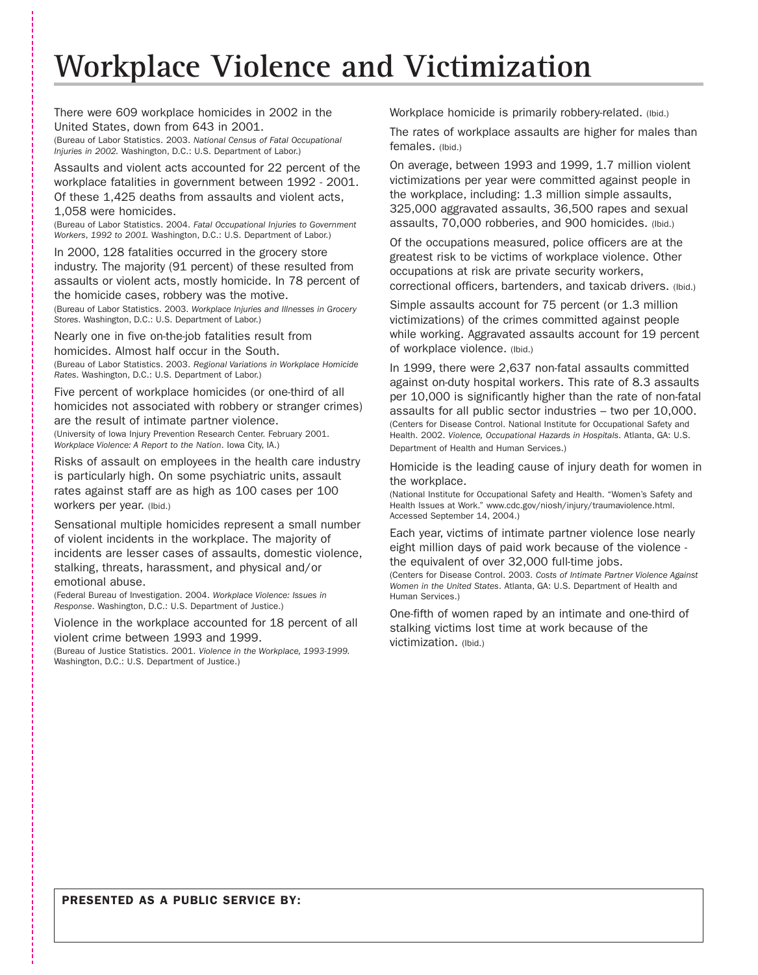# **Workplace Violence and Victimization**

There were 609 workplace homicides in 2002 in the United States, down from 643 in 2001.

(Bureau of Labor Statistics. 2003. *National Census of Fatal Occupational Injuries in 2002.* Washington, D.C.: U.S. Department of Labor.)

Assaults and violent acts accounted for 22 percent of the workplace fatalities in government between 1992 - 2001. Of these 1,425 deaths from assaults and violent acts, 1,058 were homicides.

(Bureau of Labor Statistics. 2004. *Fatal Occupational Injuries to Government Workers*, *1992 to 2001.* Washington, D.C.: U.S. Department of Labor.)

In 2000, 128 fatalities occurred in the grocery store industry. The majority (91 percent) of these resulted from assaults or violent acts, mostly homicide. In 78 percent of the homicide cases, robbery was the motive.

(Bureau of Labor Statistics. 2003. *Workplace Injuries and Illnesses in Grocery Stores*. Washington, D.C.: U.S. Department of Labor.)

Nearly one in five on-the-job fatalities result from homicides. Almost half occur in the South. (Bureau of Labor Statistics. 2003. *Regional Variations in Workplace Homicide Rates*. Washington, D.C.: U.S. Department of Labor.)

Five percent of workplace homicides (or one-third of all homicides not associated with robbery or stranger crimes) are the result of intimate partner violence.

(University of Iowa Injury Prevention Research Center. February 2001. *Workplace Violence: A Report to the Nation*. Iowa City, IA.)

Risks of assault on employees in the health care industry is particularly high. On some psychiatric units, assault rates against staff are as high as 100 cases per 100 workers per year. (Ibid.)

Sensational multiple homicides represent a small number of violent incidents in the workplace. The majority of incidents are lesser cases of assaults, domestic violence, stalking, threats, harassment, and physical and/or emotional abuse.

(Federal Bureau of Investigation. 2004. *Workplace Violence: Issues in Response*. Washington, D.C.: U.S. Department of Justice.)

Violence in the workplace accounted for 18 percent of all violent crime between 1993 and 1999.

(Bureau of Justice Statistics. 2001. *Violence in the Workplace, 1993-1999.* Washington, D.C.: U.S. Department of Justice.)

Workplace homicide is primarily robbery-related. (Ibid.)

The rates of workplace assaults are higher for males than females. (Ibid.)

On average, between 1993 and 1999, 1.7 million violent victimizations per year were committed against people in the workplace, including: 1.3 million simple assaults, 325,000 aggravated assaults, 36,500 rapes and sexual assaults, 70,000 robberies, and 900 homicides. (Ibid.)

Of the occupations measured, police officers are at the greatest risk to be victims of workplace violence. Other occupations at risk are private security workers, correctional officers, bartenders, and taxicab drivers. (Ibid.)

Simple assaults account for 75 percent (or 1.3 million victimizations) of the crimes committed against people while working. Aggravated assaults account for 19 percent of workplace violence. (Ibid.)

In 1999, there were 2,637 non-fatal assaults committed against on-duty hospital workers. This rate of 8.3 assaults per 10,000 is significantly higher than the rate of non-fatal assaults for all public sector industries – two per 10,000. (Centers for Disease Control. National Institute for Occupational Safety and Health. 2002. *Violence, Occupational Hazards in Hospitals*. Atlanta, GA: U.S. Department of Health and Human Services.)

Homicide is the leading cause of injury death for women in the workplace.

(National Institute for Occupational Safety and Health. "Women's Safety and Health Issues at Work." www.cdc.gov/niosh/injury/traumaviolence.html. Accessed September 14, 2004.)

Each year, victims of intimate partner violence lose nearly eight million days of paid work because of the violence the equivalent of over 32,000 full-time jobs.

(Centers for Disease Control. 2003. *Costs of Intimate Partner Violence Against Women in the United States*. Atlanta, GA: U.S. Department of Health and Human Services.)

One-fifth of women raped by an intimate and one-third of stalking victims lost time at work because of the victimization. (Ibid.)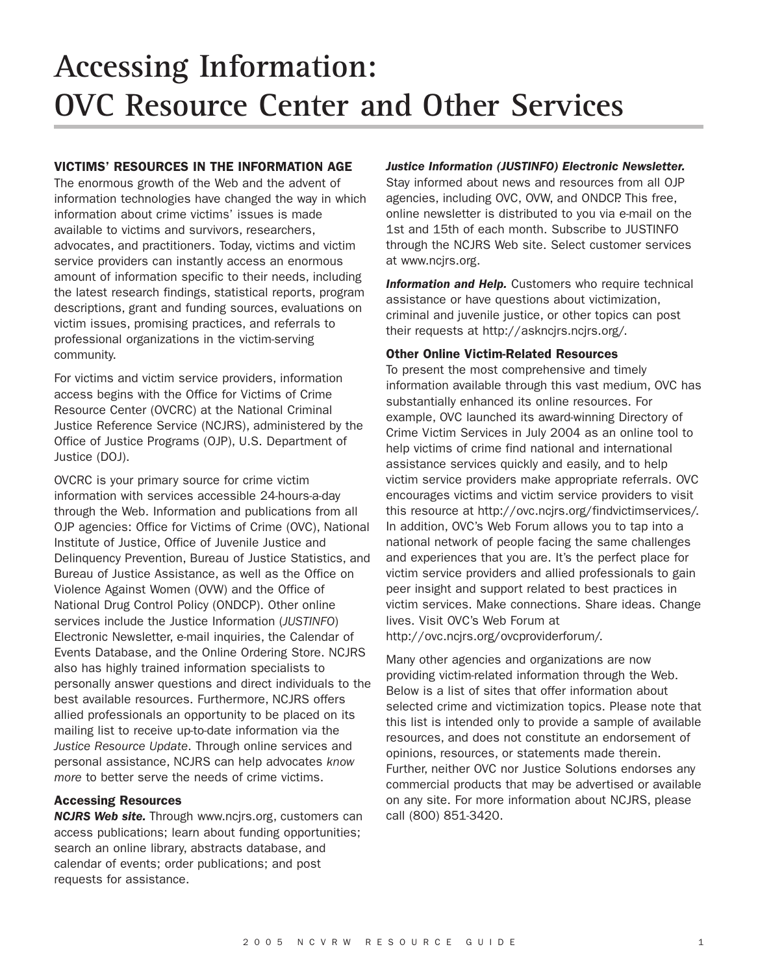# **Accessing Information: OVC Resource Center and Other Services**

### **VICTIMS' RESOURCES IN THE INFORMATION AGE**

The enormous growth of the Web and the advent of information technologies have changed the way in which information about crime victims' issues is made available to victims and survivors, researchers, advocates, and practitioners. Today, victims and victim service providers can instantly access an enormous amount of information specific to their needs, including the latest research findings, statistical reports, program descriptions, grant and funding sources, evaluations on victim issues, promising practices, and referrals to professional organizations in the victim-serving community.

For victims and victim service providers, information access begins with the Office for Victims of Crime Resource Center (OVCRC) at the National Criminal Justice Reference Service (NCJRS), administered by the Office of Justice Programs (OJP), U.S. Department of Justice (DOJ).

OVCRC is your primary source for crime victim information with services accessible 24-hours-a-day through the Web. Information and publications from all OJP agencies: Office for Victims of Crime (OVC), National Institute of Justice, Office of Juvenile Justice and Delinquency Prevention, Bureau of Justice Statistics, and Bureau of Justice Assistance, as well as the Office on Violence Against Women (OVW) and the Office of National Drug Control Policy (ONDCP). Other online services include the Justice Information (*JUSTINFO*) Electronic Newsletter, e-mail inquiries, the Calendar of Events Database, and the Online Ordering Store. NCJRS also has highly trained information specialists to personally answer questions and direct individuals to the best available resources. Furthermore, NCJRS offers allied professionals an opportunity to be placed on its mailing list to receive up-to-date information via the *Justice Resource Update*. Through online services and personal assistance, NCJRS can help advocates *know more* to better serve the needs of crime victims.

### **Accessing Resources**

*NCJRS Web site.* Through www.ncjrs.org, customers can access publications; learn about funding opportunities; search an online library, abstracts database, and calendar of events; order publications; and post requests for assistance.

### *Justice Information (JUSTINFO) Electronic Newsletter.*

Stay informed about news and resources from all OJP agencies, including OVC, OVW, and ONDCP. This free, online newsletter is distributed to you via e-mail on the 1st and 15th of each month. Subscribe to JUSTINFO through the NCJRS Web site. Select customer services at www.ncjrs.org.

**Information and Help.** Customers who require technical assistance or have questions about victimization, criminal and juvenile justice, or other topics can post their requests at http://askncjrs.ncjrs.org/.

#### **Other Online Victim-Related Resources**

To present the most comprehensive and timely information available through this vast medium, OVC has substantially enhanced its online resources. For example, OVC launched its award-winning Directory of Crime Victim Services in July 2004 as an online tool to help victims of crime find national and international assistance services quickly and easily, and to help victim service providers make appropriate referrals. OVC encourages victims and victim service providers to visit this resource at http://ovc.ncjrs.org/findvictimservices/. In addition, OVC's Web Forum allows you to tap into a national network of people facing the same challenges and experiences that you are. It's the perfect place for victim service providers and allied professionals to gain peer insight and support related to best practices in victim services. Make connections. Share ideas. Change lives. Visit OVC's Web Forum at

http://ovc.ncjrs.org/ovcproviderforum/.

Many other agencies and organizations are now providing victim-related information through the Web. Below is a list of sites that offer information about selected crime and victimization topics. Please note that this list is intended only to provide a sample of available resources, and does not constitute an endorsement of opinions, resources, or statements made therein. Further, neither OVC nor Justice Solutions endorses any commercial products that may be advertised or available on any site. For more information about NCJRS, please call (800) 851-3420.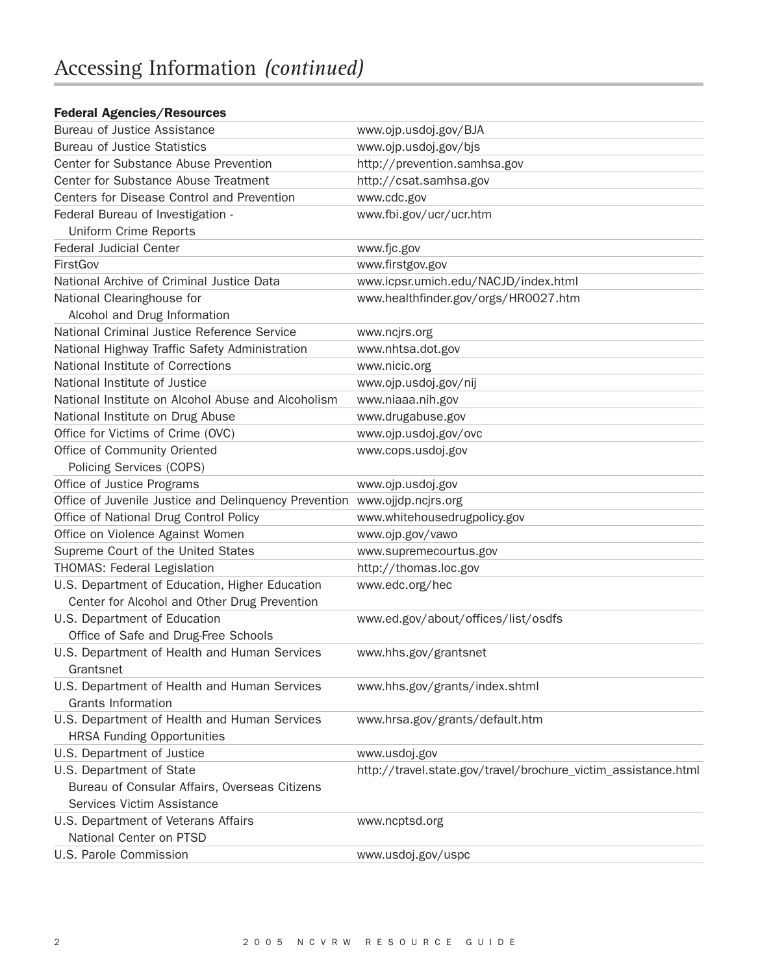### **Federal Agencies/Resources**

| <b>Bureau of Justice Assistance</b>                   | www.ojp.usdoj.gov/BJA                                          |
|-------------------------------------------------------|----------------------------------------------------------------|
| <b>Bureau of Justice Statistics</b>                   | www.ojp.usdoj.gov/bjs                                          |
| Center for Substance Abuse Prevention                 | http://prevention.samhsa.gov                                   |
| Center for Substance Abuse Treatment                  | http://csat.samhsa.gov                                         |
| Centers for Disease Control and Prevention            | www.cdc.gov                                                    |
| Federal Bureau of Investigation -                     | www.fbi.gov/ucr/ucr.htm                                        |
| Uniform Crime Reports                                 |                                                                |
| <b>Federal Judicial Center</b>                        | www.fjc.gov                                                    |
| FirstGov                                              | www.firstgov.gov                                               |
| National Archive of Criminal Justice Data             | www.icpsr.umich.edu/NACJD/index.html                           |
| National Clearinghouse for                            | www.healthfinder.gov/orgs/HR0027.htm                           |
| Alcohol and Drug Information                          |                                                                |
| National Criminal Justice Reference Service           | www.ncjrs.org                                                  |
| National Highway Traffic Safety Administration        | www.nhtsa.dot.gov                                              |
| National Institute of Corrections                     | www.nicic.org                                                  |
| National Institute of Justice                         | www.ojp.usdoj.gov/nij                                          |
| National Institute on Alcohol Abuse and Alcoholism    | www.niaaa.nih.gov                                              |
| National Institute on Drug Abuse                      | www.drugabuse.gov                                              |
| Office for Victims of Crime (OVC)                     | www.ojp.usdoj.gov/ovc                                          |
| Office of Community Oriented                          | www.cops.usdoj.gov                                             |
| Policing Services (COPS)                              |                                                                |
| Office of Justice Programs                            | www.ojp.usdoj.gov                                              |
| Office of Juvenile Justice and Delinquency Prevention | www.ojjdp.ncjrs.org                                            |
| Office of National Drug Control Policy                | www.whitehousedrugpolicy.gov                                   |
| Office on Violence Against Women                      | www.ojp.gov/vawo                                               |
| Supreme Court of the United States                    | www.supremecourtus.gov                                         |
| THOMAS: Federal Legislation                           | http://thomas.loc.gov                                          |
| U.S. Department of Education, Higher Education        | www.edc.org/hec                                                |
| Center for Alcohol and Other Drug Prevention          |                                                                |
| U.S. Department of Education                          | www.ed.gov/about/offices/list/osdfs                            |
| Office of Safe and Drug-Free Schools                  |                                                                |
| U.S. Department of Health and Human Services          | www.hhs.gov/grantsnet                                          |
| Grantsnet                                             |                                                                |
| U.S. Department of Health and Human Services          | www.hhs.gov/grants/index.shtml                                 |
| Grants Information                                    |                                                                |
| U.S. Department of Health and Human Services          | www.hrsa.gov/grants/default.htm                                |
| <b>HRSA Funding Opportunities</b>                     |                                                                |
| U.S. Department of Justice                            | www.usdoj.gov                                                  |
| U.S. Department of State                              | http://travel.state.gov/travel/brochure_victim_assistance.html |
| Bureau of Consular Affairs, Overseas Citizens         |                                                                |
| Services Victim Assistance                            |                                                                |
| U.S. Department of Veterans Affairs                   | www.ncptsd.org                                                 |
| National Center on PTSD                               |                                                                |
| U.S. Parole Commission                                | www.usdoj.gov/uspc                                             |
|                                                       |                                                                |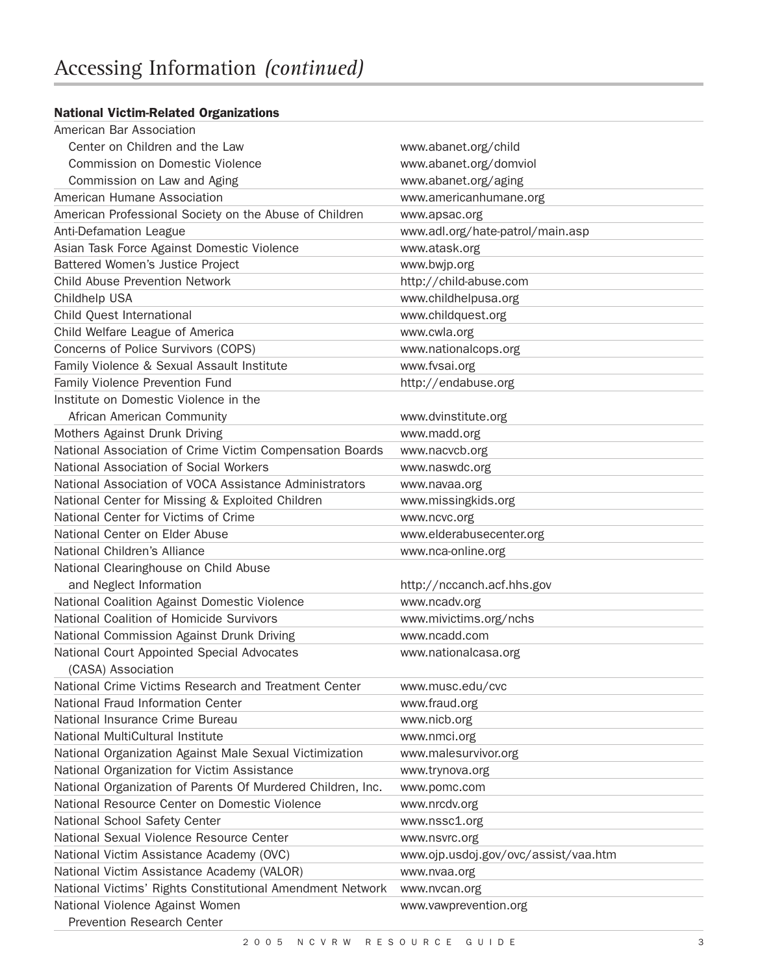### **National Victim-Related Organizations**

| American Bar Association                                                  |                                      |
|---------------------------------------------------------------------------|--------------------------------------|
| Center on Children and the Law                                            | www.abanet.org/child                 |
| <b>Commission on Domestic Violence</b>                                    | www.abanet.org/domviol               |
| Commission on Law and Aging                                               | www.abanet.org/aging                 |
| American Humane Association                                               | www.americanhumane.org               |
| American Professional Society on the Abuse of Children                    | www.apsac.org                        |
| Anti-Defamation League                                                    | www.adl.org/hate-patrol/main.asp     |
| Asian Task Force Against Domestic Violence                                | www.atask.org                        |
| Battered Women's Justice Project                                          | www.bwjp.org                         |
| <b>Child Abuse Prevention Network</b>                                     | http://child-abuse.com               |
| Childhelp USA                                                             | www.childhelpusa.org                 |
| Child Quest International                                                 | www.childquest.org                   |
| Child Welfare League of America                                           | www.cwla.org                         |
| Concerns of Police Survivors (COPS)                                       | www.nationalcops.org                 |
| Family Violence & Sexual Assault Institute                                | www.fvsai.org                        |
| Family Violence Prevention Fund                                           | http://endabuse.org                  |
| Institute on Domestic Violence in the                                     |                                      |
| African American Community                                                | www.dvinstitute.org                  |
| Mothers Against Drunk Driving                                             | www.madd.org                         |
| National Association of Crime Victim Compensation Boards                  | www.nacvcb.org                       |
| National Association of Social Workers                                    | www.naswdc.org                       |
| National Association of VOCA Assistance Administrators                    | www.navaa.org                        |
| National Center for Missing & Exploited Children                          | www.missingkids.org                  |
| National Center for Victims of Crime                                      | www.ncvc.org                         |
| National Center on Elder Abuse                                            | www.elderabusecenter.org             |
| National Children's Alliance                                              | www.nca-online.org                   |
| National Clearinghouse on Child Abuse                                     |                                      |
| and Neglect Information                                                   | http://nccanch.acf.hhs.gov           |
| National Coalition Against Domestic Violence                              | www.ncadv.org                        |
| National Coalition of Homicide Survivors                                  | www.mivictims.org/nchs               |
| National Commission Against Drunk Driving                                 | www.ncadd.com                        |
| National Court Appointed Special Advocates                                | www.nationalcasa.org                 |
| (CASA) Association                                                        |                                      |
| National Crime Victims Research and Treatment Center                      | www.musc.edu/cvc                     |
| National Fraud Information Center                                         | www.fraud.org                        |
| National Insurance Crime Bureau                                           | www.nicb.org                         |
| National MultiCultural Institute                                          | www.nmci.org                         |
| National Organization Against Male Sexual Victimization                   | www.malesurvivor.org                 |
| National Organization for Victim Assistance                               | www.trynova.org                      |
| National Organization of Parents Of Murdered Children, Inc.               | www.pomc.com                         |
| National Resource Center on Domestic Violence                             |                                      |
|                                                                           | www.nrcdv.org                        |
| National School Safety Center<br>National Sexual Violence Resource Center | www.nssc1.org                        |
|                                                                           | www.nsvrc.org                        |
| National Victim Assistance Academy (OVC)                                  | www.ojp.usdoj.gov/ovc/assist/vaa.htm |
| National Victim Assistance Academy (VALOR)                                | www.nvaa.org                         |
| National Victims' Rights Constitutional Amendment Network                 | www.nvcan.org                        |
| National Violence Against Women                                           | www.vawprevention.org                |
| <b>Prevention Research Center</b>                                         |                                      |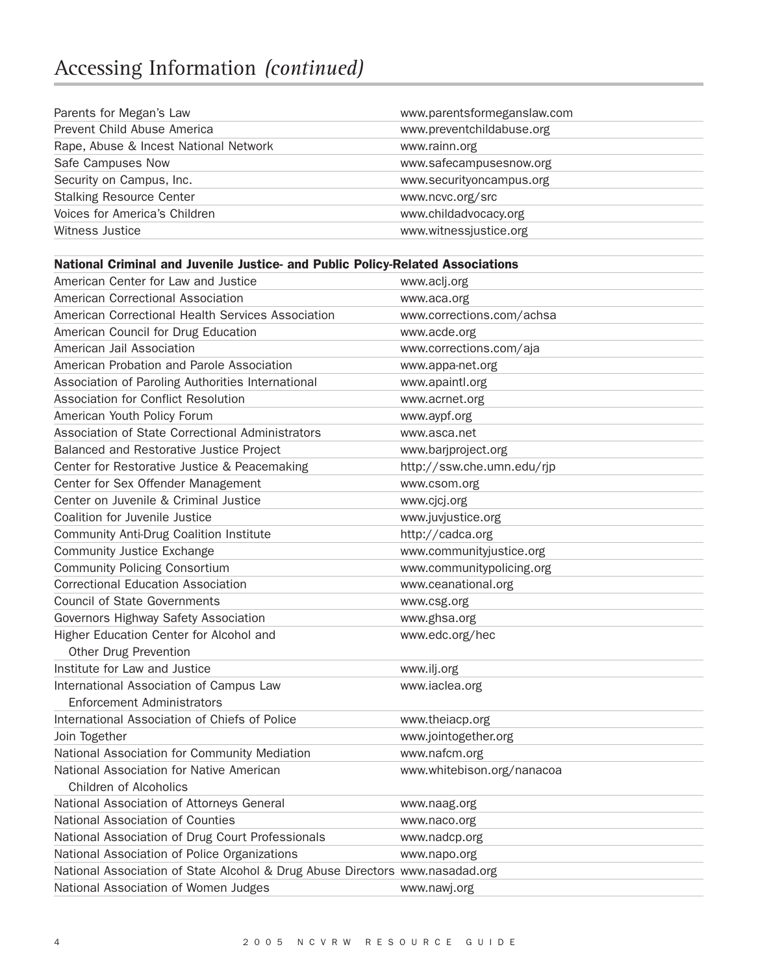| Parents for Megan's Law               | www.parentsformeganslaw.com |
|---------------------------------------|-----------------------------|
| Prevent Child Abuse America           | www.preventchildabuse.org   |
| Rape, Abuse & Incest National Network | www.rainn.org               |
| Safe Campuses Now                     | www.safecampusesnow.org     |
| Security on Campus, Inc.              | www.securityoncampus.org    |
| <b>Stalking Resource Center</b>       | www.ncvc.org/src            |
| Voices for America's Children         | www.childadvocacy.org       |
| Witness Justice                       | www.witnessjustice.org      |

| National Criminal and Juvenile Justice- and Public Policy-Related Associations |                            |
|--------------------------------------------------------------------------------|----------------------------|
| American Center for Law and Justice                                            | www.aclj.org               |
| American Correctional Association                                              | www.aca.org                |
| American Correctional Health Services Association                              | www.corrections.com/achsa  |
| American Council for Drug Education                                            | www.acde.org               |
| American Jail Association                                                      | www.corrections.com/aja    |
| American Probation and Parole Association                                      | www.appa-net.org           |
| Association of Paroling Authorities International                              | www.apaintl.org            |
| <b>Association for Conflict Resolution</b>                                     | www.acrnet.org             |
| American Youth Policy Forum                                                    | www.aypf.org               |
| Association of State Correctional Administrators                               | www.asca.net               |
| Balanced and Restorative Justice Project                                       | www.barjproject.org        |
| Center for Restorative Justice & Peacemaking                                   | http://ssw.che.umn.edu/rjp |
| Center for Sex Offender Management                                             | www.csom.org               |
| Center on Juvenile & Criminal Justice                                          | www.cjcj.org               |
| Coalition for Juvenile Justice                                                 | www.juvjustice.org         |
| <b>Community Anti-Drug Coalition Institute</b>                                 | http://cadca.org           |
| <b>Community Justice Exchange</b>                                              | www.communityjustice.org   |
| <b>Community Policing Consortium</b>                                           | www.communitypolicing.org  |
| <b>Correctional Education Association</b>                                      | www.ceanational.org        |
| <b>Council of State Governments</b>                                            | www.csg.org                |
| Governors Highway Safety Association                                           | www.ghsa.org               |
| Higher Education Center for Alcohol and                                        | www.edc.org/hec            |
| Other Drug Prevention                                                          |                            |
| Institute for Law and Justice                                                  | www.ilj.org                |
| International Association of Campus Law                                        | www.iaclea.org             |
| <b>Enforcement Administrators</b>                                              |                            |
| International Association of Chiefs of Police                                  | www.theiacp.org            |
| Join Together                                                                  | www.jointogether.org       |
| National Association for Community Mediation                                   | www.nafcm.org              |
| National Association for Native American                                       | www.whitebison.org/nanacoa |
| <b>Children of Alcoholics</b>                                                  |                            |
| National Association of Attorneys General                                      | www.naag.org               |
| National Association of Counties                                               | www.naco.org               |
| National Association of Drug Court Professionals                               | www.nadcp.org              |
| National Association of Police Organizations                                   | www.napo.org               |
| National Association of State Alcohol & Drug Abuse Directors www.nasadad.org   |                            |
| National Association of Women Judges                                           | www.nawj.org               |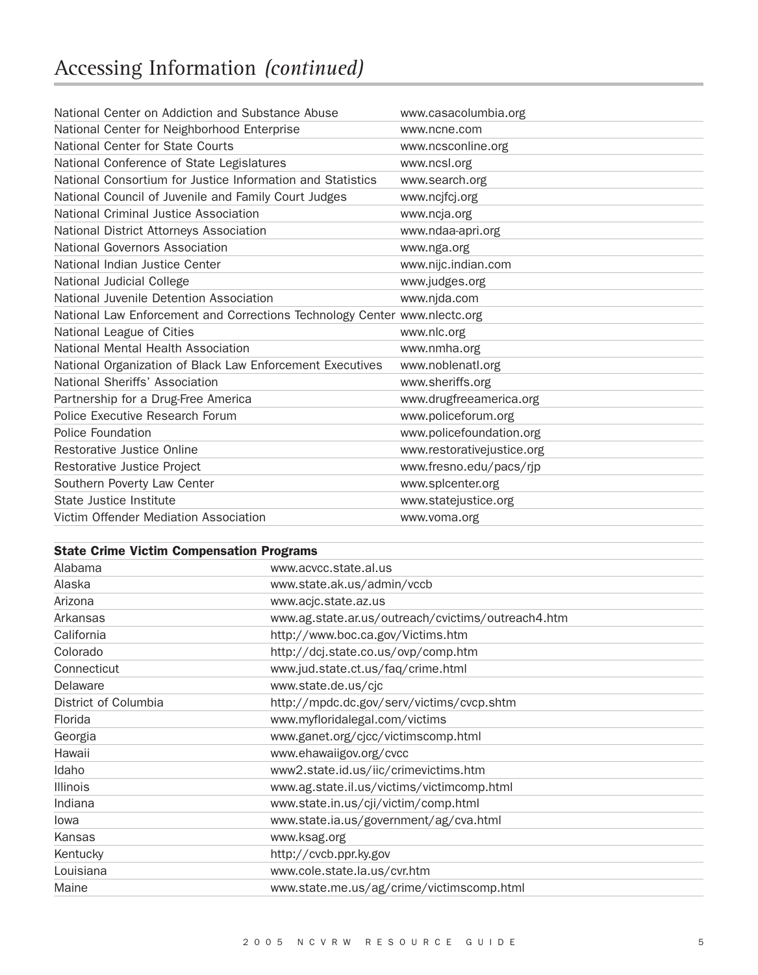| www.casacolumbia.org                                                      |
|---------------------------------------------------------------------------|
| www.ncne.com                                                              |
| www.ncsconline.org                                                        |
| www.ncsl.org                                                              |
| www.search.org                                                            |
| www.ncjfcj.org                                                            |
| www.ncja.org                                                              |
| www.ndaa-apri.org                                                         |
| www.nga.org                                                               |
| www.nijc.indian.com                                                       |
| www.judges.org                                                            |
| www.njda.com                                                              |
| National Law Enforcement and Corrections Technology Center www.nlectc.org |
| www.nlc.org                                                               |
| www.nmha.org                                                              |
| www.noblenatl.org                                                         |
| www.sheriffs.org                                                          |
| www.drugfreeamerica.org                                                   |
| www.policeforum.org                                                       |
| www.policefoundation.org                                                  |
| www.restorativejustice.org                                                |
| www.fresno.edu/pacs/rjp                                                   |
| www.splcenter.org                                                         |
| www.statejustice.org                                                      |
| www.voma.org                                                              |
|                                                                           |

### **State Crime Victim Compensation Programs**

| Alabama              | www.acvcc.state.al.us                              |
|----------------------|----------------------------------------------------|
| Alaska               | www.state.ak.us/admin/vccb                         |
| Arizona              | www.acjc.state.az.us                               |
| Arkansas             | www.ag.state.ar.us/outreach/cvictims/outreach4.htm |
| California           | http://www.boc.ca.gov/Victims.htm                  |
| Colorado             | http://dcj.state.co.us/ovp/comp.htm                |
| Connecticut          | www.jud.state.ct.us/faq/crime.html                 |
| Delaware             | www.state.de.us/cjc                                |
| District of Columbia | http://mpdc.dc.gov/serv/victims/cvcp.shtm          |
| Florida              | www.myfloridalegal.com/victims                     |
| Georgia              | www.ganet.org/cjcc/victimscomp.html                |
| Hawaii               | www.ehawaiigov.org/cvcc                            |
| Idaho                | www2.state.id.us/iic/crimevictims.htm              |
| <b>Illinois</b>      | www.ag.state.il.us/victims/victimcomp.html         |
| Indiana              | www.state.in.us/cji/victim/comp.html               |
| lowa                 | www.state.ia.us/government/ag/cva.html             |
| Kansas               | www.ksag.org                                       |
| Kentucky             | http://cvcb.ppr.ky.gov                             |
| Louisiana            | www.cole.state.la.us/cvr.htm                       |
| Maine                | www.state.me.us/ag/crime/victimscomp.html          |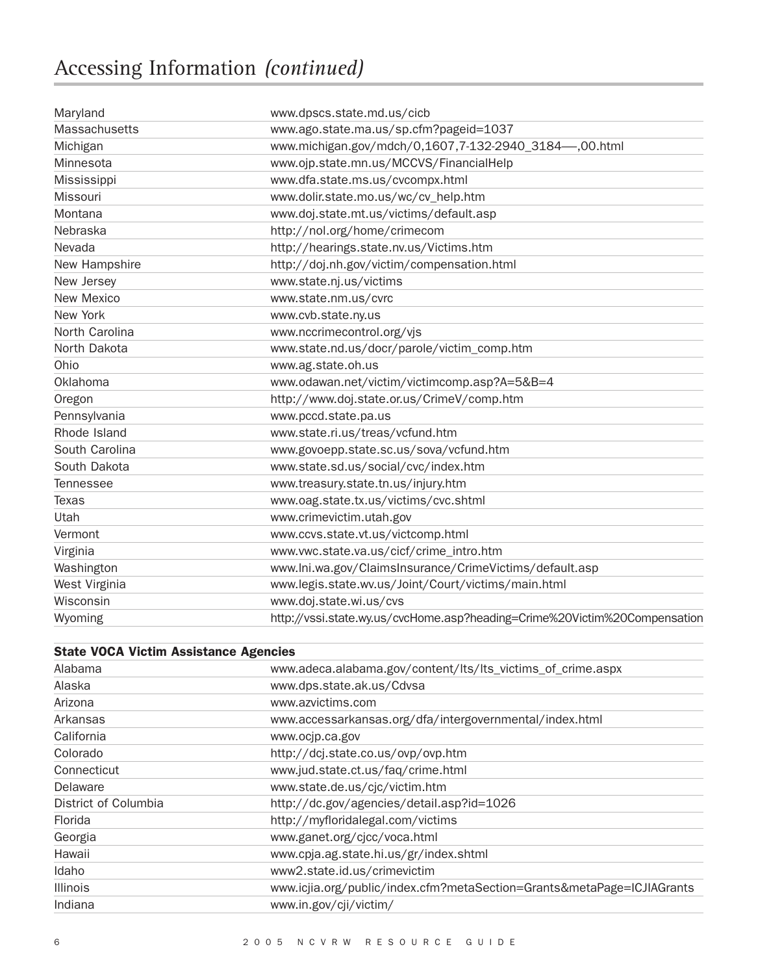| Maryland             | www.dpscs.state.md.us/cicb                                                |
|----------------------|---------------------------------------------------------------------------|
| <b>Massachusetts</b> | www.ago.state.ma.us/sp.cfm?pageid=1037                                    |
| Michigan             | www.michigan.gov/mdch/0,1607,7-132-2940_3184-,00.html                     |
| Minnesota            | www.ojp.state.mn.us/MCCVS/FinancialHelp                                   |
| Mississippi          | www.dfa.state.ms.us/cvcompx.html                                          |
| Missouri             | www.dolir.state.mo.us/wc/cv_help.htm                                      |
| Montana              | www.doj.state.mt.us/victims/default.asp                                   |
| Nebraska             | http://nol.org/home/crimecom                                              |
| Nevada               | http://hearings.state.nv.us/Victims.htm                                   |
| New Hampshire        | http://doj.nh.gov/victim/compensation.html                                |
| New Jersey           | www.state.nj.us/victims                                                   |
| New Mexico           | www.state.nm.us/cvrc                                                      |
| New York             | www.cvb.state.ny.us                                                       |
| North Carolina       | www.nccrimecontrol.org/vjs                                                |
| North Dakota         | www.state.nd.us/docr/parole/victim_comp.htm                               |
| Ohio                 | www.ag.state.oh.us                                                        |
| Oklahoma             | www.odawan.net/victim/victimcomp.asp?A=5&B=4                              |
| Oregon               | http://www.doj.state.or.us/CrimeV/comp.htm                                |
| Pennsylvania         | www.pccd.state.pa.us                                                      |
| Rhode Island         | www.state.ri.us/treas/vcfund.htm                                          |
| South Carolina       | www.govoepp.state.sc.us/sova/vcfund.htm                                   |
| South Dakota         | www.state.sd.us/social/cvc/index.htm                                      |
| Tennessee            | www.treasury.state.tn.us/injury.htm                                       |
| <b>Texas</b>         | www.oag.state.tx.us/victims/cvc.shtml                                     |
| Utah                 | www.crimevictim.utah.gov                                                  |
| Vermont              | www.ccvs.state.vt.us/victcomp.html                                        |
| Virginia             | www.vwc.state.va.us/cicf/crime_intro.htm                                  |
| Washington           | www.lni.wa.gov/ClaimsInsurance/CrimeVictims/default.asp                   |
| West Virginia        | www.legis.state.wv.us/Joint/Court/victims/main.html                       |
| Wisconsin            | www.doj.state.wi.us/cvs                                                   |
| Wyoming              | http://vssi.state.wy.us/cvcHome.asp?heading=Crime%20Victim%20Compensation |

| <b>State VOCA Victim Assistance Agencies</b> |                                                                        |  |
|----------------------------------------------|------------------------------------------------------------------------|--|
| Alabama                                      | www.adeca.alabama.gov/content/lts/lts_victims_of_crime.aspx            |  |
| Alaska                                       | www.dps.state.ak.us/Cdvsa                                              |  |
| Arizona                                      | www.azvictims.com                                                      |  |
| Arkansas                                     | www.accessarkansas.org/dfa/intergovernmental/index.html                |  |
| California                                   | www.ocjp.ca.gov                                                        |  |
| Colorado                                     | http://dcj.state.co.us/ovp/ovp.htm                                     |  |
| Connecticut                                  | www.jud.state.ct.us/faq/crime.html                                     |  |
| Delaware                                     | www.state.de.us/cjc/victim.htm                                         |  |
| District of Columbia                         | http://dc.gov/agencies/detail.asp?id=1026                              |  |
| Florida                                      | http://myfloridalegal.com/victims                                      |  |
| Georgia                                      | www.ganet.org/cjcc/voca.html                                           |  |
| Hawaii                                       | www.cpja.ag.state.hi.us/gr/index.shtml                                 |  |
| Idaho                                        | www2.state.id.us/crimevictim                                           |  |
| <b>Illinois</b>                              | www.icjia.org/public/index.cfm?metaSection=Grants&metaPage=ICJIAGrants |  |
| Indiana                                      | www.in.gov/cji/victim/                                                 |  |
|                                              |                                                                        |  |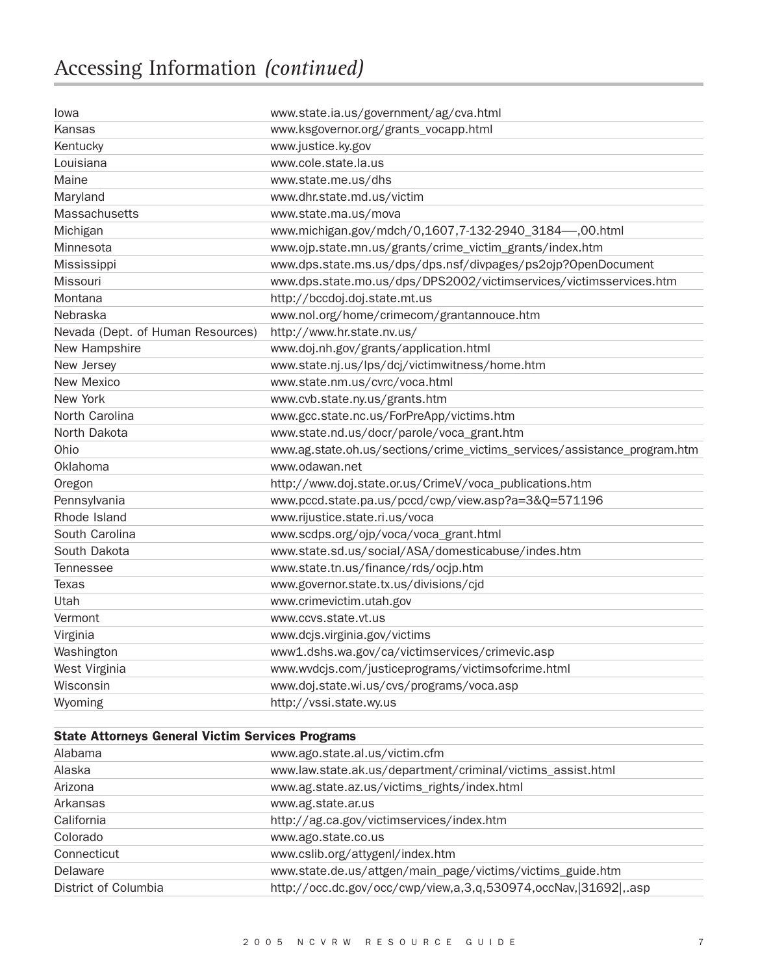| lowa                                                    | www.state.ia.us/government/ag/cva.html                                    |
|---------------------------------------------------------|---------------------------------------------------------------------------|
| Kansas                                                  | www.ksgovernor.org/grants_vocapp.html                                     |
| Kentucky                                                | www.justice.ky.gov                                                        |
| Louisiana                                               | www.cole.state.la.us                                                      |
| Maine                                                   | www.state.me.us/dhs                                                       |
| Maryland                                                | www.dhr.state.md.us/victim                                                |
| Massachusetts                                           | www.state.ma.us/mova                                                      |
| Michigan                                                | www.michigan.gov/mdch/0,1607,7-132-2940_3184-00.html                      |
| Minnesota                                               | www.ojp.state.mn.us/grants/crime_victim_grants/index.htm                  |
| Mississippi                                             | www.dps.state.ms.us/dps/dps.nsf/divpages/ps2ojp?OpenDocument              |
| Missouri                                                | www.dps.state.mo.us/dps/DPS2002/victimservices/victimsservices.htm        |
| Montana                                                 | http://bccdoj.doj.state.mt.us                                             |
| Nebraska                                                | www.nol.org/home/crimecom/grantannouce.htm                                |
| Nevada (Dept. of Human Resources)                       | http://www.hr.state.nv.us/                                                |
| New Hampshire                                           | www.doj.nh.gov/grants/application.html                                    |
| New Jersey                                              | www.state.nj.us/lps/dcj/victimwitness/home.htm                            |
| New Mexico                                              | www.state.nm.us/cvrc/voca.html                                            |
| New York                                                | www.cvb.state.ny.us/grants.htm                                            |
| North Carolina                                          | www.gcc.state.nc.us/ForPreApp/victims.htm                                 |
| North Dakota                                            | www.state.nd.us/docr/parole/voca_grant.htm                                |
| Ohio                                                    | www.ag.state.oh.us/sections/crime_victims_services/assistance_program.htm |
| Oklahoma                                                | www.odawan.net                                                            |
| Oregon                                                  | http://www.doj.state.or.us/CrimeV/voca_publications.htm                   |
| Pennsylvania                                            | www.pccd.state.pa.us/pccd/cwp/view.asp?a=3&Q=571196                       |
| Rhode Island                                            | www.rijustice.state.ri.us/voca                                            |
| South Carolina                                          | www.scdps.org/ojp/voca/voca_grant.html                                    |
| South Dakota                                            | www.state.sd.us/social/ASA/domesticabuse/indes.htm                        |
| Tennessee                                               | www.state.tn.us/finance/rds/ocjp.htm                                      |
| <b>Texas</b>                                            | www.governor.state.tx.us/divisions/cjd                                    |
| Utah                                                    | www.crimevictim.utah.gov                                                  |
| Vermont                                                 | www.ccvs.state.vt.us                                                      |
| Virginia                                                | www.dcjs.virginia.gov/victims                                             |
| Washington                                              | www1.dshs.wa.gov/ca/victimservices/crimevic.asp                           |
| West Virginia                                           | www.wvdcjs.com/justiceprograms/victimsofcrime.html                        |
| Wisconsin                                               | www.doj.state.wi.us/cvs/programs/voca.asp                                 |
| Wyoming                                                 | http://vssi.state.wy.us                                                   |
|                                                         |                                                                           |
| <b>State Attorneys General Victim Services Programs</b> |                                                                           |

| <u>UMU AMUHUJU UCHUM TIUMHI UCHIUCU I IULIMHU</u> |                                                                |
|---------------------------------------------------|----------------------------------------------------------------|
| Alabama                                           | www.ago.state.al.us/victim.cfm                                 |
| Alaska                                            | www.law.state.ak.us/department/criminal/victims_assist.html    |
| Arizona                                           | www.ag.state.az.us/victims_rights/index.html                   |
| Arkansas                                          | www.ag.state.ar.us                                             |
| California                                        | http://ag.ca.gov/victimservices/index.htm                      |
| Colorado                                          | www.ago.state.co.us                                            |
| Connecticut                                       | www.cslib.org/attygenl/index.htm                               |
| Delaware                                          | www.state.de.us/attgen/main_page/victims/victims_guide.htm     |
| District of Columbia                              | http://occ.dc.gov/occ/cwp/view,a,3,q,530974,occNav, 31692, asp |
|                                                   |                                                                |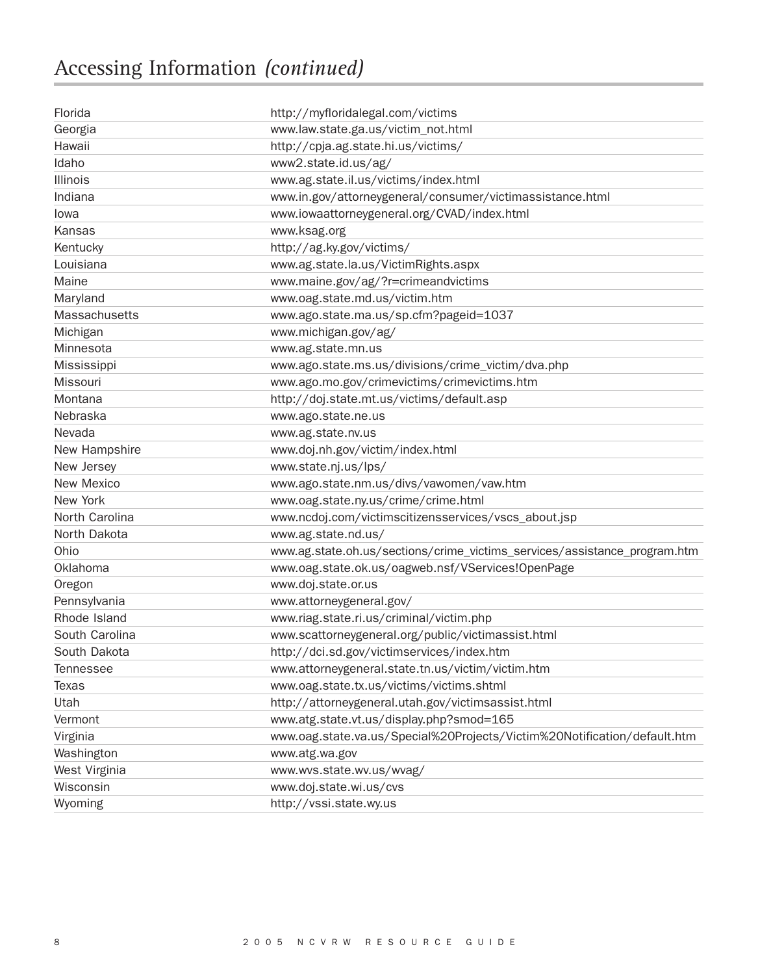| Florida          | http://myfloridalegal.com/victims                                         |
|------------------|---------------------------------------------------------------------------|
| Georgia          | www.law.state.ga.us/victim_not.html                                       |
| Hawaii           | http://cpja.ag.state.hi.us/victims/                                       |
| Idaho            | www2.state.id.us/ag/                                                      |
| Illinois         | www.ag.state.il.us/victims/index.html                                     |
| Indiana          | www.in.gov/attorneygeneral/consumer/victimassistance.html                 |
| lowa             | www.iowaattorneygeneral.org/CVAD/index.html                               |
| Kansas           | www.ksag.org                                                              |
| Kentucky         | http://ag.ky.gov/victims/                                                 |
| Louisiana        | www.ag.state.la.us/VictimRights.aspx                                      |
| Maine            | www.maine.gov/ag/?r=crimeandvictims                                       |
| Maryland         | www.oag.state.md.us/victim.htm                                            |
| Massachusetts    | www.ago.state.ma.us/sp.cfm?pageid=1037                                    |
| Michigan         | www.michigan.gov/ag/                                                      |
| Minnesota        | www.ag.state.mn.us                                                        |
| Mississippi      | www.ago.state.ms.us/divisions/crime_victim/dva.php                        |
| Missouri         | www.ago.mo.gov/crimevictims/crimevictims.htm                              |
| Montana          | http://doj.state.mt.us/victims/default.asp                                |
| Nebraska         | www.ago.state.ne.us                                                       |
| Nevada           | www.ag.state.nv.us                                                        |
| New Hampshire    | www.doj.nh.gov/victim/index.html                                          |
| New Jersey       | www.state.nj.us/lps/                                                      |
| New Mexico       | www.ago.state.nm.us/divs/vawomen/vaw.htm                                  |
| New York         | www.oag.state.ny.us/crime/crime.html                                      |
| North Carolina   | www.ncdoj.com/victimscitizensservices/vscs_about.jsp                      |
| North Dakota     | www.ag.state.nd.us/                                                       |
| Ohio             | www.ag.state.oh.us/sections/crime_victims_services/assistance_program.htm |
| Oklahoma         | www.oag.state.ok.us/oagweb.nsf/VServices!OpenPage                         |
| Oregon           | www.doj.state.or.us                                                       |
| Pennsylvania     | www.attorneygeneral.gov/                                                  |
| Rhode Island     | www.riag.state.ri.us/criminal/victim.php                                  |
| South Carolina   | www.scattorneygeneral.org/public/victimassist.html                        |
| South Dakota     | http://dci.sd.gov/victimservices/index.htm                                |
| <b>Tennessee</b> | www.attorneygeneral.state.tn.us/victim/victim.htm                         |
| <b>Texas</b>     | www.oag.state.tx.us/victims/victims.shtml                                 |
| Utah             | http://attorneygeneral.utah.gov/victimsassist.html                        |
| Vermont          | www.atg.state.vt.us/display.php?smod=165                                  |
| Virginia         | www.oag.state.va.us/Special%20Projects/Victim%20Notification/default.htm  |
| Washington       | www.atg.wa.gov                                                            |
| West Virginia    | www.wvs.state.wv.us/wvag/                                                 |
| Wisconsin        | www.doj.state.wi.us/cvs                                                   |
| Wyoming          | http://vssi.state.wy.us                                                   |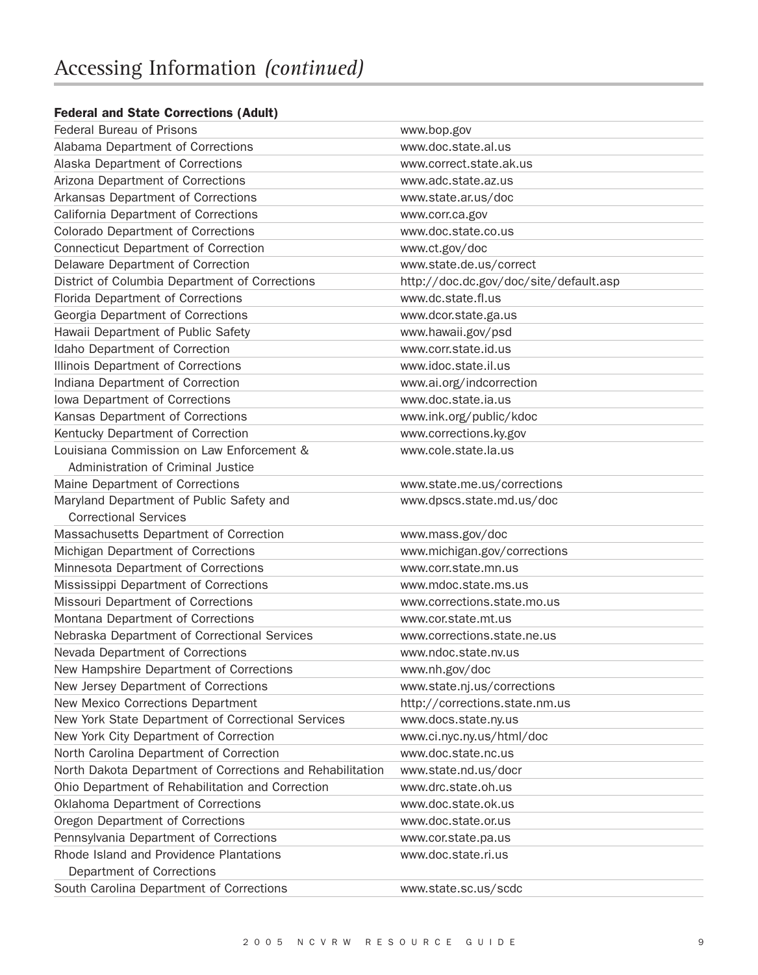### **Federal and State Corrections (Adult)**

| <b>Federal Bureau of Prisons</b>                          | www.bop.gov                            |
|-----------------------------------------------------------|----------------------------------------|
| Alabama Department of Corrections                         | www.doc.state.al.us                    |
| Alaska Department of Corrections                          | www.correct.state.ak.us                |
| Arizona Department of Corrections                         | www.adc.state.az.us                    |
| Arkansas Department of Corrections                        | www.state.ar.us/doc                    |
| California Department of Corrections                      | www.corr.ca.gov                        |
| <b>Colorado Department of Corrections</b>                 | www.doc.state.co.us                    |
| <b>Connecticut Department of Correction</b>               | www.ct.gov/doc                         |
| Delaware Department of Correction                         | www.state.de.us/correct                |
| District of Columbia Department of Corrections            | http://doc.dc.gov/doc/site/default.asp |
| Florida Department of Corrections                         | www.dc.state.fl.us                     |
| Georgia Department of Corrections                         | www.dcor.state.ga.us                   |
| Hawaii Department of Public Safety                        | www.hawaii.gov/psd                     |
| Idaho Department of Correction                            | www.corr.state.id.us                   |
| Illinois Department of Corrections                        | www.idoc.state.il.us                   |
| Indiana Department of Correction                          | www.ai.org/indcorrection               |
| Iowa Department of Corrections                            | www.doc.state.ia.us                    |
| Kansas Department of Corrections                          | www.ink.org/public/kdoc                |
| Kentucky Department of Correction                         | www.corrections.ky.gov                 |
| Louisiana Commission on Law Enforcement &                 | www.cole.state.la.us                   |
| Administration of Criminal Justice                        |                                        |
| Maine Department of Corrections                           | www.state.me.us/corrections            |
| Maryland Department of Public Safety and                  | www.dpscs.state.md.us/doc              |
| <b>Correctional Services</b>                              |                                        |
| Massachusetts Department of Correction                    | www.mass.gov/doc                       |
| Michigan Department of Corrections                        | www.michigan.gov/corrections           |
| Minnesota Department of Corrections                       | www.corr.state.mn.us                   |
| Mississippi Department of Corrections                     | www.mdoc.state.ms.us                   |
| Missouri Department of Corrections                        | www.corrections.state.mo.us            |
| Montana Department of Corrections                         | www.cor.state.mt.us                    |
| Nebraska Department of Correctional Services              | www.corrections.state.ne.us            |
| Nevada Department of Corrections                          | www.ndoc.state.nv.us                   |
| New Hampshire Department of Corrections                   | www.nh.gov/doc                         |
| New Jersey Department of Corrections                      | www.state.nj.us/corrections            |
| New Mexico Corrections Department                         | http://corrections.state.nm.us         |
| New York State Department of Correctional Services        | www.docs.state.ny.us                   |
| New York City Department of Correction                    | www.ci.nyc.ny.us/html/doc              |
| North Carolina Department of Correction                   | www.doc.state.nc.us                    |
| North Dakota Department of Corrections and Rehabilitation | www.state.nd.us/docr                   |
| Ohio Department of Rehabilitation and Correction          | www.drc.state.oh.us                    |
| Oklahoma Department of Corrections                        | www.doc.state.ok.us                    |
| Oregon Department of Corrections                          | www.doc.state.or.us                    |
| Pennsylvania Department of Corrections                    | www.cor.state.pa.us                    |
| Rhode Island and Providence Plantations                   | www.doc.state.ri.us                    |
| Department of Corrections                                 |                                        |
| South Carolina Department of Corrections                  | www.state.sc.us/scdc                   |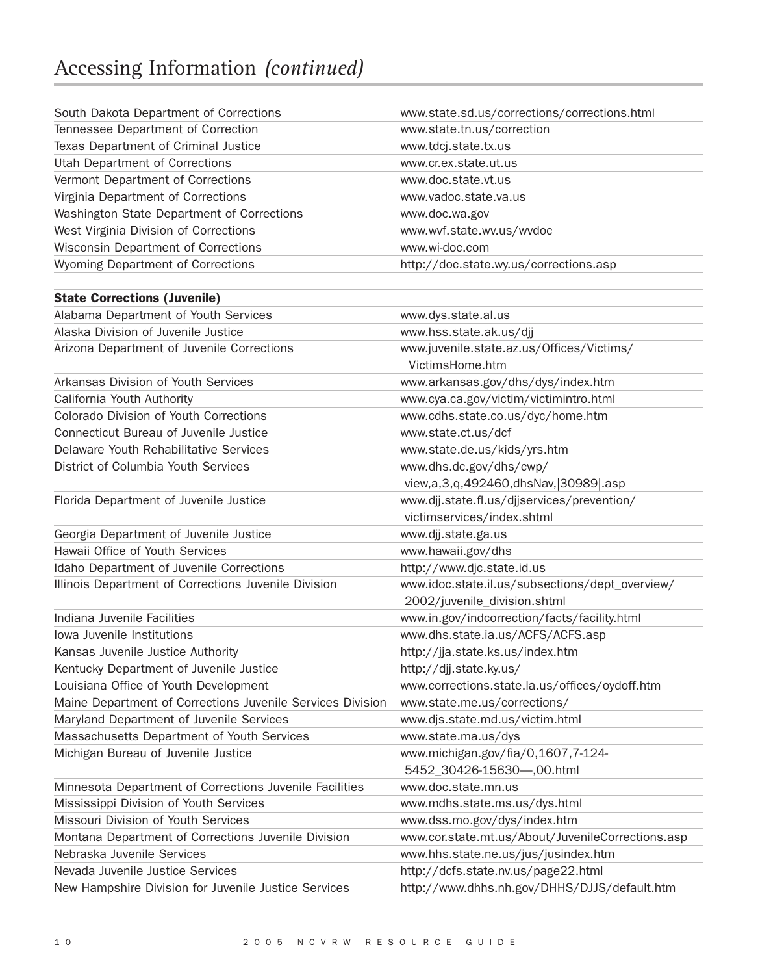| South Dakota Department of Corrections                     | www.state.sd.us/corrections/corrections.html                                    |  |
|------------------------------------------------------------|---------------------------------------------------------------------------------|--|
| Tennessee Department of Correction                         | www.state.tn.us/correction                                                      |  |
| Texas Department of Criminal Justice                       | www.tdcj.state.tx.us                                                            |  |
| Utah Department of Corrections                             | www.cr.ex.state.ut.us                                                           |  |
| Vermont Department of Corrections                          | www.doc.state.vt.us                                                             |  |
| Virginia Department of Corrections                         | www.vadoc.state.va.us                                                           |  |
| Washington State Department of Corrections                 | www.doc.wa.gov                                                                  |  |
| West Virginia Division of Corrections                      | www.wvf.state.wv.us/wvdoc                                                       |  |
| <b>Wisconsin Department of Corrections</b>                 | www.wi-doc.com                                                                  |  |
| Wyoming Department of Corrections                          | http://doc.state.wy.us/corrections.asp                                          |  |
| <b>State Corrections (Juvenile)</b>                        |                                                                                 |  |
| Alabama Department of Youth Services                       | www.dys.state.al.us                                                             |  |
| Alaska Division of Juvenile Justice                        | www.hss.state.ak.us/djj                                                         |  |
| Arizona Department of Juvenile Corrections                 | www.juvenile.state.az.us/Offices/Victims/                                       |  |
|                                                            | VictimsHome.htm                                                                 |  |
| Arkansas Division of Youth Services                        | www.arkansas.gov/dhs/dys/index.htm                                              |  |
| California Youth Authority                                 | www.cya.ca.gov/victim/victimintro.html                                          |  |
| Colorado Division of Youth Corrections                     | www.cdhs.state.co.us/dyc/home.htm                                               |  |
| Connecticut Bureau of Juvenile Justice                     | www.state.ct.us/dcf                                                             |  |
| Delaware Youth Rehabilitative Services                     | www.state.de.us/kids/yrs.htm                                                    |  |
| District of Columbia Youth Services                        | www.dhs.dc.gov/dhs/cwp/                                                         |  |
|                                                            | view, a, 3, q, 492460, dhs Nav, [30989]. asp                                    |  |
| Florida Department of Juvenile Justice                     | www.djj.state.fl.us/djjservices/prevention/                                     |  |
|                                                            | victimservices/index.shtml                                                      |  |
| Georgia Department of Juvenile Justice                     | www.djj.state.ga.us                                                             |  |
| Hawaii Office of Youth Services                            | www.hawaii.gov/dhs                                                              |  |
| Idaho Department of Juvenile Corrections                   | http://www.djc.state.id.us                                                      |  |
| Illinois Department of Corrections Juvenile Division       | www.idoc.state.il.us/subsections/dept_overview/<br>2002/juvenile_division.shtml |  |
| Indiana Juvenile Facilities                                | www.in.gov/indcorrection/facts/facility.html                                    |  |
| Iowa Juvenile Institutions                                 | www.dhs.state.ia.us/ACFS/ACFS.asp                                               |  |
| Kansas Juvenile Justice Authority                          | http://jja.state.ks.us/index.htm                                                |  |
| Kentucky Department of Juvenile Justice                    | http://djj.state.ky.us/                                                         |  |
| Louisiana Office of Youth Development                      | www.corrections.state.la.us/offices/oydoff.htm                                  |  |
| Maine Department of Corrections Juvenile Services Division | www.state.me.us/corrections/                                                    |  |
| Maryland Department of Juvenile Services                   | www.djs.state.md.us/victim.html                                                 |  |
| Massachusetts Department of Youth Services                 | www.state.ma.us/dys                                                             |  |
| Michigan Bureau of Juvenile Justice                        | www.michigan.gov/fia/0,1607,7-124-<br>5452_30426-15630-,00.html                 |  |
| Minnesota Department of Corrections Juvenile Facilities    | www.doc.state.mn.us                                                             |  |
| Mississippi Division of Youth Services                     | www.mdhs.state.ms.us/dys.html                                                   |  |
| Missouri Division of Youth Services                        | www.dss.mo.gov/dys/index.htm                                                    |  |
| Montana Department of Corrections Juvenile Division        | www.cor.state.mt.us/About/JuvenileCorrections.asp                               |  |
| Nebraska Juvenile Services                                 | www.hhs.state.ne.us/jus/jusindex.htm                                            |  |
| Nevada Juvenile Justice Services                           | http://dcfs.state.nv.us/page22.html                                             |  |
| New Hampshire Division for Juvenile Justice Services       | http://www.dhhs.nh.gov/DHHS/DJJS/default.htm                                    |  |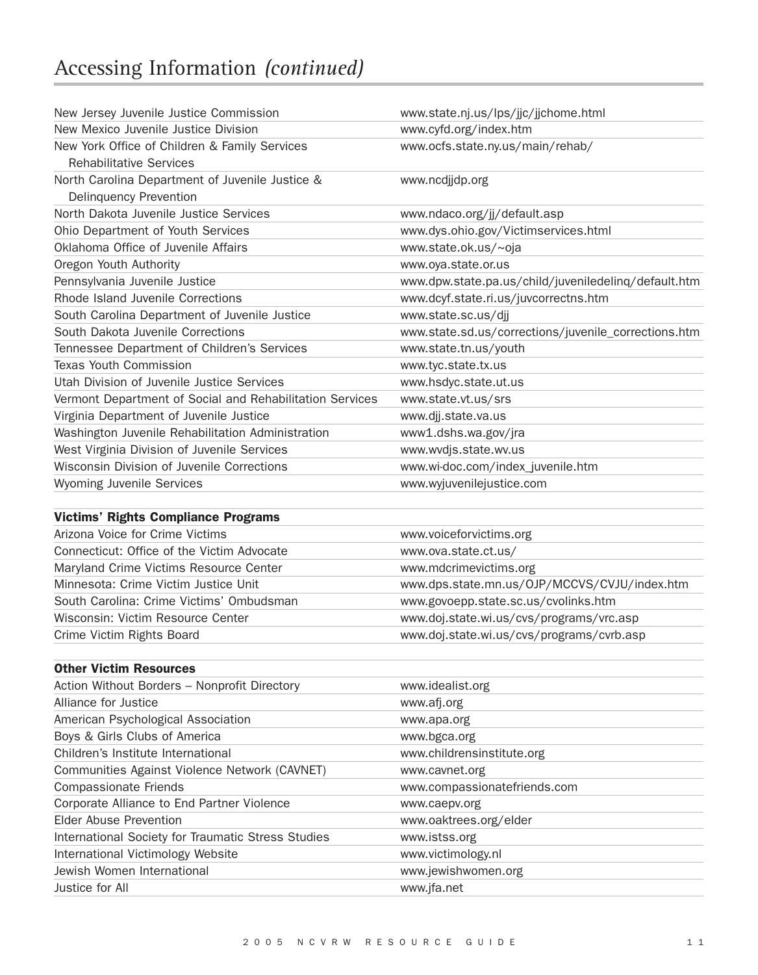| New Jersey Juvenile Justice Commission                                          | www.state.nj.us/lps/jjc/jjchome.html                 |  |  |
|---------------------------------------------------------------------------------|------------------------------------------------------|--|--|
| New Mexico Juvenile Justice Division                                            | www.cyfd.org/index.htm                               |  |  |
| New York Office of Children & Family Services<br><b>Rehabilitative Services</b> | www.ocfs.state.ny.us/main/rehab/                     |  |  |
| North Carolina Department of Juvenile Justice &                                 | www.ncdjjdp.org                                      |  |  |
| <b>Delinquency Prevention</b>                                                   |                                                      |  |  |
| North Dakota Juvenile Justice Services                                          | www.ndaco.org/jj/default.asp                         |  |  |
| Ohio Department of Youth Services                                               | www.dys.ohio.gov/Victimservices.html                 |  |  |
| Oklahoma Office of Juvenile Affairs                                             | www.state.ok.us/~oja                                 |  |  |
| Oregon Youth Authority                                                          | www.oya.state.or.us                                  |  |  |
| Pennsylvania Juvenile Justice                                                   |                                                      |  |  |
| Rhode Island Juvenile Corrections                                               | www.dpw.state.pa.us/child/juveniledelinq/default.htm |  |  |
|                                                                                 | www.dcyf.state.ri.us/juvcorrectns.htm                |  |  |
| South Carolina Department of Juvenile Justice                                   | www.state.sc.us/djj                                  |  |  |
| South Dakota Juvenile Corrections                                               | www.state.sd.us/corrections/juvenile_corrections.htm |  |  |
| Tennessee Department of Children's Services                                     | www.state.tn.us/youth                                |  |  |
| <b>Texas Youth Commission</b>                                                   | www.tyc.state.tx.us                                  |  |  |
| Utah Division of Juvenile Justice Services                                      | www.hsdyc.state.ut.us                                |  |  |
| Vermont Department of Social and Rehabilitation Services                        | www.state.vt.us/srs                                  |  |  |
| Virginia Department of Juvenile Justice                                         | www.djj.state.va.us                                  |  |  |
| Washington Juvenile Rehabilitation Administration                               | www1.dshs.wa.gov/jra                                 |  |  |
| West Virginia Division of Juvenile Services                                     | www.wvdjs.state.wv.us                                |  |  |
| Wisconsin Division of Juvenile Corrections                                      | www.wi-doc.com/index_juvenile.htm                    |  |  |
| Wyoming Juvenile Services                                                       | www.wyjuvenilejustice.com                            |  |  |
| <b>Victims' Rights Compliance Programs</b>                                      |                                                      |  |  |
| Arizona Voice for Crime Victims                                                 | www.voiceforvictims.org                              |  |  |
| Connecticut: Office of the Victim Advocate                                      | www.ova.state.ct.us/                                 |  |  |
| Maryland Crime Victims Resource Center                                          | www.mdcrimevictims.org                               |  |  |
| Minnesota: Crime Victim Justice Unit                                            | www.dps.state.mn.us/OJP/MCCVS/CVJU/index.htm         |  |  |
| South Carolina: Crime Victims' Ombudsman                                        | www.govoepp.state.sc.us/cvolinks.htm                 |  |  |
| Wisconsin: Victim Resource Center                                               | www.doj.state.wi.us/cvs/programs/vrc.asp             |  |  |
| Crime Victim Rights Board                                                       | www.doj.state.wi.us/cvs/programs/cvrb.asp            |  |  |
|                                                                                 |                                                      |  |  |
| <b>Other Victim Resources</b>                                                   |                                                      |  |  |
| Action Without Borders - Nonprofit Directory                                    | www.idealist.org                                     |  |  |
| Alliance for Justice                                                            | www.afj.org                                          |  |  |
| American Psychological Association                                              | www.apa.org                                          |  |  |
| Boys & Girls Clubs of America                                                   | www.bgca.org                                         |  |  |
| Children's Institute International                                              | www.childrensinstitute.org                           |  |  |
| Communities Against Violence Network (CAVNET)                                   | www.cavnet.org                                       |  |  |
| <b>Compassionate Friends</b>                                                    | www.compassionatefriends.com                         |  |  |
| Corporate Alliance to End Partner Violence                                      | www.caepv.org                                        |  |  |

Elder Abuse Prevention www.oaktrees.org/elder

International Society for Traumatic Stress Studies www.istss.org International Victimology Website **www.victimology.nl** Jewish Women International **With an International** www.jewishwomen.org

Justice for All www.jfa.net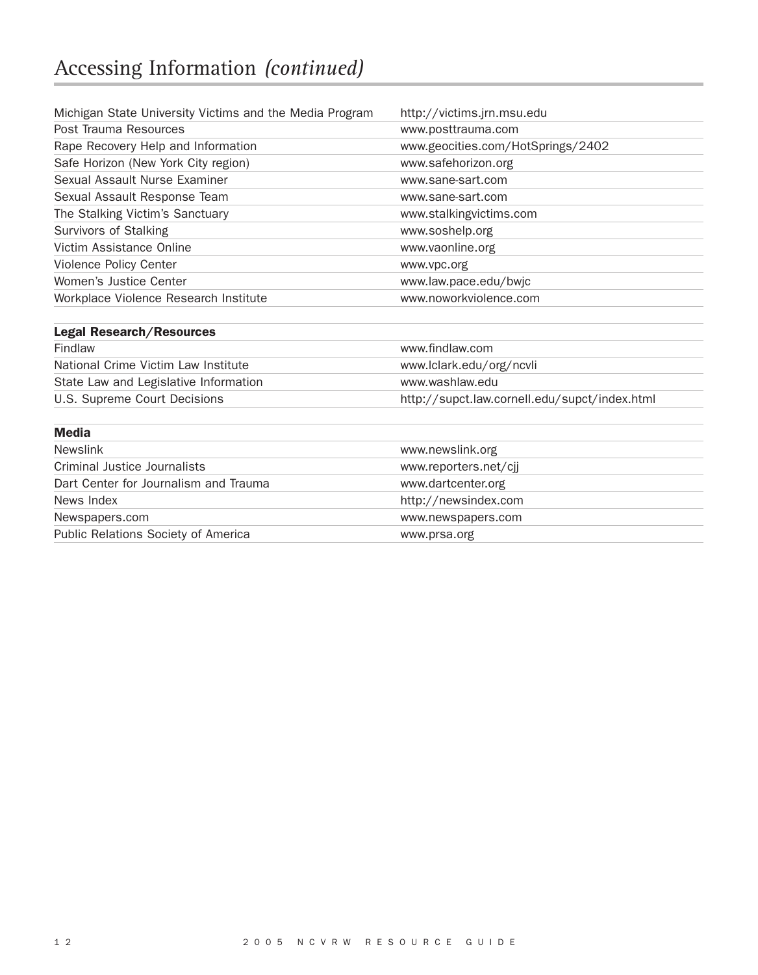| Michigan State University Victims and the Media Program | http://victims.jrn.msu.edu                    |
|---------------------------------------------------------|-----------------------------------------------|
| Post Trauma Resources                                   | www.posttrauma.com                            |
| Rape Recovery Help and Information                      | www.geocities.com/HotSprings/2402             |
| Safe Horizon (New York City region)                     | www.safehorizon.org                           |
| Sexual Assault Nurse Examiner                           | www.sane-sart.com                             |
| Sexual Assault Response Team                            | www.sane-sart.com                             |
| The Stalking Victim's Sanctuary                         | www.stalkingvictims.com                       |
| Survivors of Stalking                                   | www.soshelp.org                               |
| Victim Assistance Online                                | www.vaonline.org                              |
| Violence Policy Center                                  | www.vpc.org                                   |
| Women's Justice Center                                  | www.law.pace.edu/bwjc                         |
| Workplace Violence Research Institute                   | www.noworkviolence.com                        |
|                                                         |                                               |
| <b>Legal Research/Resources</b>                         |                                               |
| Findlaw                                                 | www.findlaw.com                               |
| National Crime Victim Law Institute                     | www.lclark.edu/org/ncvli                      |
| State Law and Legislative Information                   | www.washlaw.edu                               |
| U.S. Supreme Court Decisions                            | http://supct.law.cornell.edu/supct/index.html |
|                                                         |                                               |
| <b>Media</b>                                            |                                               |
| <b>Newslink</b>                                         | www.newslink.org                              |
| <b>Criminal Justice Journalists</b>                     | www.reporters.net/cjj                         |
| Dart Center for Journalism and Trauma                   | www.dartcenter.org                            |
| News Index                                              | http://newsindex.com                          |
| Newspapers.com                                          | www.newspapers.com                            |
| Public Relations Society of America                     | www.prsa.org                                  |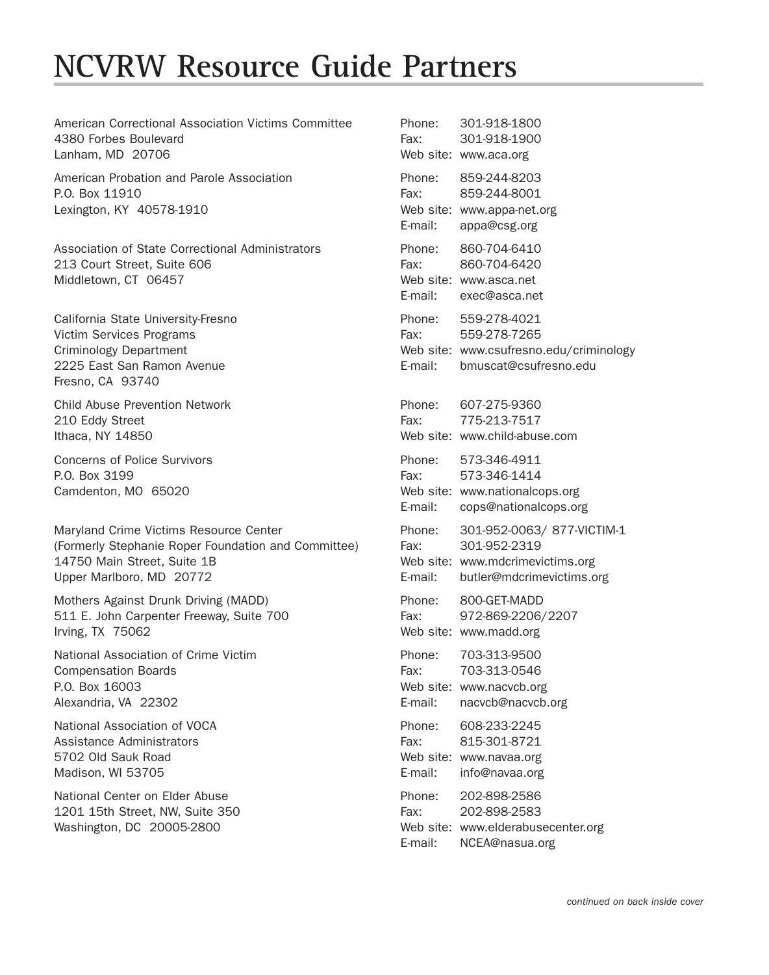## **NCVRW Resource Guide Partners**

American Correctional Association Victims Committee Phone: 301-918-1800 4380 Forbes Boulevard Fax: 301-918-1900 Lanham. MD 20706 Channel Communication of the Web site: www.aca.org

American Probation and Parole Association **Phone:** 859-244-8203 P.O. Box 11910 **Fax: 859-244-8001** Fax: 859-244-8001 Lexington, KY 40578-1910 Web site: www.appa-net.org

Association of State Correctional Administrators Phone: 860-704-6410 213 Court Street, Suite 606 Fax: 860-704-6420 Middletown, CT 06457 Middletown, CT 06457

California State University-Fresno Phone: 559-278-4021 Victim Services Programs Fax: 559-278-7265 Fresno, CA 93740

Child Abuse Prevention Network **Phone:** Phone: 607-275-9360 210 Eddy Street Fax: 775-213-7517

Concerns of Police Survivors **Phone:** 573-346-4911 P.O. Box 3199 Fax: 573-346-1414

Maryland Crime Victims Resource Center Phone: 301-952-0063/ 877-VICTIM-1 (Formerly Stephanie Roper Foundation and Committee) Fax: 301-952-2319 14750 Main Street, Suite 1B Web site: www.mdcrimevictims.org Upper Marlboro, MD 20772 E-mail: butler@mdcrimevictims.org

Mothers Against Drunk Driving (MADD) Phone: 800-GET-MADD 511 E. John Carpenter Freeway, Suite 700 Fax: 972-869-2206/2207 Irving, TX 75062 Web site: www.madd.org

National Association of Crime Victim **Phone:** 703-313-9500 Compensation Boards Fax: 703-313-0546 P.O. Box 16003 external products are with the Web site: www.nacvcb.org Alexandria, VA 22302 E-mail: nacvcb@nacvcb.org

National Association of VOCA **Phone:** 608-233-2245 Assistance Administrators **Fax:** 815-301-8721 5702 Old Sauk Road Web site: www.navaa.org Madison, WI 53705 **E-mail:** info@navaa.org

National Center on Elder Abuse **Phone:** 202-898-2586 1201 15th Street, NW, Suite 350 Fax: 202-898-2583

E-mail: appa@csg.org E-mail: exec@asca.net Criminology Department Web site: www.csufresno.edu/criminology 2225 East San Ramon Avenue E-mail: bmuscat@csufresno.edu Ithaca, NY 14850 Web site: www.child-abuse.com Camdenton, MO 65020 Web site: www.nationalcops.org E-mail: cops@nationalcops.org Washington, DC 20005-2800 Web site: www.elderabusecenter.org E-mail: NCEA@nasua.org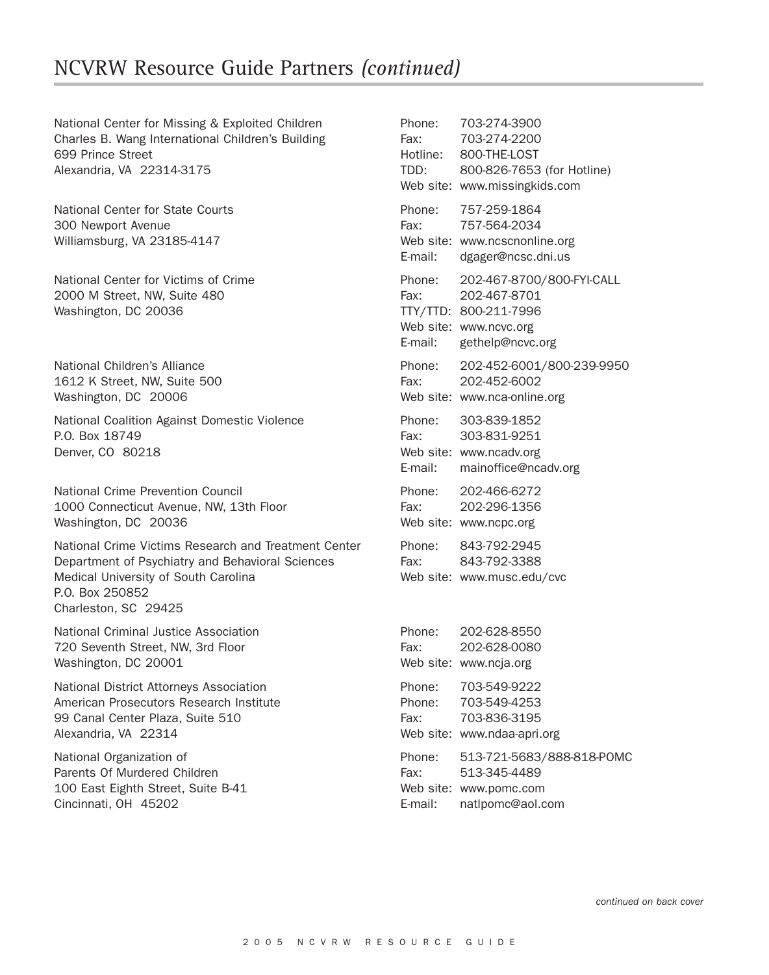National Center for Missing & Exploited Children Charles B. Wang International Children's Building 699 Prince Street Alexandria, VA 22314-3175

National Criminal Justice Association 720 Seventh Street, NW, 3rd Floor Washington, DC 20001

| National Center for Missing & Exploited Children<br>Charles B. Wang International Children's Building<br>699 Prince Street<br>Alexandria, VA 22314-3175                                     | Phone:<br>Fax:<br>Hotline:<br>TDD: | 703-274-3900<br>703-274-2200<br>800-THE-LOST<br>800-826-7653 (for Hotline)<br>Web site: www.missingkids.com      |
|---------------------------------------------------------------------------------------------------------------------------------------------------------------------------------------------|------------------------------------|------------------------------------------------------------------------------------------------------------------|
| National Center for State Courts<br>300 Newport Avenue<br>Williamsburg, VA 23185-4147                                                                                                       | Phone:<br>Fax:<br>E-mail:          | 757-259-1864<br>757-564-2034<br>Web site: www.ncscnonline.org<br>dgager@ncsc.dni.us                              |
| National Center for Victims of Crime<br>2000 M Street, NW, Suite 480<br>Washington, DC 20036                                                                                                | Phone:<br>Fax:<br>E-mail:          | 202-467-8700/800-FYI-CALL<br>202-467-8701<br>TTY/TTD: 800-211-7996<br>Web site: www.ncvc.org<br>gethelp@ncvc.org |
| National Children's Alliance<br>1612 K Street, NW, Suite 500<br>Washington, DC 20006                                                                                                        | Phone:<br>Fax:                     | 202-452-6001/800-239-9950<br>202-452-6002<br>Web site: www.nca-online.org                                        |
| National Coalition Against Domestic Violence<br>P.O. Box 18749<br>Denver, CO 80218                                                                                                          | Phone:<br>Fax:<br>E-mail:          | 303-839-1852<br>303-831-9251<br>Web site: www.ncadv.org<br>mainoffice@ncadv.org                                  |
| National Crime Prevention Council<br>1000 Connecticut Avenue, NW, 13th Floor<br>Washington, DC 20036                                                                                        | Phone:<br>Fax:                     | 202-466-6272<br>202-296-1356<br>Web site: www.ncpc.org                                                           |
| National Crime Victims Research and Treatment Center<br>Department of Psychiatry and Behavioral Sciences<br>Medical University of South Carolina<br>P.O. Box 250852<br>Charleston, SC 29425 | Phone:<br>Fax:                     | 843-792-2945<br>843-792-3388<br>Web site: www.musc.edu/cvc                                                       |

| National Criminal Justice Association   | Phone:  | 202-628-8550                |
|-----------------------------------------|---------|-----------------------------|
| 720 Seventh Street, NW, 3rd Floor       | Fax:    | 202-628-0080                |
| Washington, DC 20001                    |         | Web site: www.ncja.org      |
| National District Attorneys Association | Phone:  | 703-549-9222                |
| American Prosecutors Research Institute | Phone:  | 703-549-4253                |
| 99 Canal Center Plaza, Suite 510        | Fax:    | 703-836-3195                |
| Alexandria, VA 22314                    |         | Web site: www.ndaa-apri.org |
| National Organization of                | Phone:  | 513-721-5683/888-818-POMC   |
| Parents Of Murdered Children            | Fax:    | 513-345-4489                |
| 100 East Eighth Street, Suite B-41      |         | Web site: www.pomc.com      |
| Cincinnati, OH 45202                    | E-mail: | natlpomc@aol.com            |

*continued on back cover*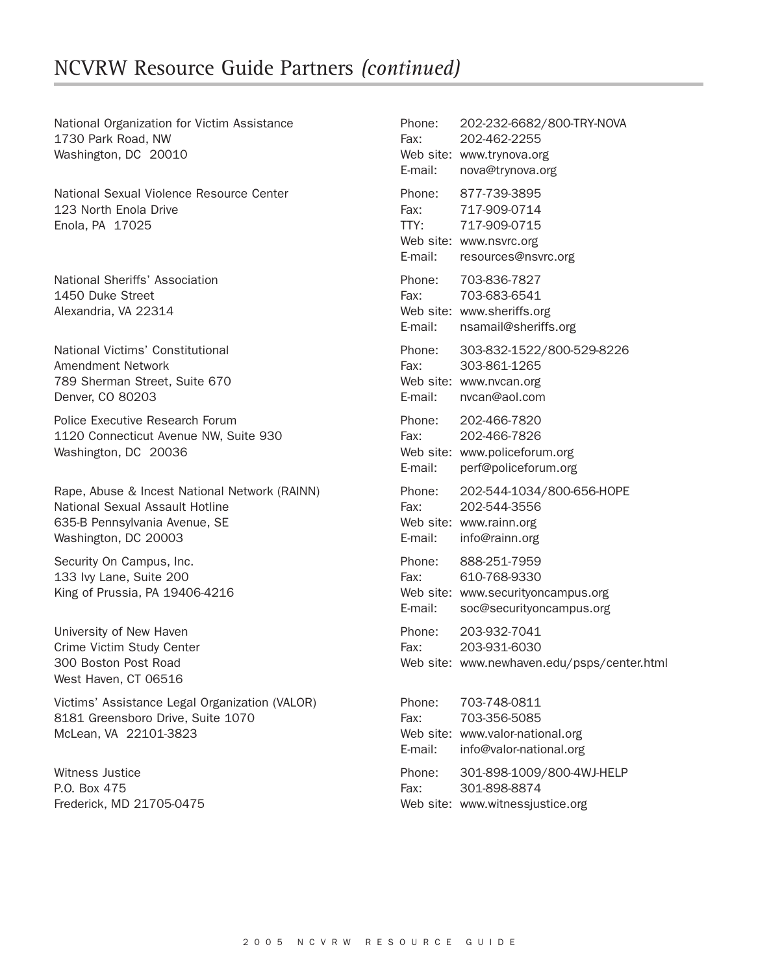Witness Justice P.O. Box 475 Fax: 301-898-8874

| National Organization for Victim Assistance<br>1730 Park Road, NW<br>Washington, DC 20010                                                 | 202-232-6682/800-TRY-NOVA<br>Phone:<br>Fax:<br>202-462-2255<br>Web site: www.trynova.org<br>E-mail:<br>nova@trynova.org             |
|-------------------------------------------------------------------------------------------------------------------------------------------|-------------------------------------------------------------------------------------------------------------------------------------|
| National Sexual Violence Resource Center<br>123 North Enola Drive<br>Enola, PA 17025                                                      | Phone:<br>877-739-3895<br>Fax:<br>717-909-0714<br>TTY:<br>717-909-0715<br>Web site: www.nsvrc.org<br>E-mail:<br>resources@nsvrc.org |
| National Sheriffs' Association<br>1450 Duke Street<br>Alexandria, VA 22314                                                                | Phone:<br>703-836-7827<br>Fax:<br>703-683-6541<br>Web site: www.sheriffs.org<br>E-mail:<br>nsamail@sheriffs.org                     |
| National Victims' Constitutional<br><b>Amendment Network</b><br>789 Sherman Street, Suite 670<br>Denver, CO 80203                         | Phone:<br>303-832-1522/800-529-8226<br>Fax:<br>303-861-1265<br>Web site: www.nvcan.org<br>nvcan@aol.com<br>E-mail:                  |
| Police Executive Research Forum<br>1120 Connecticut Avenue NW, Suite 930<br>Washington, DC 20036                                          | Phone:<br>202-466-7820<br>202-466-7826<br>Fax:<br>Web site: www.policeforum.org<br>E-mail:<br>perf@policeforum.org                  |
| Rape, Abuse & Incest National Network (RAINN)<br>National Sexual Assault Hotline<br>635-B Pennsylvania Avenue, SE<br>Washington, DC 20003 | Phone:<br>202-544-1034/800-656-HOPE<br>Fax:<br>202-544-3556<br>Web site: www.rainn.org<br>E-mail:<br>info@rainn.org                 |
| Security On Campus, Inc.<br>133 lvy Lane, Suite 200<br>King of Prussia, PA 19406-4216                                                     | Phone:<br>888-251-7959<br>Fax:<br>610-768-9330<br>Web site: www.securityoncampus.org<br>E-mail:<br>soc@securityoncampus.org         |
| University of New Haven<br>Crime Victim Study Center<br>300 Boston Post Road<br>West Haven, CT 06516                                      | Phone:<br>203-932-7041<br>203-931-6030<br>Fax:<br>Web site: www.newhaven.edu/psps/center.html                                       |
| Victims' Assistance Legal Organization (VALOR)<br>8181 Greensboro Drive, Suite 1070<br>McLean, VA 22101-3823                              | Phone:<br>703-748-0811<br>Fax:<br>703-356-5085<br>Web site: www.valor-national.org<br>info@valor-national.org<br>E-mail:            |
| <b>Witness Justice</b><br>$DA$ $Box$ $A$ 75                                                                                               | Phone:<br>301-898-1009/800-4WJ-HELP<br>201000071<br>$\Gamma_{\cap V}$                                                               |

Frederick, MD 21705-0475 Web site: www.witnessjustice.org